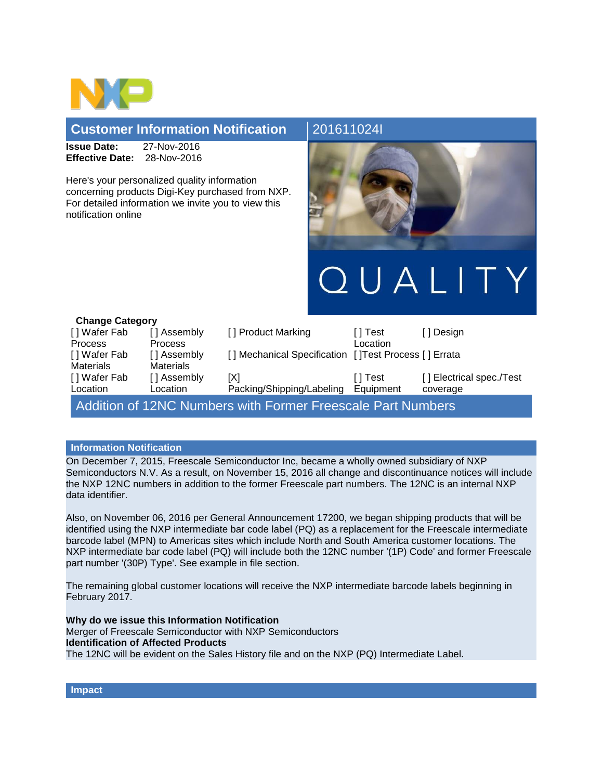

## **Customer Information Notification** 201611024

**Issue Date:** 27-Nov-2016 **Effective Date:** 28-Nov-2016

Here's your personalized quality information concerning products Digi-Key purchased from NXP. For detailed information we invite you to view this notification online



QUALITY

| <b>Change Category</b>                                             |                  |                                                       |           |                          |
|--------------------------------------------------------------------|------------------|-------------------------------------------------------|-----------|--------------------------|
| [] Wafer Fab                                                       | [] Assembly      | [] Product Marking                                    | [ ] Test  | [ ] Design               |
| <b>Process</b>                                                     | <b>Process</b>   |                                                       | Location  |                          |
| [] Wafer Fab                                                       | [] Assembly      | [] Mechanical Specification [] Test Process [] Errata |           |                          |
| <b>Materials</b>                                                   | <b>Materials</b> |                                                       |           |                          |
| [] Wafer Fab                                                       | [] Assembly      | [X]                                                   | [ ] Test  | [] Electrical spec./Test |
| Location                                                           | Location         | Packing/Shipping/Labeling                             | Equipment | coverage                 |
| <b>Addition of 12NC Numbers with Former Freescale Part Numbers</b> |                  |                                                       |           |                          |

## **Information Notification**

On December 7, 2015, Freescale Semiconductor Inc, became a wholly owned subsidiary of NXP Semiconductors N.V. As a result, on November 15, 2016 all change and discontinuance notices will include the NXP 12NC numbers in addition to the former Freescale part numbers. The 12NC is an internal NXP data identifier.

Also, on November 06, 2016 per General Announcement 17200, we began shipping products that will be identified using the NXP intermediate bar code label (PQ) as a replacement for the Freescale intermediate barcode label (MPN) to Americas sites which include North and South America customer locations. The NXP intermediate bar code label (PQ) will include both the 12NC number '(1P) Code' and former Freescale part number '(30P) Type'. See example in file section.

The remaining global customer locations will receive the NXP intermediate barcode labels beginning in February 2017.

**Why do we issue this Information Notification** Merger of Freescale Semiconductor with NXP Semiconductors **Identification of Affected Products** The 12NC will be evident on the Sales History file and on the NXP (PQ) Intermediate Label.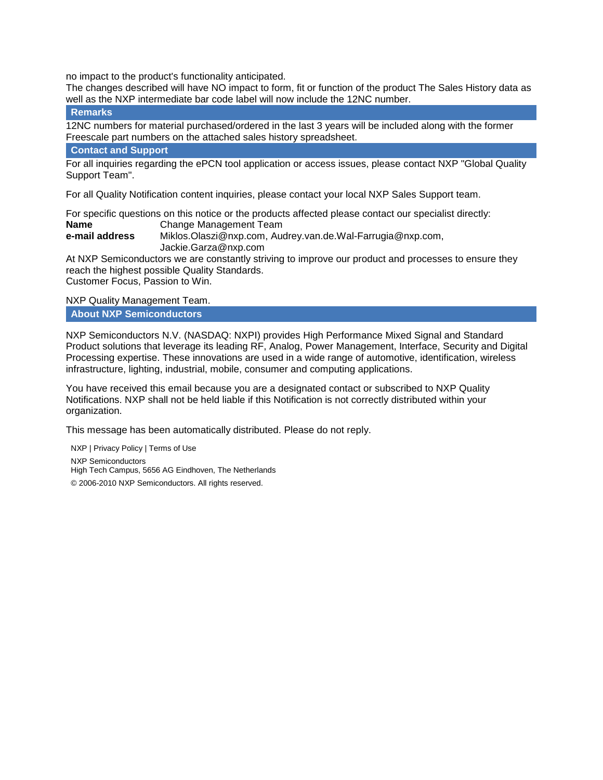no impact to the product's functionality anticipated.

The changes described will have NO impact to form, fit or function of the product The Sales History data as well as the NXP intermediate bar code label will now include the 12NC number.

**Remarks**

12NC numbers for material purchased/ordered in the last 3 years will be included along with the former Freescale part numbers on the attached sales history spreadsheet.

## **Contact and Support**

For all inquiries regarding the ePCN tool application or access issues, please contact NXP "Global Quality Support Team".

For all Quality Notification content inquiries, please contact your local NXP Sales Support team.

For specific questions on this notice or the products affected please contact our specialist directly: **Name** Change Management Team **e-mail address** Miklos.Olaszi@nxp.com, Audrey.van.de.Wal-Farrugia@nxp.com, Jackie.Garza@nxp.com

At NXP Semiconductors we are constantly striving to improve our product and processes to ensure they reach the highest possible Quality Standards. Customer Focus, Passion to Win.

NXP Quality Management Team.

**About NXP Semiconductors**

NXP Semiconductors N.V. (NASDAQ: NXPI) provides High Performance Mixed Signal and Standard Product solutions that leverage its leading RF, Analog, Power Management, Interface, Security and Digital Processing expertise. These innovations are used in a wide range of automotive, identification, wireless infrastructure, lighting, industrial, mobile, consumer and computing applications.

You have received this email because you are a designated contact or subscribed to NXP Quality Notifications. NXP shall not be held liable if this Notification is not correctly distributed within your organization.

This message has been automatically distributed. Please do not reply.

NXP | Privacy Policy | Terms of Use NXP Semiconductors High Tech Campus, 5656 AG Eindhoven, The Netherlands © 2006-2010 NXP Semiconductors. All rights reserved.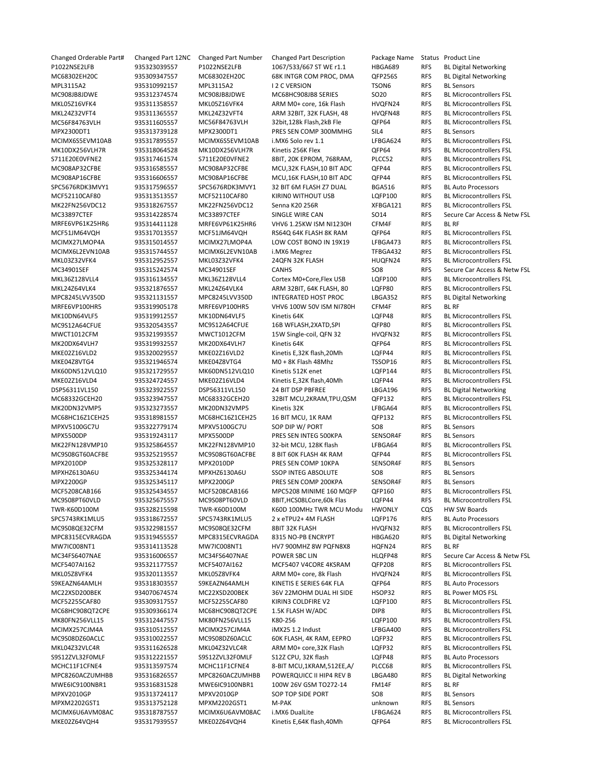Changed Orderable Part# Changed Part 12NC Changed Part Number Changed Part Description Package Name Status Product Line P1022NSE2LFB 935323039557 P1022NSE2LFB 1067/533/667 ST WE r1.1 HBGA689 RFS BL Digital Networking MC68302EH20C 935309347557 MC68302EH20C 68K INTGR COM PROC, DMA QFP256S RFS BL Digital Networking MPL3115A2 935310992157 MPL3115A2 I 2 C VERSION TSON6 RFS BL Sensors MC908JB8JDWE 935312374574 MC908JB8JDWE MC68HC908JB8 SERIES SO20 RFS BL Microcontrollers FSL MKL05Z16VFK4 935311358557 MKL05Z16VFK4 ARM M0+ core, 16k Flash HVQFN24 RFS BL Microcontrollers FSL MKI 24732VFT4 935311365557 MKI 24732VFT4 ARM 32BIT, 32K FLASH, 48 HVQFN48 RFS BL Microcontrollers FSL MC56F84763VLH 935311605557 MC56F84763VLH 32bit,128k Flash,2kB Fle QFP64 RFS BL Microcontrollers FSL MPX2300DT1 935313739128 MPX2300DT1 PRES SEN COMP 300MMHG SIL4 RFS BL Sensors MCIMX6S5EVM10AB 935317895557 MCIMX6S5EVM10AB i.MX6 Solo rev 1.1 LFBGA624 RFS BL Microcontrollers FSL MK10DX256VLH7R 935318064528 MK10DX256VLH7R Kinetis 256K Flex QFP64 RFS BL Microcontrollers FSL S711E20E0VFNE2 935317461574 S711E20E0VFNE2 8BIT, 20K EPROM, 768RAM, PLCC52 RFS BL Microcontrollers FSL MC908AP32CFBE 935316585557 MC908AP32CFBE MCU,32K FLASH,10 BIT ADC QFP44 RFS BL Microcontrollers FSL MC908AP16CFBE 935316606557 MC908AP16CFBE MCU,16K FLASH,10 BIT ADC QFP44 RFS BL Microcontrollers FSL<br>SPC5676RDK3MVY1 935317596557 SPC5676RDK3MVY1 32 BIT 6M FLASH Z7 DUAL BGA516 RFS BL Auto Processors SPC5676RDK3MVY1 935317596557 SPC5676RDK3MVY1 32 BIT 6M FLASH Z7 DUAL BGA516 RFS BL Auto Processors MCF52110CAF80 935313513513557 MCF52110CAF80 KIRINO WITHOUT USB LOFP100 RFS BL Microcontrollers FSL MK22FN256VDC12 935318267557 MK22FN256VDC12 Senna K20 256R XFBGA121 RFS BL Microcontrollers FSL MRFE6VP61K25HR6 935314411128 MRFE6VP61K25HR6 VHV6 1.25KW ISM NI1230H CFM4F RFS BL RF MCF51JM64VQH 935317013557 MCF51JM64VQH RS64Q 64K FLASH 8K RAM QFP64 RFS BL Microcontrollers FSL<br>MCIMX27LMOP4A 935315014557 MCIMX27LMOP4A LOW COST BONO IN 19X19 LFBGA473 RFS BL Microcontrollers FSL LOW COST BONO IN 19X19 LFBGA473 RFS MCIMX6L2EVN10AB 935315744557 MCIMX6L2EVN10AB i.MX6 Megrez TFBGA432 RFS BL Microcontrollers FSL<br>MKL03Z32VFK4 935312952557 MKL03Z32VFK4 24QFN 32K FLASH HUQFN24 RFS BL Microcontrollers FSL MKL03Z32VFK4 935312952557 MKL03Z32VFK4 24QFN 32K FLASH HUQFN24 RFS BL Microcontrollers FSL MKL36Z128VLL4 935316134557 MKL36Z128VLL4 Cortex M0+Core,Flex USB LQFP100 RFS BL Microcontrollers FSL MKL24Z64VLK4 935321876557 MKL24Z64VLK4 ARM 32BIT, 64K FLASH, 80 LQFP80 RFS BL Microcontrollers FSL MPC8245LVV350D 935321131557 MPC8245LVV350D INTEGRATED HOST PROC LBGA352 RFS BL Digital Networking MRFE6VP100HR5 935319905178 MRFE6VP100HR5 VHV6 100W 50V ISM NI780H CFM4F RFS BL RF MK10DN64VLF5 935319912557 MK10DN64VLF5 Kinetis 64K LQFP48 RFS BL Microcontrollers FSL MC9S12A64CFUE 935320543557 MC9S12A64CFUE 16B WFLASH,2XATD,SPI QFP80 RFS BL Microcontrollers FSL MWCT1012CFM 935321993557 MWCT1012CFM 15W Single‐coil, QFN 32 HVQFN32 RFS BL Microcontrollers FSL MK20DX64VLH7 935319932557 MK20DX64VLH7 Kinetis 64K QFP64 RFS BL Microcontrollers FSL MKE02Z16VLD2 935320029557 MKE02Z16VLD2 Kinetis E,32K flash,20Mh LQFP44 RFS BL Microcontrollers FSL<br>MKE04Z8VTG4 935321946574 MKE04Z8VTG4 M0 + 8K Flash 48Mhz TSSOP16 RFS BL Microcontrollers FSL MKE04Z8VTG4 935321946574 MKE04Z8VTG4 M0 + 8K Flash 48Mhz TSSOP16 RFS BL Microcontrollers FSL MK60DN512VLQ10 935321729557 MK60DN512VLQ10 Kinetis 512K enet LQFP144 RFS BL Microcontrollers FSL MKE02Z16VLD4 935324724557 MKE02Z16VLD4 Kinetis E,32K flash,40Mh LQFP44 RFS BL Microcontrollers FSL DSP56311VL150 935323922557 DSP56311VL150 24 BIT DSP PBFREE LBGA196 RFS BL Digital Networking MC68332GCEH20 935323947557 MC68332GCEH20 32BIT MCU,2KRAM,TPU,QSM QFP132 RFS BL Microcontrollers FSL MK20DN32VMP5 935323273557 MK20DN32VMP5 Kinetis 32K LFBGA64 RFS BL Microcontrollers FSL MC68HC16Z1CEH25 935318981557 MC68HC16Z1CEH25 16 BIT MCU, 1K RAM QFP132 RFS BL Microcontrollers FSL MPXV5100GC7U 935322779174 MPXV5100GC7U SOP DIP W/ PORT SO8 RFS BL Sensors MPX5500DP 935319243117 MPX5500DP PRES SEN INTEG 500KPA SENSOR4F RFS BL Sensors MK22FN128VMP10 935325864557 MK22FN128VMP10 32‐bit MCU, 128K flash LFBGA64 RFS BL Microcontrollers FSL MC9S08GT60ACFBE 935325219557 MC9S08GT60ACFBE 8 BIT 60K FLASH 4K RAM QFP44 RFS BL Microcontrollers FSL MPX2010DP 935325328117 MPX2010DP PRES SEN COMP 10KPA SENSOR4F RFS BL Sensors MPXHZ6130A6U 935325344174 MPXHZ6130A6U SSOP INTEG ABSOLUTE SO8 RFS BL Sensors MPX2200GP 935325345117 MPX2200GP PRES SEN COMP 200KPA SENSOR4F RFS BL Sensors MCF5208CAB166 935325434557 MCF5208CAB166 MPC5208 MINIME 160 MQFP QFP160 RFS BL Microcontrollers FSL MC9S08PT60VLD 935325675557 MC9S08PT60VLD 8BIT,HCS08LCore,60k Flas LQFP44 RFS BL Microcontrollers FSL TWR‐K60D100M 935328215598 TWR‐K60D100M K60D 100MHz TWR MCU Modu HWONLY CQS HW SW Boards SPC5743RK1MLU5 935318672557 SPC5743RK1MLU5 2 x eTPU2+ 4M FLASH LQFP176 RFS BL Auto Processors MC9S08QE32CFM 935322981557 MC9S08QE32CFM 8BIT 32K FLASH HVQFN32 RFS BL Microcontrollers FSL MPC8315ECVRAGDA 935319455557 MPC8315ECVRAGDA 8315 NO‐PB ENCRYPT HBGA620 RFS BL Digital Networking MW7IC008NT1 935314113528 MW7IC008NT1 HV7 900MHZ 8W PQFN8X8 HQFN24 RFS BL RF MCF5407AI162 935321177557 MCF5407AI162 MCF5407 V4CORE 4KSRAM QFP208 RFS BL Microcontrollers FSL MKL05Z8VFK4 935320113557 MKL05Z8VFK4 ARM M0+ core, 8k Flash HVQFN24 RFS BL Microcontrollers FSL S9KEAZN64AMLH 935318303557 S9KEAZN64AMLH KINETIS E SERIES 64K FLA QFP64 RFS BL Auto Processors<br>MC22XSD200BEK 934070674574 MC22XSD200BEK 36V 22MOHM DUAL HI SIDE HSOP32 RFS BL Power MOS FSL 934070674574 MC22XSD200BEK 36V 22MOHM DUAL HI SIDE HSOP32 RFS BL Power MOS FSL MCF52255CAF80 935309317557 MCF52255CAF80 KIRIN3 COLDFIRE V2 LQFP100 RFS BL Microcontrollers FSL MC68HC908OT2CPE 935309366174 MC68HC908OT2CPE 1.5K FLASH W/ADC DIP8 RFS BL Microcontrollers FSL MK80FN256VLL15 935312447557 MK80FN256VLL15 K80‐256 LQFP100 RFS BL Microcontrollers FSL MCIMX257CJM4A 935310512557 MCIMX257CJM4A iMX25 1.2 Indust LFBGA400 RFS BL Microcontrollers FSL MC9S08DZ60ACLC 935310022557 MC9S08DZ60ACLC 60K FLASH, 4K RAM, EEPRO LQFP32 RFS BL Microcontrollers FSL MKL04Z32VLC4R 935311626528 MKL04Z32VLC4R ARM M0+ core,32K Flash LQFP32 RFS BL Microcontrollers FSL S9S12ZVL32F0MLF 935312221557 S9S12ZVL32F0MLF S12Z CPU, 32K flash LQFP48 RFS BL Auto Processors MCHC11F1CFNE4 935313597574 MCHC11F1CFNE4 8‐BIT MCU,1KRAM,512EE,A/ PLCC68 RFS BL Microcontrollers FSL MPC8260ACZUMHBB 935316826557 MPC8260ACZUMHBB POWERQUICC II HIP4 REV B LBGA480 RFS BL Digital Networking MWE6IC9100NBR1 935316831528 MWE6IC9100NBR1 100W 26V GSM TO272‐14 FM14F RFS BL RF MPXV2010GP 935313724117 MPXV2010GP SOP TOP SIDE PORT SO8 RFS BL Sensors MPXM2202GST1 935313752128 MPXM2202GST1 M‐PAK unknown RFS BL Sensors MCIMX6U6AVM08AC 935318787557 MCIMX6U6AVM08AC i.MX6 DualLite LFBGA624 RFS BL Microcontrollers FSL

MKE02Z64VQH4 935317939557 MKE02Z64VQH4 Kinetis E,64K flash,40Mh QFP64 RFS BL Microcontrollers FSL

MC33897CTEF 935314228574 MC33897CTEF SINGLE WIRE CAN SO14 RFS Secure Car Access & Netw FSL MC34901SEF 935315242574 MC34901SEF CANHS SO8 RFS Secure Car Access & Netw FSL MC34FS6407NAE 935316006557 MC34FS6407NAE POWER SBC LIN HLQFP48 RFS Secure Car Access & Netw FSL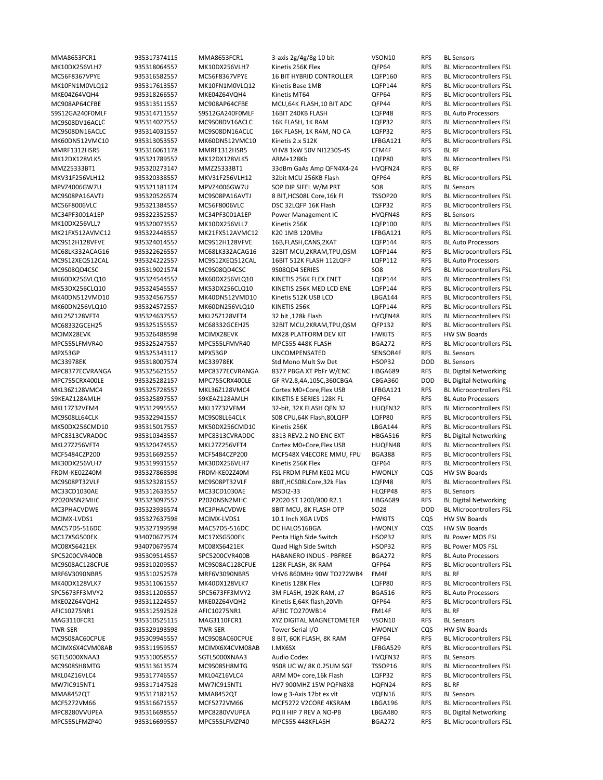MMA8653FCR1 935317374115 MMA8653FCR1 3‐axis 2g/4g/8g 10 bit VSON10 RFS BL Sensors MK10DX256VLH7 935318064557 MK10DX256VLH7 Kinetis 256K Flex QFP64 RFS BL Microcontrollers FSL MC56F8367VPYE 935316582557 MC56F8367VPYE 16 BIT HYBRID CONTROLLER LQFP160 RFS BL Microcontrollers FSL MK10FN1M0VLQ12 935317613557 MK10FN1M0VLQ12 Kinetis Base 1MB LQFP144 RFS BL Microcontrollers FSL MKE04Z64VQH4 935318266557 MKE04Z64VQH4 Kinetis MT64 QFP64 RFS BL Microcontrollers FSL MC908AP64CFBE 935313511557 MC908AP64CFBE MCU,64K FLASH,10 BIT ADC QFP44 RFS BL Microcontrollers FSL S9S12GA240F0MLF 935314711557 S9S12GA240F0MLF 16BIT 240KB FLASH LQFP48 RFS BL Auto Processors MC9S08DV16ACLC 935314027557 MC9S08DV16ACLC 16K FLASH, 1K RAM LQFP32 RFS BL Microcontrollers FSL MC9S08DN16ACLC 935314031557 MC9S08DN16ACLC 16K FLASH, 1K RAM, NO CA LQFP32 RFS BL Microcontrollers FSL MK60DN512VMC10 935313053557 MK60DN512VMC10 Kinetis 2.x 512K LFBGA121 RFS BL Microcontrollers FSL MMRF1312HSR5 935316061178 MMRF1312HSR5 VHV8 1kW 50V NI1230S‐4S CFM4F RFS BL RF MK12DX128VLK5 935321789557 MK12DX128VLK5 ARM+128Kb LQFP80 RFS BL Microcontrollers FSL MMZ25333BT1 935320273147 MMZ25333BT1 33dBm GaAs Amp QFN4X4‐24 HVQFN24 RFS BL RF MKV31F256VLH12 935320338557 MKV31F256VLH12 32bit MCU 256KB Flash QFP64 RFS BL Microcontrollers FSL MPVZ4006GW7U 935321181174 MPVZ4006GW7U SOP DIP SIFEL W/M PRT SO8 RFS BL Sensors MC9S08PA16AVTJ 935320526574 MC9S08PA16AVTJ 8 BIT,HCS08L Core,16k Fl TSSOP20 RFS BL Microcontrollers FSL MC56F8006VLC 935321384557 MC56F8006VLC DSC 32LQFP 16K Flash LQFP32 RFS BL Microcontrollers FSL MC34PF3001A1EP 935322352557 MC34PF3001A1EP Power Management IC HVQFN48 RFS BL Sensors MK10DX256VLL7 935320073557 MK10DX256VLL7 Kinetis 256K LQFP100 RFS BL Microcontrollers FSL MK21FX512AVMC12 935322448557 MK21FX512AVMC12 K20 1MB 120Mhz LFBGA121 RFS BL Microcontrollers FSL<br>MC9S12H128VFVE 935324014557 MC9S12H128VFVE 16B,FLASH,CANS,2XAT LQFP144 RFS BL Auto Processors 16B,FLASH,CANS,2XAT LQFP144 RFS MC68LK332ACAG16 935322626557 MC68LK332ACAG16 32BIT MCU,2KRAM,TPU,QSM LQFP144 RFS BL Microcontrollers FSL MC9S12XEQ512CAL 935324222557 MC9S12XEQ512CAL 16BIT 512K FLASH 112LQFP LQFP112 RFS BL Auto Processors MC9S08QD4CSC 935319021574 MC9S08QD4CSC 9S08QD4 SERIES SO8 RFS BL Microcontrollers FSL MK60DX256VLQ10 935324544557 MK60DX256VLQ10 KINETIS 256K FLEX ENET LQFP144 RFS BL Microcontrollers FSL MK53DX256CLQ10 935324545557 MK53DX256CLQ10 KINETIS 256K MED LCD ENE LQFP144 RFS BL Microcontrollers FSL MK40DN512VMD10 935324567557 MK40DN512VMD10 Kinetis 512K USB LCD LBGA144 RFS BL Microcontrollers FSL MK60DN256VLQ10 935324572557 MK60DN256VLQ10 KINETIS 256K LQFP144 RFS BL Microcontrollers FSL MKL25Z128VFT4 935324637557 MKL25Z128VFT4 32 bit ,128k Flash HVQFN48 RFS BL Microcontrollers FSL MC68332GCEH25 935325155557 MC68332GCEH25 32BIT MCU,2KRAM,TPU,QSM QFP132 RFS BL Microcontrollers FSL MCIMX28EVK 935326488598 MCIMX28EVK MX28 PLATFORM DEV KIT HWKITS RFS HW SW Boards MPC555LFMVR40 935325247557 MPC555LFMVR40 MPC555 448K FLASH BGA272 RFS BL Microcontrollers FSL MPX53GP 935325343117 MPX53GP UNCOMPENSATED SENSOR4F RFS BL Sensors MC33978EK 935318007574 MC33978EK Std Mono Mult Sw Det HSOP32 DOD BL Sensors MPC8377ECVRANGA 935325621557 MPC8377ECVRANGA 8377 PBGA XT PbFr W/ENC HBGA689 RFS BL Digital Networking MPC755CRX400LE 935325282157 MPC755CRX400LE GF RV2.8,4A,105C,360CBGA CBGA360 DOD BL Digital Networking MKL36Z128VMC4 935325728557 MKL36Z128VMC4 Cortex M0+Core,Flex USB LFBGA121 RFS BL Microcontrollers FSL S9KEAZ128AMLH 935325897557 S9KEAZ128AMLH KINETIS E SERIES 128K FL OFP64 RFS BL Auto Processors MKL17Z32VFM4 935312995557 MKL17Z32VFM4 32‐bit, 32K FLASH QFN 32 HUQFN32 RFS BL Microcontrollers FSL MC9S08LL64CLK 935322941557 MC9S08LL64CLK S08 CPU,64K Flash,80LQFP LQFP80 RFS BL Microcontrollers FSL MK50DX256CMD10 935315017557 MK50DX256CMD10 Kinetis 256K LBGA144 RFS BL Microcontrollers FSL MPC8313CVRADDC 935310343557 MPC8313CVRADDC 8313 REV2.2 NO ENC EXT HBGA516 RFS BL Digital Networking MKL27Z256VFT4 935320474557 MKL27Z256VFT4 Cortex M0+Core,Flex USB HUQFN48 RFS BL Microcontrollers FSL MCF5484CZP200 935316692557 MCF5484CZP200 MCF548X V4ECORE MMU, FPU BGA388 RFS BL Microcontrollers FSL MK30DX256VLH7 935319931557 MK30DX256VLH7 Kinetis 256K Flex QFP64 RFS BL Microcontrollers FSL<br>FRDM-KE02Z40M 935327868598 FRDM-KE02Z40M FSL FRDM PLFM KE02 MCU HWONLY CQS HW SW Boards FRDM‐KE02Z40M 935327868598 FRDM‐KE02Z40M FSL FRDM PLFM KE02 MCU HWONLY CQS HW SW Boards MC9S08PT32VLF 935323281557 MC9S08PT32VLF 8BIT,HCS08LCore,32k Flas LQFP48 RFS BL Microcontrollers FSL MC33CD1030AE 935312633557 MC33CD1030AE MSDI2‐33 HLQFP48 RFS BL Sensors P2020NSN2MHC 935323097557 P2020NSN2MHC P2020 ST 1200/800 R2.1 HBGA689 RFS BL Digital Networking MC3PHACVDWE 935323936574 MC3PHACVDWE 8BIT MCU, 8K FLASH OTP SO28 DOD BL Microcontrollers FSL MCIMX-LVDS1 935327637598 MCIMX-LVDS1 10.1 Inch XGA LVDS HWKITS CQS HW SW Boards MAC57D5‐516DC 935327199598 MAC57D5‐516DC DC HALO516BGA HWONLY CQS HW SW Boards MC17XSG500EK 934070677574 MC17XSG500EK Penta High Side Switch HSOP32 RFS BL Power MOS FSL MC08XS6421EK 934070679574 MC08XS6421EK Quad High Side Switch HSOP32 RFS BL Power MOS FSL SPC5200CVR400B 935309514557 SPC5200CVR400B HABANERO INDUS ‐ PBFREE BGA272 RFS BL Auto Processors MC9S08AC128CFUE 935310209557 MC9S08AC128CFUE 128K FLASH, 8K RAM QFP64 RFS BL Microcontrollers FSL MRF6V3090NBR5 935310252578 MRF6V3090NBR5 VHV6 860MHz 90W TO272WB4 FM4F RFS BL RF MK40DX128VLK7 935311061557 MK40DX128VLK7 Kinetis 128K Flex LQFP80 RFS BL Microcontrollers FSL SPC5673FF3MVY2 935311206557 SPC5673FF3MVY2 3M FLASH, 192K RAM, z7 BGA516 RFS BL Auto Processors MKE02Z64VQH2 935311224557 MKE02Z64VQH2 Kinetis E,64K flash,20Mh QFP64 RFS BL Microcontrollers FSL AFIC10275NR1 935312592528 AFIC10275NR1 AF3IC TO270WB14 FM14F RFS BL RF MAG3110FCR1 935310525115 MAG3110FCR1 XYZ DIGITAL MAGNETOMETER VSON10 RFS BL Sensors TWR‐SER 935329193598 TWR‐SER Tower Serial I/O HWONLY CQS HW SW Boards MC9S08AC60CPUE 935309945557 MC9S08AC60CPUE 8 BIT, 60K FLASH, 8K RAM QFP64 RFS BL Microcontrollers FSL MCIMX6X4CVM08AB 935311959557 MCIMX6X4CVM08AB I.MX6SX LFBGA529 RFS BL Microcontrollers FSL SGTL5000XNAA3 935310058557 SGTL5000XNAA3 Audio Codex HVQFN32 RFS BL Sensors<br>MC9S08SH8MTG 935313613574 MC9S08SH8MTG 9S08 UC W/8K 0.25UM SGF TSSOP16 RFS BL Microcontrollers FSL 935313613574 MC9S08SH8MTG 9S08 UC W/ 8K 0.25UM SGF TSSOP16 RFS MKL04Z16VLC4 935317746557 MKL04Z16VLC4 ARM M0+ core,16k Flash LQFP32 RFS BL Microcontrollers FSL MW7IC915NT1 935317147528 MW7IC915NT1 HV7 900MHZ 15W PQFN8X8 HQFN24 RFS BL RF MMA8452QT 935317182157 MMA8452QT low g 3‐Axis 12bt ex vlt VQFN16 RFS BL Sensors MCF5272VM66 935316671557 MCF5272VM66 MCF5272 V2CORE 4KSRAM LBGA196 RFS BL Microcontrollers FSL MPC8280VVUPEA 935316698557 MPC8280VVUPEA PQ II HIP 7 REV A NO-PB LBGA480 RFS BL Digital Networking MPC555LFMZP40 935316699557 MPC555LFMZP40 MPC555 448KFLASH BGA272 RFS BL Microcontrollers FSL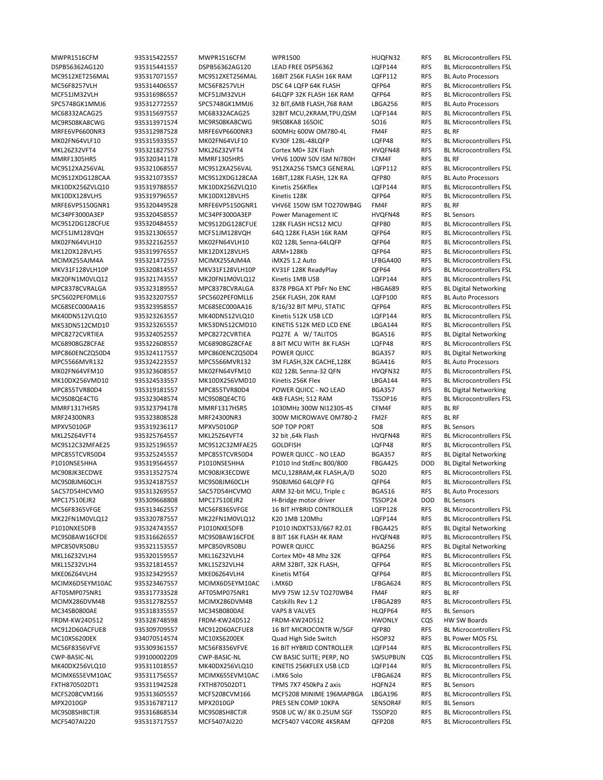MWPR1516CFM 935315422557 MWPR1516CFM WPR1500 HUQFN32 RFS BL Microcontrollers FSL DSPB56362AG120 935315441557 DSPB56362AG120 LEAD FREE DSP56362 LQFP144 RFS BL Microcontrollers FSL MC9S12XET256MAL 935317071557 MC9S12XET256MAL 16BIT 256K FLASH 16K RAM LQFP112 RFS BL Auto Processors MC56F8257VLH 935314406557 MC56F8257VLH DSC 64 LQFP 64K FLASH QFP64 RFS BL Microcontrollers FSL MCF51JM32VLH 935316986557 MCF51JM32VLH 64LQFP 32K FLASH 16K RAM QFP64 RFS BL Microcontrollers FSL SPC5748GK1MMJ6 935312772557 SPC5748GK1MMJ6 32 BIT,6MB FLASH,768 RAM LBGA256 RFS BL Auto Processors MC68332ACAG25 935315697557 MC68332ACAG25 32BIT MCU,2KRAM,TPU,QSM LQFP144 RFS BL Microcontrollers FSL MC9RS08KA8CWG 935313971574 MC9RS08KA8CWG 9RS08KA8 16SOIC SO16 RFS BL Microcontrollers FSL MRFE6VP6600NR3 935312987528 MRFE6VP6600NR3 600MHz 600W OM780‐4L FM4F RFS BL RF MK02FN64VLF10 935315933557 MK02FN64VLF10 KV30F 128L-48LQFP LQFP48 RFS BL Microcontrollers FSL MKL26Z32VFT4 935321827557 MKL26Z32VFT4 Cortex M0+ 32K Flash HVQFN48 RFS BL Microcontrollers FSL MMRF1305HR5 935320341178 MMRF1305HR5 VHV6 100W 50V ISM NI780H CFM4F RFS BL RF MC9S12XA256VAL 935321068557 MC9S12XA256VAL 9S12XA256 TSMC3 GENERAL LQFP112 RFS BL Microcontrollers FSL MC9S12XDG128CAA 935321073557 MC9S12XDG128CAA 16BIT,128K FLASH, 12K RA QFP80 RFS BL Auto Processors MK10DX256ZVLQ10 935319788557 MK10DX256ZVLQ10 Kinetis 256Kflex LQFP144 RFS BL Microcontrollers FSL MK10DX128VLH5 935319796557 MK10DX128VLH5 Kinetis 128K QFP64 RFS BL Microcontrollers FSL MRFE6VP5150GNR1 935320449528 MRFE6VP5150GNR1 VHV6E 150W ISM TO270WB4G FM4F RFS BL RF MC34PF3000A3EP 935320458557 MC34PF3000A3EP Power Management IC HVQFN48 RFS BL Sensors MC9S12DG128CFUE 935320484557 MC9S12DG128CFUE 128K FLASH HCS12 MCU QFP80 RFS BL Microcontrollers FSL MCF51JM128VQH 935321306557 MCF51JM128VQH 64Q 128K FLASH 16K RAM QFP64 RFS BL Microcontrollers FSL K02 128L Senna-64LQFP QFP64 RFS BL Microcontrollers FSL MK12DX128VLH5 935319976557 MK12DX128VLH5 ARM+128Kb QFP64 RFS BL Microcontrollers FSL MCIMX255AJM4A 935321472557 MCIMX255AJM4A iMX25 1.2 Auto LFBGA400 RFS BL Microcontrollers FSL MKV31F128VLH10P 935320814557 MKV31F128VLH10P KV31F 128K ReadyPlay QFP64 RFS BL Microcontrollers FSL MK20FN1M0VLQ12 935321743557 MK20FN1M0VLQ12 Kinetis 1MB USB LQFP144 RFS BL Microcontrollers FSL MPC8378CVRALGA 935323189557 MPC8378CVRALGA 8378 PBGA XT PbFr No ENC HBGA689 RFS BL Digital Networking SPC5602PEF0MLL6 935323207557 SPC5602PEF0MLL6 256K FLASH, 20K RAM LQFP100 RFS BL Auto Processors MC68SEC000AA16 935323958557 MC68SEC000AA16 8/16/32 BIT MPU, STATIC QFP64 RFS BL Microcontrollers FSL MK40DN512VLQ10 935323263557 MK40DN512VLQ10 Kinetis 512K USB LCD LQFP144 RFS BL Microcontrollers FSL MK53DN512CMD10 935323265557 MK53DN512CMD10 KINETIS 512K MED LCD ENE LBGA144 RFS BL Microcontrollers FSL MPC8272CVRTIEA 935324052557 MPC8272CVRTIEA PQ27E A W/ TALITOS BGA516 RFS BL Digital Networking MC68908GZ8CFAE 935322608557 MC68908GZ8CFAE 8 BIT MCU WITH 8K FLASH LQFP48 RFS BL Microcontrollers FSL MPC860ENCZQ50D4 935324117557 MPC860ENCZQ50D4 POWER QUICC BGA357 RFS BL Digital Networking MPC5566MVR132 935324223557 MPC5566MVR132 3M FLASH,32K CACHE,128K BGA416 RFS BL Auto Processors MK02FN64VFM10 935323608557 MK02FN64VFM10 K02 128L Senna‐32 QFN HVQFN32 RFS BL Microcontrollers FSL MK10DX256VMD10 935324533557 MK10DX256VMD10 Kinetis 256K Flex LBGA144 RFS BL Microcontrollers FSL MPC855TVR80D4 935319181557 MPC855TVR80D4 POWER QUICC ‐ NO LEAD BGA357 RFS BL Digital Networking MC9S08QE4CTG 935323048574 MC9S08QE4CTG 4KB FLASH; 512 RAM TSSOP16 RFS BL Microcontrollers FSL MMRF1317HSR5 935323794178 MMRF1317HSR5 1030MHz 300W NI1230S‐4S CFM4F RFS BL RF MRF24300NR3 935323808528 MRF24300NR3 300W MICROWAVE OM780-2 FM2F RFS BL RF<br>MPXV5010GP 935319236117 MPXV5010GP SOP TOP PORT SO8 RFS BL Se MPXV5010GP 935319236117 MPXV5010GP SOP TOP PORT SO8 RFS BL Sensors MKL25Z64VFT4 935325764557 MKL25Z64VFT4 32 bit ,64k Flash HVQFN48 RFS BL Microcontrollers FSL MC9S12C32MFAE25 935325196557 MC9S12C32MFAE25 GOLDFISH LOFP48 RFS BL Microcontrollers FSL MPC855TCVR50D4 935325245557 MPC855TCVR50D4 POWER QUICC ‐ NO LEAD BGA357 RFS BL Digital Networking P1010NSE5HHA 935319564557 P1010NSE5HHA P1010 Ind StdEnc 800/800 FBGA425 DOD BL Digital Networking MC908JK3ECDWE 935313527574 MC908JK3ECDWE MCU,128RAM,4K FLASH,A/D SO20 RFS BL Microcontrollers FSL MC9S08JM60CLH 935324187557 MC9S08JM60CLH 9S08JM60 64LQFP FG QFP64 RFS BL Microcontrollers FSL SAC57D54HCVMO 935313269557 SAC57D54HCVMO ARM 32-bit MCU, Triple c BGA516 RFS BL Auto Processors MPC17510EJR2 935309668808 MPC17510EJR2 H‐Bridge motor driver TSSOP24 DOD BL Sensors MC56F8365VFGE 935313462557 MC56F8365VFGE 16 BIT HYBRID CONTROLLER LQFP128 RFS BL Microcontrollers FSL MK22FN1M0VLQ12 935320787557 MK22FN1M0VLQ12 K20 1MB 120Mhz LQFP144 RFS BL Microcontrollers FSL P1010NXE5DFB 935324743557 P1010NXE5DFB P1010 INDXT533/667 R2.01 FBGA425 RFS BL Digital Networking MC9S08AW16CFDE 935316626557 MC9S08AW16CFDE 8 BIT 16K FLASH 4K RAM HVQFN48 RFS BL Microcontrollers FSL MPC850VR50BU 935321153557 MPC850VR50BU POWER QUICC BGA256 RFS BL Digital Networking MKL16Z32VLH4 935320159557 MKL16Z32VLH4 Cortex M0+ 48 Mhz 32K QFP64 RFS BL Microcontrollers FSL MKL15Z32VLH4 935321814557 MKL15Z32VLH4 ARM 32BIT, 32K FLASH, QFP64 RFS BL Microcontrollers FSL MKE06Z64VLH4 935323429557 MKE06Z64VLH4 Kinetis MT64 QFP64 RFS BL Microcontrollers FSL MCIMX6D5EYM10AC 935323467557 MCIMX6D5EYM10AC i.MX6D LEBGA624 RFS BL Microcontrollers FSL AFT05MP075NR1 935317733528 AFT05MP075NR1 MV9 75W 12.5V TO270WB4 FM4F RFS BL RF MCIMX286DVM4B 935312782557 MCIMX286DVM4B Catskills Rev 1.2 LFBGA289 RFS BL Microcontrollers FSL MC34SB0800AE 935318335557 MC34SB0800AE VAPS 8 VALVES HLQFP64 RFS BL Sensors FRDM‐KW24D512 935328748598 FRDM‐KW24D512 FRDM‐KW24D512 HWONLY CQS HW SW Boards MC912D60ACFUE8 935309709557 MC912D60ACFUE8 16 BIT MICROCONTR W/SGF QFP80 RFS BL Microcontrollers FSL MC10XS6200EK 934070514574 MC10XS6200EK Quad High Side Switch HSOP32 RFS BL Power MOS FSL<br>MCS6F8356VFVE 935309361557 MCS6F8356VFVE 16 BIT HYBRID CONTROLLER LQFP144 RFS BL Microcontroller MC56F8356VFVE 935309361557 MC56F8356VFVE 16 BIT HYBRID CONTROLLER LQFP144 RFS BL Microcontrollers FSL CWP‐BASIC‐NL 939100002209 CWP‐BASIC‐NL CW BASIC SUITE; PERP, NO SWSUPBUN CQS BL Microcontrollers FSL MK40DX256VLQ10 935311018557 MK40DX256VLQ10 KINETIS 256KFLEX USB LCD LQFP144 RFS BL Microcontrollers FSL MCIMX6S5EVM10AC 935311756557 MCIMX6S5EVM10AC i.MX6 Solo LFBGA624 RFS BL Microcontrollers FSL FXTH870502DT1 935311942528 FXTH870502DT1 TPMS 7X7 450kPa Z axis HQFN24 RFS BL Sensors MCF5208CVM166 935313605557 MCF5208CVM166 MCF5208 MINIME 196MAPBGA LBGA196 RFS BL Microcontrollers FSL MPX2010GP 935316787117 MPX2010GP PRES SEN COMP 10KPA SENSOR4F RFS BL Sensors MC9S08SH8CTJR 935316868534 MC9S08SH8CTJR 9S08 UC W/ 8K 0.25UM SGF TSSOP20 RFS BL Microcontrollers FSL MCF5407AI220 935313717557 MCF5407AI220 MCF5407 V4CORE 4KSRAM QFP208 RFS BL Microcontrollers FSL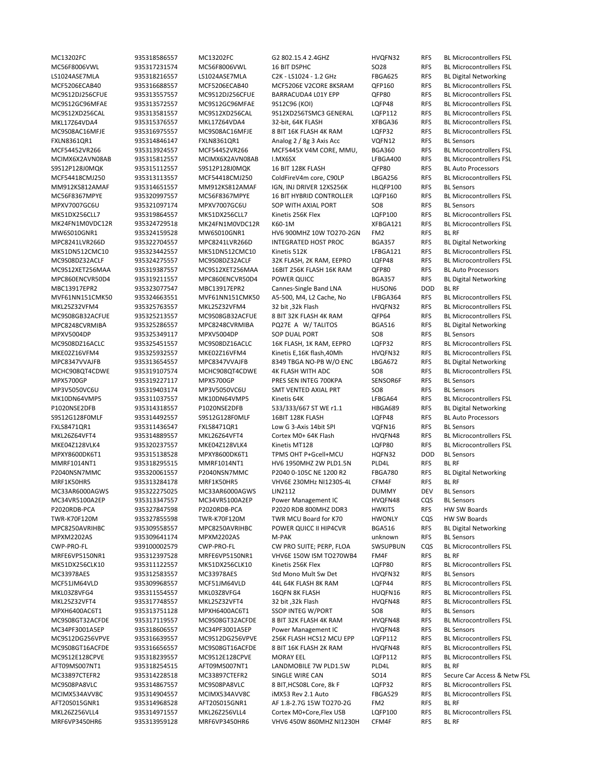MC13202FC 935318586557 MC13202FC G2 802.15.4 2.4GHZ HVQFN32 RFS BL Microcontrollers FSL MC56F8006VWL 935317231574 MC56F8006VWL 16 BIT DSPHC SO28 RFS BL Microcontrollers FSL LS1024ASE7MLA 935318216557 LS1024ASE7MLA C2K ‐ LS1024 ‐ 1.2 GHz FBGA625 RFS BL Digital Networking MCF5206ECAB40 935316688557 MCF5206ECAB40 MCF5206E V2CORE 8KSRAM QFP160 RFS BL Microcontrollers FSL MC9S12DJ256CFUE 935313557557 MC9S12DJ256CFUE BARRACUDA4 L01Y EPP QFP80 RFS BL Microcontrollers FSL MC9S12GC96MFAE 935313572557 MC9S12GC96MFAE 9S12C96 (KOI) LQFP48 RFS BL Microcontrollers FSL MC9S12XD256CAL 935313581557 MC9S12XD256CAL 9S12XD256TSMC3 GENERAL LQFP112 RFS BL Microcontrollers FSL MKL17Z64VDA4 935315376557 MKL17Z64VDA4 32‐bit, 64K FLASH XFBGA36 RFS BL Microcontrollers FSL MC9S08AC16MFJE 935316975557 MC9S08AC16MFJE 8 BIT 16K FLASH 4K RAM LQFP32 RFS BL Microcontrollers FSL FXLN8361QR1 935314846147 FXLN8361QR1 Analog 2 / 8g 3 Axis Acc VQFN12 RFS BL Sensors MCF54452VR266 935313924557 MCF54452VR266 MCF5445X V4M CORE, MMU, BGA360 RFS BL Microcontrollers FSL MCIMX6X2AVN08AB 935315812557 MCIMX6X2AVN08AB I.MX6SX LFBGA400 RFS BL Microcontrollers FSL S9S12P128J0MQK 935315112557 S9S12P128J0MQK 16 BIT 128K FLASH QFP80 RFS BL Auto Processors MCF54418CMJ250 935313113557 MCF54418CMJ250 ColdFireV4m core, C90LP LBGA256 RFS BL Microcontrollers FSL MM912KS812AMAF 935314651557 MM912KS812AMAF IGN, INJ DRIVER 12XS256K HLQFP100 RFS BL Sensors MC56F8367MPYE 935320997557 MC56F8367MPYE 16 BIT HYBRID CONTROLLER LQFP160 RFS BL Microcontrollers FSL MPXV7007GC6U 935321097174 MPXV7007GC6U SOP WITH AXIAL PORT SO8 RFS BL Sensors MK51DX256CLL7 935319864557 MK51DX256CLL7 Kinetis 256K Flex LOFP100 RFS BL Microcontrollers FSL MK24FN1M0VDC12R 935324729518 MK24FN1M0VDC12R K60‐1M XFBGA121 RFS BL Microcontrollers FSL MW6S010GNR1 935324159528 MW6S010GNR1 HV6 900MHZ 10W TO270-2GN FM2 RFS BL RF<br>MPC8241LVR266D 935322704557 MPC8241LVR266D INTEGRATED HOST PROC BGA357 RFS BL Digital Networking INTEGRATED HOST PROC BGA357 RFS MK51DN512CMC10 935323442557 MK51DN512CMC10 Kinetis 512K LFBGA121 RFS BL Microcontrollers FSL MC9S08DZ32ACLF 935324275557 MC9S08DZ32ACLF 32K FLASH, 2K RAM, EEPRO LQFP48 RFS BL Microcontrollers FSL MC9S12XET256MAA 935319387557 MC9S12XET256MAA 16BIT 256K FLASH 16K RAM QFP80 RFS BL Auto Processors MPC860ENCVR50D4 935319211557 MPC860ENCVR50D4 POWER QUICC BGA357 RFS BL Digital Networking MBC13917EPR2 935323077547 MBC13917EPR2 Cannes‐Single Band LNA HUSON6 DOD BL RF MVF61NN151CMK50 935324663551 MVF61NN151CMK50 A5‐500, M4, L2 Cache, No LFBGA364 RFS BL Microcontrollers FSL MKL25Z32VFM4 935325763557 MKL25Z32VFM4 32 bit ,32k Flash HVQFN32 RFS BL Microcontrollers FSL MC9S08GB32ACFUE 935325213557 MC9S08GB32ACFUE 8 BIT 32K FLASH 4K RAM QFP64 RFS BL Microcontrollers FSL MPC8248CVRMIBA 935325286557 MPC8248CVRMIBA PQ27E A W/ TALITOS BGA516 RFS BL Digital Networking MPXV5004DP 935325349117 MPXV5004DP SOP DUAL PORT SO8 RFS BL Sensors MC9S08DZ16ACLC 935325451557 MC9S08DZ16ACLC 16K FLASH, 1K RAM, EEPRO LQFP32 RFS BL Microcontrollers FSL MKE02Z16VFM4 935325932557 MKE02Z16VFM4 Kinetis E,16K flash,40Mh HVQFN32 RFS BL Microcontrollers FSL<br>MPC8347VVAJFB 935313654557 MPC8347VVAJFB 8349 TBGA NO-PB W/O ENC LBGA672 RFS BL Digital Networking 935313654557 MPC8347VVAJFB 8349 TBGA NO-PB W/O ENC LBGA672 RFS BL Digital Networking MCHC908QT4CDWE 935319107574 MCHC908QT4CDWE 4K FLASH WITH ADC SO8 RFS BL Microcontrollers FSL MPX5700GP 935319227117 MPX5700GP PRES SEN INTEG 700KPA SENSOR6F RFS BL Sensors MP3V5050VC6U 935319403174 MP3V5050VC6U SMT VENTED AXIAL PRT SO8 RFS BL Sensors MK10DN64VMP5 935311037557 MK10DN64VMP5 Kinetis 64K LFBGA64 RFS BL Microcontrollers FSL P1020NSE2DFB 935314318557 P1020NSE2DFB 533/333/667 ST WE r1.1 HBGA689 RFS BL Digital Networking S9S12G128F0MLF 935314492557 S9S12G128F0MLF 16BIT 128K FLASH LQFP48 RFS BL Auto Processors FXLS8471QR1 935311436547 FXLS8471QR1 Low G 3‐Axis 14bit SPI VQFN16 RFS BL Sensors MKL26Z64VFT4 935314889557 MKL26Z64VFT4 Cortex M0+ 64K Flash HVQFN48 RFS BL Microcontrollers FSL MKE04Z128VLK4 935320237557 MKE04Z128VLK4 Kinetis MT128 LQFP80 RFS BL Microcontrollers FSL MPXY8600DK6T1 935315138528 MPXY8600DK6T1 TPMS OHT P+Gcell+MCU HQFN32 DOD BL Sensors MMRF1014NT1 935318295515 MMRF1014NT1 HV6 1950MHZ 2W PLD1.5N PLD4L RFS BL RF P2040NSN7MMC 935320061557 P2040NSN7MMC P2040 0‐105C NE 1200 R2 FBGA780 RFS BL Digital Networking MRF1K50HR5 935313284178 MRF1K50HR5 VHV6E 230MHz NI1230S‐4L CFM4F RFS BL RF MC33AR6000AGWS 935322275025 MC33AR6000AGWS LIN2112 DUMMY DEV BL Sensors MC34VR5100A2EP 935313347557 MC34VR5100A2EP Power Management IC HVQFN48 CQS BL Sensors P2020RDB‐PCA 935327847598 P2020RDB‐PCA P2020 RDB 800MHZ DDR3 HWKITS RFS HW SW Boards TWR‐K70F120M 935327855598 TWR‐K70F120M TWR MCU Board for K70 HWONLY CQS HW SW Boards MPC8250AVRIHBC 935309558557 MPC8250AVRIHBC POWER QUICC II HIP4CVR BGA516 RFS BL Digital Networking MPXM2202AS 935309641174 MPXM2202AS M‐PAK unknown RFS BL Sensors CWP‐PRO‐FL 939100002579 CWP‐PRO‐FL CW PRO SUITE; PERP, FLOA SWSUPBUN CQS BL Microcontrollers FSL MRFE6VP5150NR1 935312397528 MRFE6VP5150NR1 VHV6E 150W ISM TO270WB4 FM4F RFS BL RF MK51DX256CLK10 935311122557 MK51DX256CLK10 Kinetis 256K Flex LQFP80 RFS BL Microcontrollers FSL MC33978AES 935312583557 MC33978AES Std Mono Mult Sw Det HVQFN32 RFS BL Sensors MCF51JM64VLD 935309968557 MCF51JM64VLD 44L 64K FLASH 8K RAM LQFP44 RFS BL Microcontrollers FSL MKL03Z8VFG4 935311554557 MKL03Z8VFG4 16QFN 8K FLASH HUQFN16 RFS BL Microcontrollers FSL MKL25Z32VFT4 935317748557 MKL25Z32VFT4 32 bit ,32k Flash HVQFN48 RFS BL Microcontrollers FSL MPXH6400AC6T1 935313751128 MPXH6400AC6T1 SSOP INTEG W/PORT SO8 RFS BL Sensors MC9S08GT32ACFDE 935317119557 MC9S08GT32ACFDE 8 BIT 32K FLASH 4K RAM HVQFN48 RFS BL Microcontrollers FSL MC34PF3001A5EP 935318606557 MC34PF3001A5EP Power Management IC HVQFN48 RFS BL Sensors MC9S12DG256VPVE 935316639557 MC9S12DG256VPVE 256K FLASH HCS12 MCU EPP LQFP112 RFS BL Microcontrollers FSL MC9S08GT16ACFDE 935316656557 MC9S08GT16ACFDE 8 BIT 16K FLASH 2K RAM HVQFN48 RFS BL Microcontrollers FSL MC9S12E128CPVE 935318239557 MC9S12E128CPVE MORAY EEL LQFP112 RFS BL Microcontrollers FSL AFT09MS007NT1 935318254515 AFT09MS007NT1 LANDMOBILE 7W PLD1.5W PLD4L RFS BL RF MC9S08PA8VLC 935314867557 MC9S08PA8VLC 8 BIT,HCS08L Core, 8k F LQFP32 RFS BL Microcontrollers FSL MCIMX534AVV8C 935314904557 MCIMX534AVV8C iMX53 Rev 2.1 Auto FBGA529 RFS BL Microcontrollers FSL AFT20S015GNR1 935314968528 AFT20S015GNR1 AF 1.8‐2.7G 15W TO270‐2G FM2 RFS BL RF MKL26Z256VLL4 935314971557 MKL26Z256VLL4 Cortex M0+Core,Flex USB LQFP100 RFS BL Microcontrollers FSL MRF6VP3450HR6 935313959128 MRF6VP3450HR6 VHV6 450W 860MHZ NI1230H CFM4F RFS BL RF

MC33897CTEFR2 935314228518 MC33897CTEFR2 SINGLE WIRE CAN SO14 RFS Secure Car Access & Netw FSL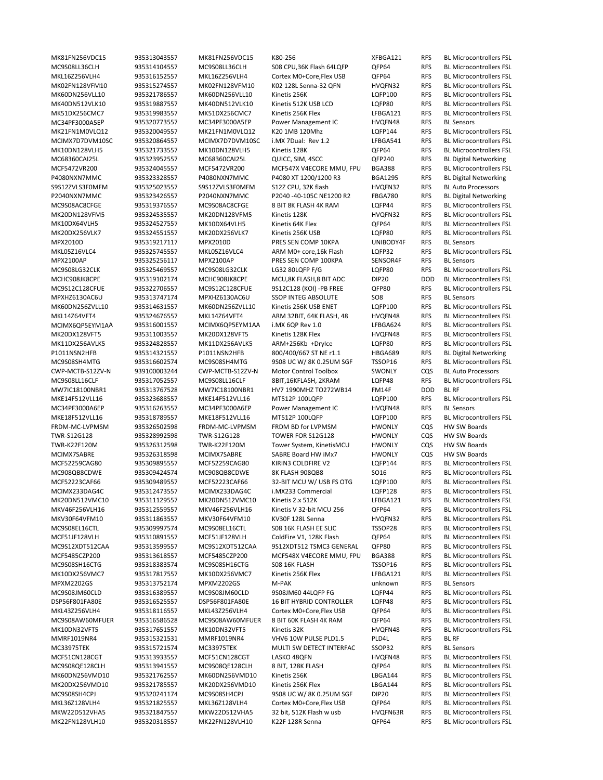MC34PF3000A5EP 935320773557 MC34PF3000A5EP Power Management IC HVQFN48 RFS BL Sensors MC68360CAI25L 935323952557 MC68360CAI25L QUICC, SIM, 4SCC QFP240 RFS BL Digital Networking P4080NXN7MMC 935323328557 P4080NXN7MMC P4080 XT 1200/1200 R3 BGA1295 RFS BL Digital Networking S9S12ZVLS3F0MFM 935325023557 S9S12ZVLS3F0MFM S12Z CPU, 32K flash HVQFN32 RFS BL Auto Processors P2040NXN7MMC 935323426557 P2040NXN7MMC P2040 -40-105C NE1200 R2 FBGA780 RFS BL Digital Networking 935319217117 MPX2010D PRES SEN COMP 10KPA UNIBODY4F RFS MPX2100AP 935325256117 MPX2100AP PRES SEN COMP 100KPA SENSOR4F RFS BL Sensors MPXHZ6130AC6U 935313747174 MPXHZ6130AC6U SSOP INTEG ABSOLUTE SO8 RFS BL Sensors P1011NSN2HFB 935314321557 P1011NSN2HFB 800/400/667 ST NE r1.1 HBGA689 RFS BL Digital Networking<br>MC9S08SH4MTG 935316602574 MC9S08SH4MTG 9S08 UC W/ 8K 0.25UM SGF TSSOP16 RFS BL Microcontrollers FS CWP‐MCTB‐S12ZV‐N 939100003244 CWP‐MCTB‐S12ZV‐N Motor Control Toolbox SWONLY CQS BL Auto Processors MW7IC18100NBR1 935313767528 MW7IC18100NBR1 HV7 1990MHZ TO272WB14 FM14F DOD BL RF MC34PF3000A6EP 935316263557 MC34PF3000A6EP Power Management IC HVQFN48 RFS BL Sensors FRDM‐MC‐LVPMSM 935326502598 FRDM‐MC‐LVPMSM FRDM BD for LVPMSM HWONLY CQS HW SW Boards TWR‐S12G128 935328992598 TWR‐S12G128 TOWER FOR S12G128 HWONLY CQS HW SW Boards TWR‐K22F120M 935326312598 TWR‐K22F120M Tower System, KinetisMCU HWONLY CQS HW SW Boards MCIMX7SABRE 935326318598 MCIMX7SABRE SABRE Board HW iMx7 HWONLY CQS HW SW Boards MPXM2202GS 935313752174 MPXM2202GS M‐PAK unknown RFS BL Sensors MMRF1019NR4 935315321531 MMRF1019NR4 VHV6 10W PULSE PLD1.5 PLD4L RFS BL RF MC33975TEK 935315721574 MC33975TEK MULTI SW DETECT INTERFAC SSOP32 RFS BL Sensors

MK81FN256VDC15 935313043557 MK81FN256VDC15 K80‐256 XFBGA121 RFS BL Microcontrollers FSL MC9S08LL36CLH 935314104557 MC9S08LL36CLH S08 CPU,36K Flash 64LQFP QFP64 RFS BL Microcontrollers FSL MKL16Z256VLH4 935316152557 MKL16Z256VLH4 Cortex M0+Core,Flex USB QFP64 RFS BL Microcontrollers FSL MK02FN128VFM10 935315274557 MK02FN128VFM10 K02 128L Senna‐32 QFN HVQFN32 RFS BL Microcontrollers FSL MK60DN256VLL10 935321786557 MK60DN256VLL10 Kinetis 256K LQFP100 RFS BL Microcontrollers FSL MK40DN512VLK10 935319887557 MK40DN512VLK10 Kinetis 512K USB LCD LQFP80 RFS BL Microcontrollers FSL MK51DX256CMC7 935319983557 MK51DX256CMC7 Kinetis 256K Flex LFBGA121 RFS BL Microcontrollers FSL MK21FN1M0VLQ12 935320049557 MK21FN1M0VLQ12 K20 1MB 120Mhz LQFP144 RFS BL Microcontrollers FSL MCIMX7D7DVM10SC 935320864557 MCIMX7D7DVM10SC i.MX 7Dual: Rev 1.2 LFBGA541 RFS BL Microcontrollers FSL MK10DN128VLH5 935321733557 MK10DN128VLH5 Kinetis 128K QFP64 RFS BL Microcontrollers FSL MCF5472VR200 935324045557 MCF5472VR200 MCF547X V4ECORE MMU, FPU BGA388 RFS BL Microcontrollers FSL MC9S08AC8CFGE 935319376557 MC9S08AC8CFGE 8 BIT 8K FLASH 4K RAM LQFP44 RFS BL Microcontrollers FSL MK20DN128VFM5 935324535557 MK20DN128VFM5 Kinetis 128K HVQFN32 RFS BL Microcontrollers FSL MK10DX64VLH5 935324527557 MK10DX64VLH5 Kinetis 64K Flex QFP64 RFS BL Microcontrollers FSL MK20DX256VLK7 935324551557 MK20DX256VLK7 Kinetis 256K USB LQFP80 RFS BL Microcontrollers FSL<br>MPX2010D 935319217117 MPX2010D PRES SEN COMP 10KPA UNIBODY4F RFS BL Sensors MKL05Z16VLC4 935325745557 MKL05Z16VLC4 ARM M0+ core,16k Flash LQFP32 RFS BL Microcontrollers FSL MC9S08LG32CLK 935325469557 MC9S08LG32CLK LG32 80LQFP F/G LQFP80 RFS BL Microcontrollers FSL MCHC908JK8CPE 935319102174 MCHC908JK8CPE MCU,8K FLASH,8 BIT ADC DIP20 DOD BL Microcontrollers FSL MC9S12C128CFUE 935322706557 MC9S12C128CFUE 9S12C128 (KOI) ‐PB FREE QFP80 RFS BL Microcontrollers FSL MK60DN256ZVLL10 935314631557 MK60DN256ZVLL10 Kinetis 256K USB ENET LQFP100 RFS BL Microcontrollers FSL MKL14Z64VFT4 935324676557 MKL14Z64VFT4 ARM 32BIT, 64K FLASH, 48 HVQFN48 RFS BL Microcontrollers FSL MCIMX6QP5EYM1AA 935316001557 MCIMX6QP5EYM1AA i.MX 6QP Rev 1.0 LFBGA624 RFS BL Microcontrollers FSL MK20DX128VFT5 935311003557 MK20DX128VFT5 Kinetis 128K Flex HVQFN48 RFS BL Microcontrollers FSL MK11DX256AVLK5 935324828557 MK11DX256AVLK5 ARM+256Kb +DryIce LQFP80 RFS BL Microcontrollers FSL MC9S08SH4MTG 935316602574 MC9S08SH4MTG 9S08 UC W/ 8K 0.25UM SGF TSSOP16 RFS BL Microcontrollers FSL MC9S08LL16CLF 935317052557 MC9S08LL16CLF 8BIT,16KFLASH, 2KRAM LQFP48 RFS BL Microcontrollers FSL MKE14F512VLL16 935323688557 MKE14F512VLL16 MT512P 100LQFP LQFP100 RFS BL Microcontrollers FSL MKE18F512VLL16 935318789557 MKE18F512VLL16 MT512P 100LQFP LQFP100 RFS BL Microcontrollers FSL MCF52259CAG80 935309895557 MCF52259CAG80 KIRIN3 COLDFIRE V2 LQFP144 RFS BL Microcontrollers FSL MC908QB8CDWE 935309424574 MC908QB8CDWE 8K FLASH 908QB8 SO16 RFS BL Microcontrollers FSL MCF52223CAF66 935309489557 MCF52223CAF66 32‐BIT MCU W/ USB FS OTG LQFP100 RFS BL Microcontrollers FSL MCIMX233DAG4C 935312473557 MCIMX233DAG4C i.MX233 Commercial LQFP128 RFS BL Microcontrollers FSL MK20DN512VMC10 935311129557 MK20DN512VMC10 Kinetis 2.x 512K LFBGA121 RFS BL Microcontrollers FSL MKV46F256VLH16 935312559557 MKV46F256VLH16 Kinetis V 32‐bit MCU 256 QFP64 RFS BL Microcontrollers FSL MKV30F64VFM10 935311863557 MKV30F64VFM10 KV30F 128L Senna HVQFN32 RFS BL Microcontrollers FSL MC9S08EL16CTL 935309997574 MC9S08EL16CTL S08 16K FLASH EE SLIC TSSOP28 RFS BL Microcontrollers FSL MCF51JF128VLH 935310891557 MCF51JF128VLH ColdFire V1, 128K Flash QFP64 RFS BL Microcontrollers FSL MC9S12XDT512CAA 935313599557 MC9S12XDT512CAA 9S12XDT512 TSMC3 GENERAL QFP80 RFS BL Microcontrollers FSL MCF5485CZP200 935313618557 MCF5485CZP200 MCF548X V4ECORE MMU, FPU BGA388 RFS BL Microcontrollers FSL MC9S08SH16CTG 935318383574 MC9S08SH16CTG S08 16K FLASH TSSOP16 RFS BL Microcontrollers FSL MK10DX256VMC7 935317817557 MK10DX256VMC7 Kinetis 256K Flex LFBGA121 RFS BL Microcontrollers FSL MC9S08JM60CLD 935316389557 MC9S08JM60CLD 9S08JM60 44LQFP FG LQFP44 RFS BL Microcontrollers FSL DSP56F801FA80E 935316525557 DSP56F801FA80E 16 BIT HYBRID CONTROLLER LQFP48 RFS BL Microcontrollers FSL MKL43Z256VLH4 935318116557 MKL43Z256VLH4 Cortex M0+Core,Flex USB QFP64 RFS BL Microcontrollers FSL MC9S08AW60MFUER 935316586528 MC9S08AW60MFUER 8 BIT 60K FLASH 4K RAM QFP64 RFS BL Microcontrollers FSL MK10DN32VFT5 935317651557 MK10DN32VFT5 Kinetis 32K HVQFN48 RFS BL Microcontrollers FSL MCF51CN128CGT 935313933557 MCF51CN128CGT LASKO 48QFN HVQFN48 RFS BL Microcontrollers FSL MC9S08QE128CLH 935313941557 MC9S08QE128CLH 8 BIT, 128K FLASH QFP64 RFS BL Microcontrollers FSL MK60DN256VMD10 935321762557 MK60DN256VMD10 Kinetis 256K LBGA144 RFS BL Microcontrollers FSL MK20DX256VMD10 935321785557 MK20DX256VMD10 Kinetis 256K Flex LBGA144 RFS BL Microcontrollers FSL MC9S08SH4CPJ 935320241174 MC9S08SH4CPJ 9S08 UC W/ 8K 0.25UM SGF DIP20 RFS BL Microcontrollers FSL MKL36Z128VLH4 935321825557 MKL36Z128VLH4 Cortex M0+Core,Flex USB QFP64 RFS BL Microcontrollers FSL MKW22D512VHA5 935321847557 MKW22D512VHA5 32 bit, 512K Flash w usb HVQFN63R RFS BL Microcontrollers FSL MK22FN128VLH10 935320318557 MK22FN128VLH10 K22F 128R Senna QFP64 RFS BL Microcontrollers FSL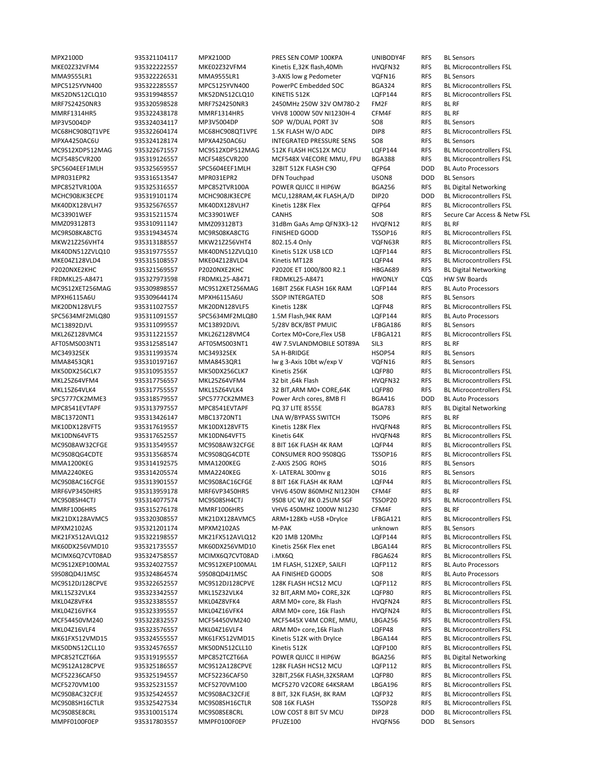MPX2100D 935321104117 MPX2100D PRES SEN COMP 100KPA UNIBODY4F RFS BL Sensors MKE02Z32VFM4 935322222557 MKE02Z32VFM4 Kinetis E,32K flash,40Mh HVQFN32 RFS BL Microcontrollers FSL MMA9555LR1 935322226531 MMA9555LR1 3‐AXIS low g Pedometer VQFN16 RFS BL Sensors MPC5125YVN400 935322285557 MPC5125YVN400 PowerPC Embedded SOC BGA324 RFS BL Microcontrollers FSL MK52DN512CLQ10 935319948557 MK52DN512CLQ10 KINETIS 512K LQFP144 RFS BL Microcontrollers FSL MRF7S24250NR3 935320598528 MRF7S24250NR3 2450MHz 250W 32V OM780‐2 FM2F RFS BL RF MMRF1314HR5 935322438178 MMRF1314HR5 VHV8 1000W 50V NI1230H‐4 CFM4F RFS BL RF MP3V5004DP 935324034117 MP3V5004DP SOP W/DUAL PORT 3V SO8 RFS BL Sensors MC68HC908QT1VPE 935322604174 MC68HC908QT1VPE 1.5K FLASH W/O ADC DIP8 RFS BL Microcontrollers FSL MPXA4250AC6U 935324128174 MPXA4250AC6U INTEGRATED PRESSURE SENS SO8 RFS BL Sensors MC9S12XDP512MAG 935322671557 MC9S12XDP512MAG 512K FLASH HCS12X MCU LQFP144 RFS BL Microcontrollers FSL MCF5485CVR200 935319126557 MCF5485CVR200 MCF548X V4ECORE MMU, FPU BGA388 RFS BL Microcontrollers FSL SPC5604EEF1MLH 935325659557 SPC5604EEF1MLH 32BIT 512K FLASH C90 QFP64 DOD BL Auto Processors MPR031EPR2 935316513547 MPR031EPR2 DFN Touchpad USON8 DOD BL Sensors MPC852TVR100A 935325316557 MPC852TVR100A POWER QUICC II HIP6W BGA256 RFS BL Digital Networking MCHC908JK3ECPE 935319101174 MCHC908JK3ECPE MCU,128RAM,4K FLASH,A/D DIP20 DOD BL Microcontrollers FSL MK40DX128VLH7 935325676557 MK40DX128VLH7 Kinetis 128K Flex QFP64 RFS BL Microcontrollers FSL MMZ09312BT3 935310911147 MMZ09312BT3 31dBm GaAs Amp QFN3X3‐12 HVQFN12 RFS BL RF MC9RS08KA8CTG 935319434574 MC9RS08KA8CTG FINISHED GOOD TSSOP16 RFS BL Microcontrollers FSL<br>MKW21Z256VHT4 935313188557 MKW21Z256VHT4 802.15.4 Only VQFN63R RFS BL Microcontrollers FSL MKW21Z256VHT4 935313188557 MKW21Z256VHT4 802.15.4 Only VQFN63R RFS BL Microcontrollers FSL MK40DN512ZVLQ10 935319775557 MK40DN512ZVLQ10 Kinetis 512K USB LCD LQFP144 RFS BL Microcontrollers FSL MKE04Z128VLD4 935315108557 MKE04Z128VLD4 Kinetis MT128 LQFP44 RFS BL Microcontrollers FSL P2020NXE2KHC 935321569557 P2020NXE2KHC P2020E ET 1000/800 R2.1 HBGA689 RFS BL Digital Networking FRDMKL25‐A8471 935327973598 FRDMKL25‐A8471 FRDMKL25‐A8471 HWONLY CQS HW SW Boards MC9S12XET256MAG 935309898557 MC9S12XET256MAG 16BIT 256K FLASH 16K RAM LQFP144 RFS BL Auto Processors MPXH6115A6U 935309644174 MPXH6115A6U SSOP INTERGATED SO8 RFS BL Sensors MK20DN128VLF5 935311027557 MK20DN128VLF5 Kinetis 128K LQFP48 RFS BL Microcontrollers FSL SPC5634MF2MLQ80 935311091557 SPC5634MF2MLQ80 1.5M Flash,94K RAM LQFP144 RFS BL Auto Processors<br>
MC13892DJVL 935311099557 MC13892DJVL 5/28V BCK/BST PMUIC LFBGA186 RFS BL Sensors MC13892DJVL 935311099557 MC13892DJVL 5/28V BCK/BST PMUIC LFBGA186 RFS MKL26Z128VMC4 935311221557 MKL26Z128VMC4 Cortex M0+Core,Flex USB LFBGA121 RFS BL Microcontrollers FSL AFT05MS003NT1 935312585147 AFT05MS003NT1 4W 7.5VLANDMOBILE SOT89A SIL3 RFS BL RF MC34932SEK 935311993574 MC34932SEK 5A H‐BRIDGE HSOP54 RFS BL Sensors MMA8453QR1 935310197167 MMA8453QR1 lw g 3-Axis 10bt w/exp V VQFN16 RFS BL Sensors MK50DX256CLK7 935310953557 MK50DX256CLK7 Kinetis 256K LQFP80 RFS BL Microcontrollers FSL MKL25Z64VFM4 935317756557 MKL25Z64VFM4 32 bit ,64k Flash HVQFN32 RFS BL Microcontrollers FSL MKL15Z64VLK4 935317755557 MKL15Z64VLK4 32 BIT,ARM M0+ CORE,64K LQFP80 RFS BL Microcontrollers FSL SPC5777CK2MME3 935318579557 SPC5777CK2MME3 Power Arch cores, 8MB Fl BGA416 DOD BL Auto Processors MPC8541EVTAPF 935313797557 MPC8541EVTAPF PQ 37 LITE 8555E BGA783 RFS BL Digital Networking MBC13720NT1 935313426147 MBC13720NT1 LNA W/BYPASS SWITCH TSOP6 RFS BL RF MK10DX128VFT5 935317619557 MK10DX128VFT5 Kinetis 128K Flex HVQFN48 RFS BL Microcontrollers FSL MK10DN64VFT5 935317652557 MK10DN64VFT5 Kinetis 64K HVQFN48 RFS BL Microcontrollers FSL MC9S08AW32CFGE 935313549557 MC9S08AW32CFGE 8 BIT 16K FLASH 4K RAM LQFP44 RFS BL Microcontrollers FSL MC9S08QG4CDTE 935313568574 MC9S08QG4CDTE CONSUMER ROO 9S08QG TSSOP16 RFS BL Microcontrollers FSL MMA1200KEG 935314192575 MMA1200KEG Z-AXIS 250G ROHS SO16 RFS BL Sensors MMA2240KEG 935314205574 MMA2240KEG X-LATERAL 300mv g SO16 RFS BL Sensors MC9S08AC16CFGE 935313901557 MC9S08AC16CFGE 8 BIT 16K FLASH 4K RAM LQFP44 RFS BL Microcontrollers FSL MRF6VP3450HR5 935313959178 MRF6VP3450HR5 VHV6 450W 860MHZ NI1230H CFM4F RFS BL RF MC9S08SH4CTJ 935314077574 MC9S08SH4CTJ 9S08 UC W/ 8K 0.25UM SGF TSSOP20 RFS BL Microcontrollers FSL MMRF1006HR5 935315276178 MMRF1006HR5 VHV6 450MHZ 1000W NI1230 CFM4F RFS BL RF MK21DX128AVMC5 935320308557 MK21DX128AVMC5 ARM+128Kb +USB +DryIce LFBGA121 RFS BL Microcontrollers FSL MPXM2102AS 935321201174 MPXM2102AS M‐PAK unknown RFS BL Sensors MK21FX512AVLQ12 935322198557 MK21FX512AVLQ12 K20 1MB 120Mhz LQFP144 RFS BL Microcontrollers FSL MK60DX256VMD10 935321735557 MK60DX256VMD10 Kinetis 256K Flex enet LBGA144 RFS BL Microcontrollers FSL MCIMX6Q7CVT08AD 935324758557 MCIMX6Q7CVT08AD i.MX6Q FBGA624 RFS BL Microcontrollers FSL MC9S12XEP100MAL 935324027557 MC9S12XEP100MAL 1M FLASH, S12XEP, SAILFI LQFP112 RFS BL Auto Processors S9S08QD4J1MSC 935324864574 S9S08QD4J1MSC AA FINISHED GOODS SO8 RFS BL Auto Processors MC9S12DJ128CPVE 935322652557 MC9S12DJ128CPVE 128K FLASH HCS12 MCU LQFP112 RFS BL Microcontrollers FSL MKL15Z32VLK4 935323342557 MKL15Z32VLK4 32 BIT,ARM M0+ CORE,32K LQFP80 RFS BL Microcontrollers FSL MKL04Z8VFK4 935323385557 MKL04Z8VFK4 ARM M0+ core, 8k Flash HVQFN24 RFS BL Microcontrollers FSL MKL04Z16VFK4 935323395557 MKL04Z16VFK4 ARM M0+ core, 16k Flash HVQFN24 RFS BL Microcontrollers FSL MCF54450VM240 935322832557 MCF54450VM240 MCF5445X V4M CORE, MMU, LBGA256 RFS BL Microcontrollers FSL MKL04Z16VLF4 935323576557 MKL04Z16VLF4 ARM M0+ core,16k Flash LQFP48 RFS BL Microcontrollers FSL MK61FX512VMD15 935324555557 MK61FX512VMD15 Kinetis 512K with DryIce LBGA144 RFS BL Microcontrollers FSL MK50DN512CLL10 935324576557 MK50DN512CLL10 Kinetis 512K LQFP100 RFS BL Microcontrollers FSL MPC852TCZT66A 935319195557 MPC852TCZT66A POWER QUICC II HIP6W BGA256 RFS BL Digital Networking MC9S12A128CPVE 935325186557 MC9S12A128CPVE 128K FLASH HCS12 MCU LQFP112 RFS BL Microcontrollers FSL MCF52236CAF50 935325194557 MCF52236CAF50 32BIT,256K FLASH,32KSRAM LQFP80 RFS BL Microcontrollers FSL MCF5270VM100 935325231557 MCF5270VM100 MCF5270 V2CORE 64KSRAM LBGA196 RFS BL Microcontrollers FSL MC9S08AC32CFJE 935325424557 MC9S08AC32CFJE 8 BIT, 32K FLASH, 8K RAM LQFP32 RFS BL Microcontrollers FSL MC9S08SH16CTLR 935325427534 MC9S08SH16CTLR S08 16K FLASH TSSOP28 RFS BL Microcontrollers FSL MC9S08SE8CRL 935310015174 MC9S08SE8CRL LOW COST 8 BIT 5V MCU DIP28 DOD BL Microcontrollers FSL MMPF0100F0EP 935317803557 MMPF0100F0EP PFUZE100 HVQFN56 DOD BL Sensors

MC33901WEF 935315211574 MC33901WEF CANHS SO8 RFS Secure Car Access & Netw FSL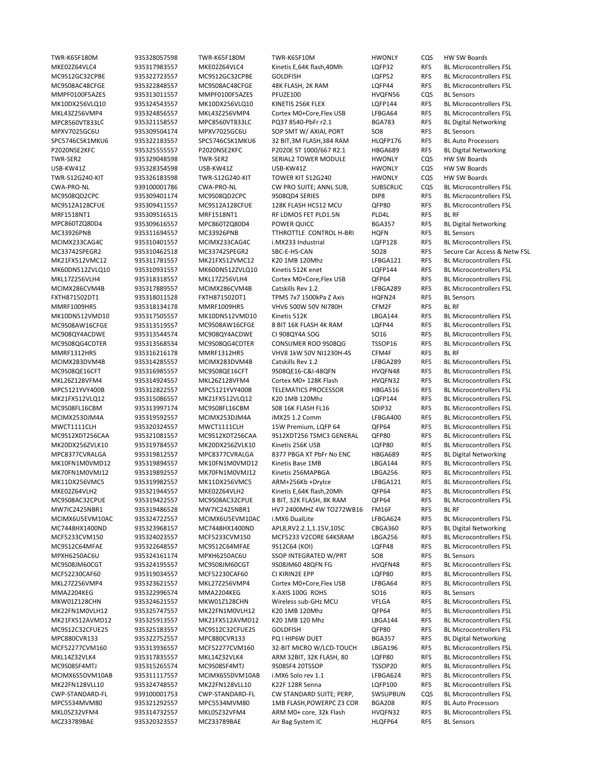TWR‐K65F180M 935328057598 TWR‐K65F180M TWR‐K65F10M HWONLY CQS HW SW Boards MKE02Z64VLC4 935317983557 MKE02Z64VLC4 Kinetis E,64K flash,40Mh LQFP32 RFS BL Microcontrollers FSL MC9S12GC32CPBE 935322723557 MC9S12GC32CPBE GOLDFISH LQFP52 RFS BL Microcontrollers FSL MC9S08AC48CFGE 935322848557 MC9S08AC48CFGE 48K FLASH, 2K RAM LQFP44 RFS BL Microcontrollers FSL MMPF0100F5AZES 935313011557 MMPF0100F5AZES PFUZE100 HVQFN56 CQS BL Sensors MK10DX256VLQ10 935324543557 MK10DX256VLQ10 KINETIS 256K FLEX LQFP144 RFS BL Microcontrollers FSL MKL43Z256VMP4 935324856557 MKL43Z256VMP4 Cortex M0+Core,Flex USB LFBGA64 RFS BL Microcontrollers FSL MPC8560VT833LC 935321158557 MPC8560VT833LC PQ37 8540‐PbFr r2.1 BGA783 RFS BL Digital Networking MPXV7025GC6U 935309504174 MPXV7025GC6U SOP SMT W/ AXIAL PORT SO8 RFS BL Sensors SPC5746CSK1MKU6 935322183557 SPC5746CSK1MKU6 32 BIT,3M FLASH,384 RAM HLQFP176 RFS BL Auto Processors P2020NSE2KFC 935325555557 P2020NSE2KFC P2020E ST 1000/667 R2.1 HBGA689 RFS BL Digital Networking TWR‐SER2 935329048598 TWR‐SER2 SERIAL2 TOWER MODULE HWONLY CQS HW SW Boards USB‐KW41Z 935328354598 USB‐KW41Z USB‐KW41Z HWONLY CQS HW SW Boards TWR‐S12G240‐KIT 935326183598 TWR‐S12G240‐KIT TOWER KIT S12G240 HWONLY CQS HW SW Boards CWA‐PRO‐NL 939100001786 CWA‐PRO‐NL CW PRO SUITE; ANNL SUB, SUBSCRLIC CQS BL Microcontrollers FSL MC9S08QD2CPC 935309401174 MC9S08QD2CPC 9S08QD4 SERIES DIP8 RFS BL Microcontrollers FSL MC9S12A128CFUE 935309411557 MC9S12A128CFUE 128K FLASH HCS12 MCU QFP80 RFS BL Microcontrollers FSL MRF1518NT1 935309516515 MRF1518NT1 RF LDMOS FET PLD1.5N PLD4L RFS BL RF MPC860TZQ80D4 935309616557 MPC860TZQ80D4 POWER QUICC BGA357 RFS BL Digital Networking MC33926PNB 935311694557 MC33926PNB TTHROTTLE CONTROL H-BRI HQFN RFS BL Sensors<br>MCIMX233CAG4C 935310401557 MCIMX233CAG4C i.MX233 Industrial LQFP128 RFS BL Microco MK21FX512VMC12 935311781557 MK21FX512VMC12 K20 1MB 120Mhz LFBGA121 RFS BL Microcontrollers FSL MK60DN512ZVLQ10 935310931557 MK60DN512ZVLQ10 Kinetis 512K enet LQFP144 RFS BL Microcontrollers FSL MKL17Z256VLH4 935318318557 MKL17Z256VLH4 Cortex M0+Core,Flex USB QFP64 RFS BL Microcontrollers FSL MCIMX286CVM4B 935317889557 MCIMX286CVM4B Catskills Rev 1.2 LFBGA289 RFS BL Microcontrollers FSL FXTH871502DT1 935318011528 FXTH871502DT1 TPMS 7x7 1500kPa Z Axis HQFN24 RFS BL Sensors MMRF1009HR5 935318134178 MMRF1009HR5 VHV6 500W 50V NI780H CFM2F RFS BL RF MK10DN512VMD10 935317505557 MK10DN512VMD10 Kinetis 512K LBGA144 RFS BL Microcontrollers FSL MC9S08AW16CFGE 935313519557 MC9S08AW16CFGE 8 BIT 16K FLASH 4K RAM LQFP44 RFS BL Microcontrollers FSL MC908QY4ACDWE 935313544574 MC908QY4ACDWE CI 908QY4A SOG SO16 RFS BL Microcontrollers FSL MC9S08QG4CDTER 935313568534 MC9S08QG4CDTER CONSUMER ROO 9S08QG TSSOP16 RFS BL Microcontrollers FSL MMRF1312HR5 935316216178 MMRF1312HR5 VHV8 1kW 50V NI1230H-4S CFM4F RFS BLIRF<br>MCIMX283DVM4B 935314285557 MCIMX283DVM4B Catskills Rev 1.2 LEBGA289 RFS BLIMi Catskills Rev 1.2 LFBGA289 RFS BL Microcontrollers FSL MC9S08QE16CFT 935316985557 MC9S08QE16CFT 9S08QE16‐C&I‐48QFN HVQFN48 RFS BL Microcontrollers FSL MKL26Z128VFM4 935314924557 MKL26Z128VFM4 Cortex M0+ 128K Flash HVQFN32 RFS BL Microcontrollers FSL MPC5121YVY400B 935312822557 MPC5121YVY400B TELEMATICS PROCESSOR HBGA516 RFS BL Microcontrollers FSL MK21FX512VLQ12 935315086557 MK21FX512VLQ12 K20 1MB 120Mhz LQFP144 RFS BL Microcontrollers FSL MC9S08FL16CBM 935313997174 MC9S08FL16CBM S08 16K FLASH FL16 SDIP32 RFS BL Microcontrollers FSL MCIMX253DJM4A 935319592557 MCIMX253DJM4A iMX25 1.2 Comm LFBGA400 RFS BL Microcontrollers FSL MWCT1111CLH 935320324557 MWCT1111CLH 15W Premium, LQFP 64 QFP64 RFS BL Microcontrollers FSL MC9S12XDT256CAA 935321081557 MC9S12XDT256CAA 9S12XDT256 TSMC3 GENERAL QFP80 RFS BL Microcontrollers FSL MK20DX256ZVLK10 935319784557 MK20DX256ZVLK10 Kinetis 256K USB LQFP80 RFS BL Microcontrollers FSL MPC8377CVRALGA 935319812557 MPC8377CVRALGA 8377 PBGA XT PbFr No ENC HBGA689 RFS BL Digital Networking MK10FN1M0VMD12 935319894557 MK10FN1M0VMD12 Kinetis Base 1MB LBGA144 RFS BL Microcontrollers FSL MK70FN1M0VMJ12 935319892557 MK70FN1M0VMJ12 Kinetis 256MAPBGA LBGA256 RFS BL Microcontrollers FSL MK11DX256VMC5 935319982557 MK11DX256VMC5 ARM+256Kb +DryIce LFBGA121 RFS BL Microcontrollers FSL MKE02Z64VLH2 935321944557 MKE02Z64VLH2 Kinetis E,64K flash,20Mh QFP64 RFS BL Microcontrollers FSL MC9S08AC32CPUE 935319422557 MC9S08AC32CPUE 8 BIT, 32K FLASH, 8K RAM QFP64 RFS BL Microcontrollers FSL MW7IC2425NBR1 935319486528 MW7IC2425NBR1 HV7 2400MHZ 4W TO272WB16 FM16F RFS BL RF MCIMX6U5EVM10AC 935324722557 MCIMX6U5EVM10AC i.MX6 DualLite LFBGA624 RFS BL Microcontrollers FSL MC7448HX1400ND 935323968157 MC7448HX1400ND APL8,RV2.2.1,1.15V,105C CBGA360 RFS BL Digital Networking MCF5233CVM150 935324023557 MCF5233CVM150 MCF5233 V2CORE 64KSRAM LBGA256 RFS BL Microcontrollers FSL MC9S12C64MFAE 935322648557 MC9S12C64MFAE 9S12C64 (KOI) LQFP48 RFS BL Microcontrollers FSL MPXH6250AC6U 935324161174 MPXH6250AC6U SSOP INTEGRATED W/PRT SO8 RFS BL Sensors MC9S08JM60CGT 935324195557 MC9S08JM60CGT 9S08JM60 48QFN FG HVQFN48 RFS BL Microcontrollers FSL MCF52230CAF60 935319034557 MCF52230CAF60 CI KIRIN2E EPP LQFP80 RFS BL Microcontrollers FSL MKL27Z256VMP4 935323621557 MKL27Z256VMP4 Cortex M0+Core, Flex USB LFBGA64 RFS BL Microcontrollers FSL<br>MMA2204KEG 935322996574 MMA2204KEG X-AXIS 100G ROHS SO16 RFS BL Sensors MMA2204KEG 935322996574 MMA2204KEG X-AXIS 100G ROHS SO16 RFS BL Sensors MKW01Z128CHN 935324621557 MKW01Z128CHN Wireless sub‐GHz MCU VFLGA RFS BL Microcontrollers FSL MK22FN1M0VLH12 935325747557 MK22FN1M0VLH12 K20 1MB 120Mhz QFP64 RFS BL Microcontrollers FSL MK21FX512AVMD12 935325913557 MK21FX512AVMD12 K20 1MB 120 Mhz LBGA144 RFS BL Microcontrollers FSL MC9S12C32CFUE25 935325183557 MC9S12C32CFUE25 GOLDFISH QFP80 RFS BL Microcontrollers FSL MPC880CVR133 935322752557 MPC880CVR133 PQ I HIP6W DUET BGA357 RFS BL Digital Networking MCF52277CVM160 935313936557 MCF52277CVM160 32‐BIT MICRO W/LCD‐TOUCH LBGA196 RFS BL Microcontrollers FSL MKL14Z32VLK4 935317835557 MKL14Z32VLK4 ARM 32BIT, 32K FLASH, 80 LQFP80 RFS BL Microcontrollers FSL MC9S08SF4MTJ 935315265574 MC9S08SF4MTJ 9S08SF4 20TSSOP TSSOP20 RFS BL Microcontrollers FSL MCIMX6S5DVM10AB 935311117557 MCIMX6S5DVM10AB i.MX6 Solo rev 1.1 LFBGA624 RFS BL Microcontrollers FSL MK22FN128VLL10 935324748557 MK22FN128VLL10 K22F 128R Senna LQFP100 RFS BL Microcontrollers FSL CWP‐STANDARD‐FL 939100001753 CWP‐STANDARD‐FL CW STANDARD SUITE; PERP, SWSUPBUN CQS BL Microcontrollers FSL MPC5534MVM80 935321292557 MPC5534MVM80 1MB FLASH,POWERPC Z3 COR BGA208 RFS BL Auto Processors MKL05Z32VFM4 935314732557 MKL05Z32VFM4 ARM M0+ core, 32k Flash HVQFN32 RFS BL Microcontrollers FSL MCZ33789BAE 935320323557 MCZ33789BAE Air Bag System IC HLQFP64 RFS BL Sensors

RFS BL Microcontrollers FSL MC33742SPEGR2 935310462518 MC33742SPEGR2 SBC‐E‐HS‐CAN SO28 RFS Secure Car Access & Netw FSL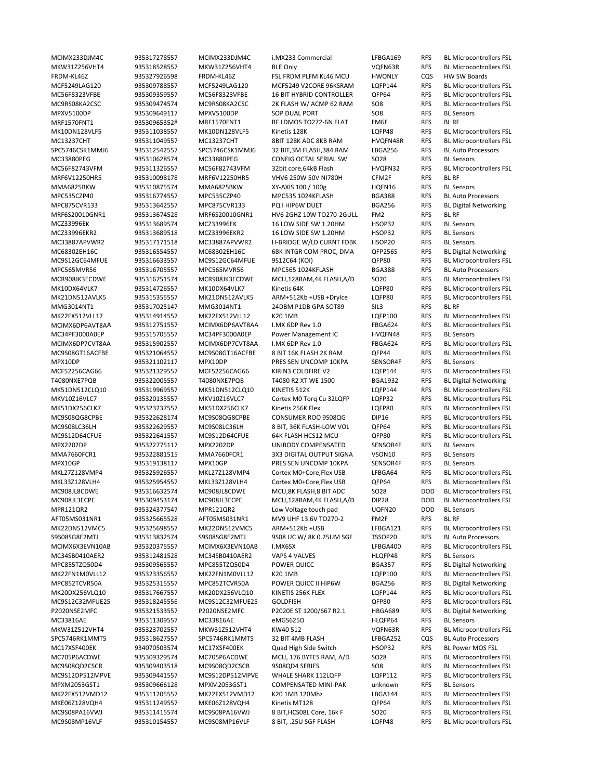FRDM‐KL46Z 935327926598 FRDM‐KL46Z FSL FRDM PLFM KL46 MCU HWONLY CQS HW SW Boards MPXV5100DP 935309649117 MPXV5100DP SOP DUAL PORT SO8 RFS BL Sensors MRF1570FNT1 935309653528 MRF1570FNT1 RF LDMOS TO272‐6N FLAT FM6F RFS BL RF SPC5746CSK1MMJ6 935312542557 SPC5746CSK1MMJ6 32 BIT,3M FLASH,384 RAM LBGA256 RFS BL Auto Processors MC33880PEG 935310628574 MC33880PEG CONFIG OCTAL SERIAL SW SO28 RFS BL Sensors MRF6V12250HR5 935310098178 MRF6V12250HR5 VHV6 250W 50V NI780H CFM2F RFS BL RF MMA6825BKW 935310875574 MMA6825BKW XY‐AXIS 100 / 100g HQFN16 RFS BL Sensors MPC535CZP40 935316774557 MPC535CZP40 MPC535 1024KFLASH BGA388 RFS BL Auto Processors MRF6S20010GNR1 935313674528 MRF6S20010GNR1 HV6 2GHZ 10W TO270‐2GULL FM2 RFS BL RF MCZ33996EK 935313689574 MCZ33996EK 16 LOW SIDE SW 1.20HM HSOP32 RFS BL Sensors MCZ33996EKR2 935313689518 MCZ33996EKR2 16 LOW SIDE SW 1.20HM HSOP32 RFS BL Sensors H-BRIDGE W/LD CURNT FDBK HSOP20 RFS MCR908JK3ECDWE 935316751574 MCR908JK3ECDWE MCU.128RAM.4K FLASH.A/D SO20 RFS MMG3014NT1 935317025147 MMG3014NT1 24DBM P1DB GPA SOT89 SIL3 RFS BL RF MC34PF3000A0EP 935315705557 MC34PF3000A0EP Power Management IC HVQFN48 RFS BL Sensors MPX10DP 935321102117 MPX10DP PRES SEN UNCOMP 10KPA SENSOR4F RFS BL Sensors MPX2202DP 935322775117 MPX2202DP UNIBODY COMPENSATED SENSOR4F RFS BL Sensors MMA7660FCR1 935322881515 MMA7660FCR1 3X3 DIGITAL OUTPUT SIGNA VSON10 RFS BL Sensors MPX10GP 935319138117 MPX10GP PRES SEN UNCOMP 10KPA SENSOR4F RFS BL Sensors MPR121QR2 935324377547 MPR121QR2 Low Voltage touch pad UQFN20 DOD BL Sensors AFT05MS031NR1 935325665528 AFT05MS031NR1 MV9 UHF 13.6V TO270‐2 FM2F RFS BL RF S9S08SG8E2MTJ 935313832574 S9S08SG8E2MTJ 9S08 UC W/ 8K 0.25UM SGF TSSOP20 RFS BL Auto Processors MC34SB0410AER2 935312481528 MC34SB0410AER2 VAPS 4 VALVES HLQFP48 RFS BL Sensors MC33816AE 935311309557 MC33816AE eMGS625D HLQFP64 RFS BL Sensors SPC5746RK1MMT5 935318627557 SPC5746RK1MMT5 32 BIT 4MB FLASH LFBGA252 CQS BL Auto Processors MC17XSF400EK 934070503574 MC17XSF400EK Quad High Side Switch HSOP32 RFS BL Power MOS FSL MPXM2053GST1 935309666128 MPXM2053GST1 COMPENSATED MINI‐PAK unknown RFS BL Sensors MC9S08MP16VLF 935310154557 MC9S08MP16VLF 8 BIT, .25U SGF FLASH LQFP48 RFS BL Microcontrollers FSL

MCIMX233DJM4C 935317278557 MCIMX233DJM4C i.MX233 Commercial LFBGA169 RFS BL Microcontrollers FSL MKW31Z256VHT4 935318528557 MKW31Z256VHT4 BLE Only VQFN63R RFS BL Microcontrollers FSL MCF5249LAG120 935309788557 MCF5249LAG120 MCF5249 V2CORE 96KSRAM LQFP144 RFS BL Microcontrollers FSL MC56F8323VFBE 935309359557 MC56F8323VFBE 16 BIT HYBRID CONTROLLER QFP64 RFS BL Microcontrollers FSL MC9RS08KA2CSC 935309474574 MC9RS08KA2CSC 2K FLASH W/ ACMP 62 RAM SO8 RFS BL Microcontrollers FSL MK10DN128VLF5 935311038557 MK10DN128VLF5 Kinetis 128K LQFP48 RFS BL Microcontrollers FSL MC13237CHT 935311049557 MC13237CHT 8BIT 128K ADC 8KB RAM HVQFN48R RFS BL Microcontrollers FSL MC56F82743VFM 935311326557 MC56F82743VFM 32bit core,64kB Flash HVQFN32 RFS BL Microcontrollers FSL MPC875CVR133 935313642557 MPC875CVR133 PQ I HIP6W DUET BGA256 RFS BL Digital Networking MC68302EH16C 935316554557 MC68302EH16C 68K INTGR COM PROC, DMA QFP256S RFS BL Digital Networking MC9S12GC64MFUE 935316633557 MC9S12GC64MFUE 9S12C64 (KOI) QFP80 RFS BL Microcontrollers FSL MPC565MVR56 935316705557 MPC565MVR56 MPC565 1024KFLASH BGA388 RFS BL Auto Processors MK10DX64VLK7 935314726557 MK10DX64VLK7 Kinetis 64K LQFP80 RFS BL Microcontrollers FSL MK21DN512AVLK5 935315355557 MK21DN512AVLK5 ARM+512Kb +USB +DryIce LQFP80 RFS BL Microcontrollers FSL MK22FX512VLL12 935314914557 MK22FX512VLL12 K20 1MB LQFP100 RFS BL Microcontrollers FSL MCIMX6DP6AVT8AA 935312751557 MCIMX6DP6AVT8AA I.MX 6DP Rev 1.0 FBGA624 RFS BL Microcontrollers FSL MCIMX6DP7CVT8AA 935315902557 MCIMX6DP7CVT8AA I.MX 6DP Rev 1.0 FBGA624 RFS BL Microcontrollers FSL MC9S08GT16ACFBE 935321064557 MC9S08GT16ACFBE 8 BIT 16K FLASH 2K RAM QFP44 RFS BL Microcontrollers FSL<br>MPX10DP 935321102117 MPX10DP PRES SEN UNCOMP 10KPA SENSOR4F RFS BL Sensors MCF52256CAG66 935321329557 MCF52256CAG66 KIRIN3 COLDFIRE V2 LQFP144 RFS BL Microcontrollers FSL T4080NXE7PQB 935322005557 T4080NXE7PQB T4080 R2 XT WE 1500 BGA1932 RFS BL Digital Networking MK51DN512CLQ10 935319969557 MK51DN512CLQ10 KINETIS 512K LQFP144 RFS BL Microcontrollers FSL MKV10Z16VLC7 935320135557 MKV10Z16VLC7 Cortex M0 Torq Cu 32LQFP LQFP32 RFS BL Microcontrollers FSL MK51DX256CLK7 935323237557 MK51DX256CLK7 Kinetis 256K Flex LQFP80 RFS BL Microcontrollers FSL MC9S08QG8CPBE 935322628174 MC9S08QG8CPBE CONSUMER ROO 9S08QG DIP16 RFS BL Microcontrollers FSL MC9S08LC36LH 935322629557 MC9S08LC36LH 8 BIT, 36K FLASH‐LOW VOL QFP64 RFS BL Microcontrollers FSL MC9S12D64CFUE 935322641557 MC9S12D64CFUE 64K FLASH HCS12 MCU QFP80 RFS BL Microcontrollers FSL MKL27Z128VMP4 935325926557 MKL27Z128VMP4 Cortex M0+Core,Flex USB LFBGA64 RFS BL Microcontrollers FSL MKL33Z128VLH4 935325954557 MKL33Z128VLH4 Cortex M0+Core,Flex USB QFP64 RFS BL Microcontrollers FSL MC908JL8CDWE 935316632574 MC908JL8CDWE MCU,8K FLASH,8 BIT ADC SO28 DOD BL Microcontrollers FSL MC908JL3ECPE 935309453174 MC908JL3ECPE MCU,128RAM,4K FLASH,A/D DIP28 DOD BL Microcontrollers FSL MK22DN512VMC5 935325698557 MK22DN512VMC5 ARM+512Kb +USB LFBGA121 RFS BL Microcontrollers FSL MCIMX6X3EVN10AB 935320375557 MCIMX6X3EVN10AB I.MX6SX LFBGA400 RFS BL Microcontrollers FSL MPC855TZQ50D4 935309565557 MPC855TZQ50D4 POWER QUICC BGA357 RFS BL Digital Networking MK22FN1M0VLL12 935323356557 MK22FN1M0VLL12 K20 1MB LQFP100 RFS BL Microcontrollers FSL MPC852TCVR50A 935325315557 MPC852TCVR50A POWER QUICC II HIP6W BGA256 RFS BL Digital Networking MK20DX256VLQ10 935317667557 MK20DX256VLQ10 KINETIS 256K FLEX LQFP144 RFS BL Microcontrollers FSL MC9S12C32MFUE25 935318245556 MC9S12C32MFUE25 GOLDFISH QFP80 RFS BL Microcontrollers FSL P2020NSE2MFC 935321533557 P2020NSE2MFC P2020E ST 1200/667 R2.1 HBGA689 RFS BL Digital Networking MKW31Z512VHT4 935323702557 MKW31Z512VHT4 KW40 512 VQFN63R RFS BL Microcontrollers FSL MC705P6ACDWE 935309329574 MC705P6ACDWE MCU, 176 BYTES RAM, A/D SO28 RFS BL Microcontrollers FSL MC9S08QD2CSCR 935309403518 MC9S08QD2CSCR 9S08QD4 SERIES SO8 RFS BL Microcontrollers FSL MC9S12DP512MPVE 935309441557 MC9S12DP512MPVE WHALE SHARK 112LQFP LQFP112 RFS BL Microcontrollers FSL MK22FX512VMD12 935311205557 MK22FX512VMD12 K20 1MB 120Mhz LBGA144 RFS BL Microcontrollers FSL MKE06Z128VQH4 935311249557 MKE06Z128VQH4 Kinetis MT128 QFP64 RFS BL Microcontrollers FSL MC9S08PA16VWJ 935311415574 MC9S08PA16VWJ 8 BIT,HCS08L Core, 16k F SO20 RFS BL Microcontrollers FSL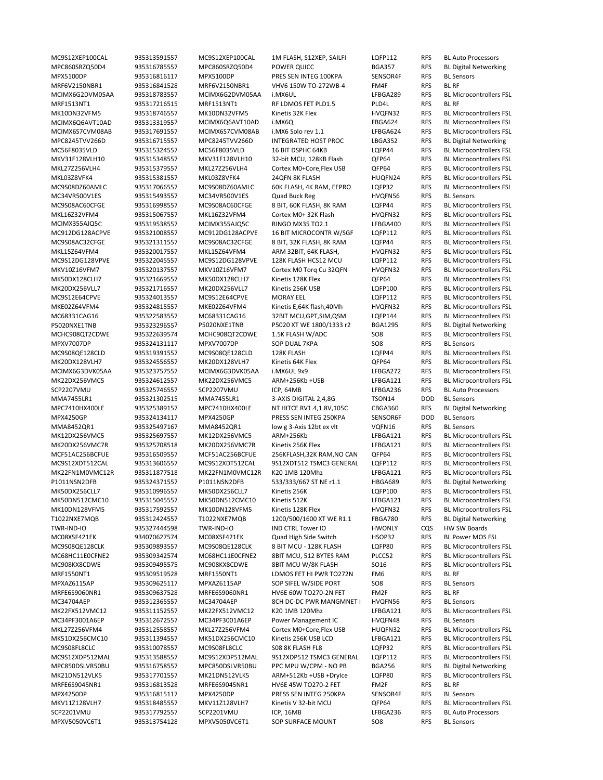MRF6V2150NBR1 935316841528 MRF6V2150NBR1 VHV6 150W TO‐272WB‐4 FM4F RFS BL RF MC9S08AC60CFGE 935316998557 MC9S08AC60CFGE 8 BIT, 60K FLASH, 8K RAM LQFP44 RFS MRF1550NT1 935309519528 MRF1550NT1 LDMOS FET HI PWR TO272N FM6 RFS BL RF MRFE6S9060NR1 935309637528 MRFE6S9060NR1 HV6E 60W TO270‐2N FET FM2F RFS BL RF MRFE6S9045NR1 935316813528 MRFE6S9045NR1 HV6E 45W TO270‐2 FET FM2F RFS BL RF

MC9S12XEP100CAL 935313591557 MC9S12XEP100CAL 1M FLASH, S12XEP, SAILFI LQFP112 RFS BL Auto Processors MPC860SRZQ50D4 935316785557 MPC860SRZQ50D4 POWER QUICC BGA357 RFS BL Digital Networking MPX5100DP 935316816117 MPX5100DP PRES SEN INTEG 100KPA SENSOR4F RFS BL Sensors MPC8245TVV266D 935316715557 MPC8245TVV266D INTEGRATED HOST PROC LBGA352 RFS BL Digital Networking P5020NXE1TNB 935323296557 P5020NXE1TNB P5020 XT WE 1800/1333 r2 BGA1295 RFS BL Digital Networking MPXV7007DP 935324131117 MPXV7007DP SOP DUAL 7KPA SO8 RFS BL Sensors SCP2207VMU 935325746557 SCP2207VMU ICP, 64MB LFBGA236 RFS BL Auto Processors MMA7455LR1 935321302515 MMA7455LR1 3‐AXIS DIGITAL 2,4,8G TSON14 DOD BL Sensors MPC7410HX400LE 935325389157 MPC7410HX400LE NT HITCE RV1.4,1.8V,105C CBGA360 RFS BL Digital Networking MPX4250GP 935324134117 MPX4250GP PRESS SEN INTEG 250KPA SENSOR6F DOD BL Sensors MMA8452QR1 935325497167 MMA8452QR1 low g 3-Axis 12bt ex vlt VQFN16 RFS BL Sensors P1011NSN2DFB 935324371557 P1011NSN2DFB 533/333/667 ST NE r1.1 HBGA689 RFS BL Digital Networking T1022NXE7MQB 935312424557 T1022NXE7MQB 1200/500/1600 XT WE R1.1 FBGA780 RFS BL Digital Networking TWR‐IND‐IO 935327444598 TWR‐IND‐IO IND CTRL Tower IO HWONLY CQS HW SW Boards MC08XSF421EK 934070627574 MC08XSF421EK Quad High Side Switch HSOP32 RFS BL Power MOS FSL MPXAZ6115AP 935309625117 MPXAZ6115AP SOP SIFEL W/SIDE PORT SO8 RFS BL Sensors MC34704AEP 935312365557 MC34704AEP 8CH DC-DC PWR MANGMNET I HVQFN56 RFS BL Sensors<br>MK22FX512VMC12 935311152557 MK22FX512VMC12 K20 1MB 120Mhz LFBGA121 RFS BL Microco MC34PF3001A6EP 935312672557 MC34PF3001A6EP Power Management IC HVQFN48 RFS BL Sensors MPC850DSLVR50BU 935316758557 MPC850DSLVR50BU PPC MPU W/CPM ‐ NO PB BGA256 RFS BL Digital Networking SCP2201VMU 935317792557 SCP2201VMU ICP, 16MB LFBGA236 RFS BL Auto Processors MPXV5050VC6T1 935313754128 MPXV5050VC6T1 SOP SURFACE MOUNT SO8 RFS BL Sensors

MCIMX6G2DVM05AA 935318783557 MCIMX6G2DVM05AA i.MX6UL LFBGA289 RFS BL Microcontrollers FSL MRF1513NT1 935317216515 MRF1513NT1 RF LDMOS FET PLD1.5 PLD4L RFS BL RF MK10DN32VFM5 935318746557 MK10DN32VFM5 Kinetis 32K Flex HVQFN32 RFS BL Microcontrollers FSL MCIMX6Q6AVT10AD 935313319557 MCIMX6Q6AVT10AD i.MX6Q FBGA624 RFS BL Microcontrollers FSL MCIMX6S7CVM08AB 935317691557 MCIMX6S7CVM08AB i.MX6 Solo rev 1.1 LFBGA624 RFS BL Microcontrollers FSL MC56F8035VLD 935315324557 MC56F8035VLD 16 BIT DSPHC 64KB LQFP44 RFS BL Microcontrollers FSL MKV31F128VLH10 935315348557 MKV31F128VLH10 32‐bit MCU, 128KB Flash QFP64 RFS BL Microcontrollers FSL MKL27Z256VLH4 935315379557 MKL27Z256VLH4 Cortex M0+Core,Flex USB QFP64 RFS BL Microcontrollers FSL MKL03Z8VFK4 935315381557 MKL03Z8VFK4 24QFN 8K FLASH HUQFN24 RFS BL Microcontrollers FSL MC9S08DZ60AMLC 935317066557 MC9S08DZ60AMLC 60K FLASH, 4K RAM, EEPRO LQFP32 RFS BL Microcontrollers FSL MC34VR500V1ES 935315493557 MC34VR500V1ES Quad Buck Reg HVQFN56 RFS BL Sensors<br>MC9S08AC60CFGE 935316998557 MC9S08AC60CFGE 8 BIT, 60K FLASH, 8K RAM LQFP44 RFS BL Microcontrollers FSL MKL16Z32VFM4 935315067557 MKL16Z32VFM4 Cortex M0+ 32K Flash HVQFN32 RFS BL Microcontrollers FSL MCIMX355AJQ5C 935319538557 MCIMX355AJQ5C RINGO MX35 TO2.1 LFBGA400 RFS BL Microcontrollers FSL MC912DG128ACPVE 935321008557 MC912DG128ACPVE 16 BIT MICROCONTR W/SGF LQFP112 RFS BL Microcontrollers FSL<br>MC9S08AC32CFGE 935321311557 MC9S08AC32CFGE 8 BIT, 32K FLASH, 8K RAM LQFP44 RFS BL Microcontrollers FSL MC9S08AC32CFGE 935321311557 MC9S08AC32CFGE 8 BIT, 32K FLASH, 8K RAM LQFP44 RFS BL Microcontrollers FSL MKL15Z64VFM4 935320017557 MKL15Z64VFM4 ARM 32BIT, 64K FLASH, HVQFN32 RFS BL Microcontrollers FSL MC9S12DG128VPVE 935322045557 MC9S12DG128VPVE 128K FLASH HCS12 MCU LQFP112 RFS BL Microcontrollers FSL MKV10Z16VFM7 935320137557 MKV10Z16VFM7 Cortex M0 Torq Cu 32QFN HVQFN32 RFS BL Microcontrollers FSL MK50DX128CLH7 935321669557 MK50DX128CLH7 Kinetis 128K Flex QFP64 RFS BL Microcontrollers FSL MK20DX256VLL7 935321716557 MK20DX256VLL7 Kinetis 256K USB LQFP100 RFS BL Microcontrollers FSL MC9S12E64CPVE 935324013557 MC9S12E64CPVE MORAY EEL LQFP112 RFS BL Microcontrollers FSL MKE02Z64VFM4 935324815557 MKE02Z64VFM4 Kinetis E,64K flash,40Mh HVQFN32 RFS BL Microcontrollers FSL MC68331CAG16 935322583557 MC68331CAG16 32BIT MCU,GPT,SIM,QSM LQFP144 RFS BL Microcontrollers FSL MCHC908QT2CDWE 935322639574 MCHC908QT2CDWE 1.5K FLASH W/ADC SO8 RFS BL Microcontrollers FSL MC9S08QE128CLD 935319391557 MC9S08QE128CLD 128K FLASH LQFP44 RFS BL Microcontrollers FSL<br>MK20DX128VLH7 935324556557 MK20DX128VLH7 Kinetis 64K Flex QFP64 RFS BL Microcontrollers FSL MK20DX128VLH7 935324556557 MK20DX128VLH7 Kinetis 64K Flex QFP64 RFS BL Microcontrollers FSL MCIMX6G3DVK05AA 935323757557 MCIMX6G3DVK05AA i.MX6UL 9x9 LFBGA272 RFS BL Microcontrollers FSL MK22DX256VMC5 935324612557 MK22DX256VMC5 ARM+256Kb +USB LFBGA121 RFS BL Microcontrollers FSL MK12DX256VMC5 935325697557 MK12DX256VMC5 ARM+256Kb LFBGA121 RFS BL Microcontrollers FSL MK20DX256VMC7R 935325708518 MK20DX256VMC7R Kinetis 256K Flex LFBGA121 RFS BL Microcontrollers FSL MCF51AC256BCFUE 935316509557 MCF51AC256BCFUE 256KFLASH,32K RAM,NO CAN QFP64 RFS BL Microcontrollers FSL MC9S12XDT512CAL 935313606557 MC9S12XDT512CAL 9S12XDT512 TSMC3 GENERAL LQFP112 RFS BL Microcontrollers FSL MK22FN1M0VMC12R 935311877518 MK22FN1M0VMC12R K20 1MB 120Mhz LFBGA121 RFS BL Microcontrollers FSL MK50DX256CLL7 935310996557 MK50DX256CLL7 Kinetis 256K LQFP100 RFS BL Microcontrollers FSL MK50DN512CMC10 935315045557 MK50DN512CMC10 Kinetis 512K LFBGA121 RFS BL Microcontrollers FSL MK10DN128VFM5 935317592557 MK10DN128VFM5 Kinetis 128K Flex HVQFN32 RFS BL Microcontrollers FSL MC9S08QE128CLK 935309893557 MC9S08QE128CLK 8 BIT MCU ‐ 128K FLASH LQFP80 RFS BL Microcontrollers FSL MC68HC11E0CFNE2 935309342574 MC68HC11E0CFNE2 8BIT MCU, 512 BYTES RAM PLCC52 RFS BL Microcontrollers FSL MC908KX8CDWE 935309495575 MC908KX8CDWE 8BIT MCU W/8K FLASH SO16 RFS BL Microcontrollers FSL 935311152557 MK22FX512VMC12 K20 1MB 120Mhz LFBGA121 RFS BL Microcontrollers FSL MKL27Z256VFM4 935312558557 MKL27Z256VFM4 Cortex M0+Core,Flex USB HUQFN32 RFS BL Microcontrollers FSL MK51DX256CMC10 935311394557 MK51DX256CMC10 Kinetis 256K USB LCD LFBGA121 RFS BL Microcontrollers FSL MC9S08FL8CLC 935310078557 MC9S08FL8CLC S08 8K FLASH FL8 LQFP32 RFS BL Microcontrollers FSL MC9S12XDP512MAL 935313588557 MC9S12XDP512MAL 9S12XDP512TSMC3 GENERAL LQFP112 RFS BL Microcontrollers FSL<br>MPC850DSLVR50BU 935316758557 MPC850DSLVR50BU PPC MPU W/CPM - NO PB BGA256 RFS BL Digital Networking MK21DN512VLK5 935317701557 MK21DN512VLK5 ARM+512Kb +USB +DryIce LQFP80 RFS BL Microcontrollers FSL MPX4250DP 935316815117 MPX4250DP PRESS SEN INTEG 250KPA SENSOR4F RFS BL Sensors<br>MKV117128VIH7 935318485557 MKV117128VIH7 Kinetis V 32-hit MCU OFP64 RFS BL Microcontrollers FSL MKV11Z128VLH7 935318485557 MKV11Z128VLH7 Kinetis V 32‐bit MCU QFP64 RFS BL Microcontrollers FSL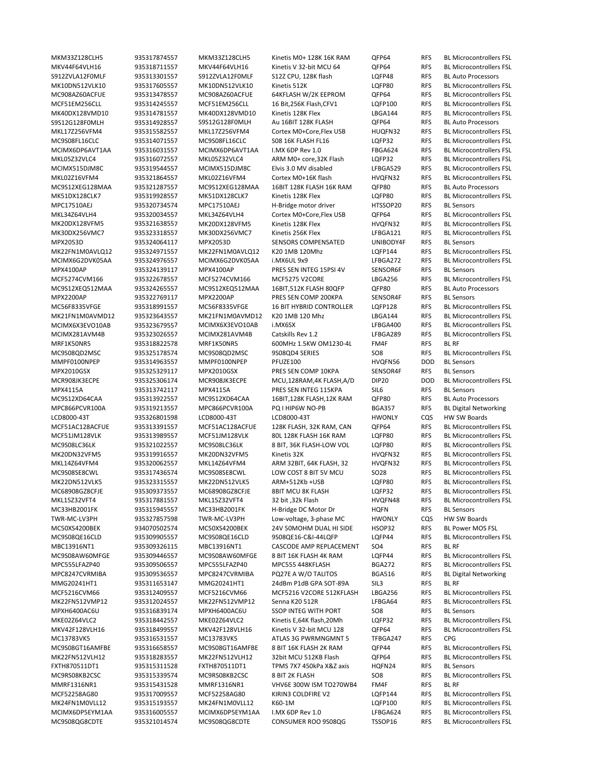S912ZVLA12F0MLF 935313301557 S912ZVLA12F0MLF S12Z CPU, 128K flash LQFP48 RFS BL Auto Processors S9S12G128F0MLH 935314928557 S9S12G128F0MLH Au 16BIT 128K FLASH QFP64 RFS BL Auto Processors MC9S12XEG128MAA 935321287557 MC9S12XEG128MAA 16BIT 128K FLASH 16K RAM QFP80 RFS BL Auto Processors MPC17510AEJ 935320734574 MPC17510AEJ H‐Bridge motor driver HTSSOP20 RFS BL Sensors MPX2053D 935324064117 MPX2053D SENSORS COMPENSATED UNIBODY4F RFS MPX4100AP 935324139117 MPX4100AP PRES SEN INTEG 15PSI 4V SENSOR6F RFS BL Sensors MC9S12XEQ512MAA 935324265557 MC9S12XEQ512MAA 16BIT,512K FLASH 80QFP QFP80 RFS BL Auto Processors MPX2200AP 935322769117 MPX2200AP PRES SEN COMP 200KPA SENSOR4F RFS BL Sensors MRF1K50NR5 935318822578 MRF1K50NR5 600MHz 1.5KW OM1230‐4L FM4F RFS BL RF MMPF0100NPEP 935314963557 MMPF0100NPEP PFUZE100 HVQFN56 DOD BL Sensors MPX2010GSX 935325329117 MPX2010GSX PRES SEN COMP 10KPA SENSOR4F RFS BL Sensors MPX4115A 935313742117 MPX4115A PRES SEN INTEG 115KPA SIL6 RFS BL Sensors MC9S12XD64CAA 935313922557 MC9S12XD64CAA 16BIT,128K FLASH,12K RAM OFP80 RFS BL Auto Processors MPC866PCVR100A 935319213557 MPC866PCVR100A PQ I HIP6W NO-PB BGA357 RFS BL Digital Networking LCD8000‐43T 935326801598 LCD8000‐43T LCD8000‐43T HWONLY CQS HW SW Boards MC33HB2001FK 935315945557 MC33HB2001FK H‐Bridge DC Motor Dr HQFN RFS BL Sensors TWR‐MC‐LV3PH 935327857598 TWR‐MC‐LV3PH Low‐voltage, 3‐phase MC HWONLY CQS HW SW Boards MC50XS4200BEK 934070502574 MC50XS4200BEK 24V 50MOHM DUAL HI SIDE HSOP32 RFS BL Power MOS FSL MBC13916NT1 935309326115 MBC13916NT1 CASCODE AMP REPLACEMENT SO4 RFS BL RF MMG20241HT1 935311653147 MMG20241HT1 24dBm P1dB GPA SOT‐89A SIL3 RFS BL RF MPXH6400AC6U 935316839174 MPXH6400AC6U SSOP INTEG WITH PORT SO8 RFS BL Sensors MC13783VK5 935316531557 MC13783VK5 ATLAS 3G PWRMNGMNT 5 TFBGA247 RFS CPG FXTH870511DT1 935315311528 FXTH870511DT1 TPMS 7X7 450kPa X&Z axis HQFN24 RFS BL Sensors MMRF1316NR1 935315431528 MMRF1316NR1 VHV6E 300W ISM TO270WB4 FM4F RFS BL RF MC9S08QG8CDTE 935321014574 MC9S08QG8CDTE CONSUMER ROO 9S08QG TSSOP16 RFS BL Microcontrollers FSL

MKM33Z128CLH5 935317874557 MKM33Z128CLH5 Kinetis M0+ 128K 16K RAM QFP64 RFS BL Microcontrollers FSL MKV44F64VLH16 935318711557 MKV44F64VLH16 Kinetis V 32-bit MCU 64 QFP64 RFS BL Microcontrollers FSL MK10DN512VLK10 935317605557 MK10DN512VLK10 Kinetis 512K LQFP80 RFS BL Microcontrollers FSL MC908AZ60ACFUE 935313478557 MC908AZ60ACFUE 64KFLASH W/2K EEPROM QFP64 RFS BL Microcontrollers FSL MCF51EM256CLL 935314245557 MCF51EM256CLL 16 Bit,256K Flash,CFV1 LQFP100 RFS BL Microcontrollers FSL MK40DX128VMD10 935314781557 MK40DX128VMD10 Kinetis 128K Flex LBGA144 RFS BL Microcontrollers FSL MKL17Z256VFM4 935315582557 MKL17Z256VFM4 Cortex M0+Core,Flex USB HUQFN32 RFS BL Microcontrollers FSL MC9S08FL16CLC 935314071557 MC9S08FL16CLC S08 16K FLASH FL16 LQFP32 RFS BL Microcontrollers FSL MCIMX6DP6AVT1AA 935316031557 MCIMX6DP6AVT1AA I.MX 6DP Rev 1.0 FBGA624 RFS BL Microcontrollers FSL MKL05Z32VLC4 935316072557 MKL05Z32VLC4 ARM M0+ core,32K Flash LQFP32 RFS BL Microcontrollers FSL MCIMX515DJM8C 935319544557 MCIMX515DJM8C Elvis 3.0 MV disabled LFBGA529 RFS BL Microcontrollers FSL MKL02Z16VFM4 935321864557 MKL02Z16VFM4 Cortex M0+16K flash HVQFN32 RFS BL Microcontrollers FSL MK51DX128CLK7 935319928557 MK51DX128CLK7 Kinetis 128K Flex LQFP80 RFS BL Microcontrollers FSL MKL34Z64VLH4 935320034557 MKL34Z64VLH4 Cortex M0+Core,Flex USB QFP64 RFS BL Microcontrollers FSL MK20DX128VFM5 935321638557 MK20DX128VFM5 Kinetis 128K Flex HVQFN32 RFS BL Microcontrollers FSL MK30DX256VMC7 935323318557 MK30DX256VMC7 Kinetis 256K Flex LFBGA121 RFS BL Microcontrollers FSL<br>MPX2053D 935324064117 MPX2053D SENSORS COMPENSATED UNIBODY4F RFS BL Sensors MK22FN1M0AVLQ12 935324971557 MK22FN1M0AVLQ12 K20 1MB 120Mhz LQFP144 RFS BL Microcontrollers FSL MCIMX6G2DVK05AA 935324976557 MCIMX6G2DVK05AA i.MX6UL 9x9 LFBGA272 RFS BL Microcontrollers FSL MCF5274CVM166 935322678557 MCF5274CVM166 MCF5275 V2CORE LBGA256 RFS BL Microcontrollers FSL MC56F8335VFGE 935318991557 MC56F8335VFGE 16 BIT HYBRID CONTROLLER LQFP128 RFS BL Microcontrollers FSL MK21FN1M0AVMD12 935323643557 MK21FN1M0AVMD12 K20 1MB 120 Mhz LBGA144 RFS BL Microcontrollers FSL MCIMX6X3EVO10AB 935323679557 MCIMX6X3EVO10AB i.MX6SX LFBGA400 RFS BL Microcontrollers FSL MCIMX281AVM4B 935323026557 MCIMX281AVM4B Catskills Rev 1.2 LFBGA289 RFS BL Microcontrollers FSL MC9S08QD2MSC 935325178574 MC9S08QD2MSC 9S08QD4 SERIES 508 RFS BL Microcontrollers FSL<br>MMPF0100NPEP 935314963557 MMPF0100NPEP PFUZE100 HVQFN56 DOD BL Sensors MCR908JK3ECPE 935325306174 MCR908JK3ECPE MCU,128RAM,4K FLASH,A/D DIP20 DOD BL Microcontrollers FSL MCF51AC128ACFUE 935313391557 MCF51AC128ACFUE 128K FLASH, 32K RAM, CAN QFP64 RFS BL Microcontrollers FSL MCF51JM128VLK 935313989557 MCF51JM128VLK 80L 128K FLASH 16K RAM LQFP80 RFS BL Microcontrollers FSL MC9S08LC36LK 935321022557 MC9S08LC36LK 8 BIT, 36K FLASH‐LOW VOL LQFP80 RFS BL Microcontrollers FSL MK20DN32VFM5 935319916557 MK20DN32VFM5 Kinetis 32K HVQFN32 RFS BL Microcontrollers FSL MKL14Z64VFM4 935320062557 MKL14Z64VFM4 ARM 32BIT, 64K FLASH, 32 HVQFN32 RFS BL Microcontrollers FSL MC9S08SE8CWL 935317436574 MC9S08SE8CWL LOW COST 8 BIT 5V MCU SO28 RFS BL Microcontrollers FSL MK22DN512VLK5 935323315557 MK22DN512VLK5 ARM+512Kb +USB LQFP80 RFS BL Microcontrollers FSL MC68908GZ8CFJE 935309373557 MC68908GZ8CFJE 8BIT MCU 8K FLASH LQFP32 RFS BL Microcontrollers FSL MKL15Z32VFT4 935317881557 MKL15Z32VFT4 32 bit ,32k Flash HVQFN48 RFS BL Microcontrollers FSL MC9S08QE16CLD 935309905557 MC9S08QE16CLD 9S08QE16‐C&I‐44LQFP LQFP44 RFS BL Microcontrollers FSL MC9S08AW60MFGE 935309446557 MC9S08AW60MFGE 8 BIT 16K FLASH 4K RAM LQFP44 RFS BL Microcontrollers FSL MPC555LFAZP40 935309506557 MPC555LFAZP40 MPC555 448KFLASH BGA272 RFS BL Microcontrollers FSL MPC8247CVRMIBA 935309536557 MPC8247CVRMIBA PQ27E A W/O TALITOS BGA516 RFS BL Digital Networking MCF5216CVM66 935312409557 MCF5216CVM66 MCF5216 V2CORE 512KFLASH LBGA256 RFS BL Microcontrollers FSL MK22FN512VMP12 935312024557 MK22FN512VMP12 Senna K20 512R LFBGA64 RFS BL Microcontrollers FSL MKE02Z64VLC2 935318442557 MKE02Z64VLC2 Kinetis E,64K flash,20Mh LQFP32 RFS BL Microcontrollers FSL MKV42F128VLH16 935318499557 MKV42F128VLH16 Kinetis V 32‐bit MCU 128 QFP64 RFS BL Microcontrollers FSL MC9S08GT16AMFBE 935316658557 MC9S08GT16AMFBE 8 BIT 16K FLASH 2K RAM QFP44 RFS BL Microcontrollers FSL MK22FN512VLH12 935318283557 MK22FN512VLH12 32bit MCU 512KB Flash QFP64 RFS BL Microcontrollers FSL<br>FXTH870511DT1 935315311528 FXTH870511DT1 TPMS 7X7 450kPa X&Z axis HQFN24 RFS BL Sensors MC9RS08KB2CSC 935315339574 MC9RS08KB2CSC 8 BIT 2K FLASH SO8 RFS BL Microcontrollers FSL MCF52258AG80 935317009557 MCF52258AG80 KIRIN3 COLDFIRE V2 LQFP144 RFS BL Microcontrollers FSL MK24FN1M0VLL12 935315193557 MK24FN1M0VLL12 K60‐1M LQFP100 RFS BL Microcontrollers FSL MCIMX6DP5EYM1AA 935316005557 MCIMX6DP5EYM1AA I.MX 6DP Rev 1.0 LFBGA624 RFS BL Microcontrollers FSL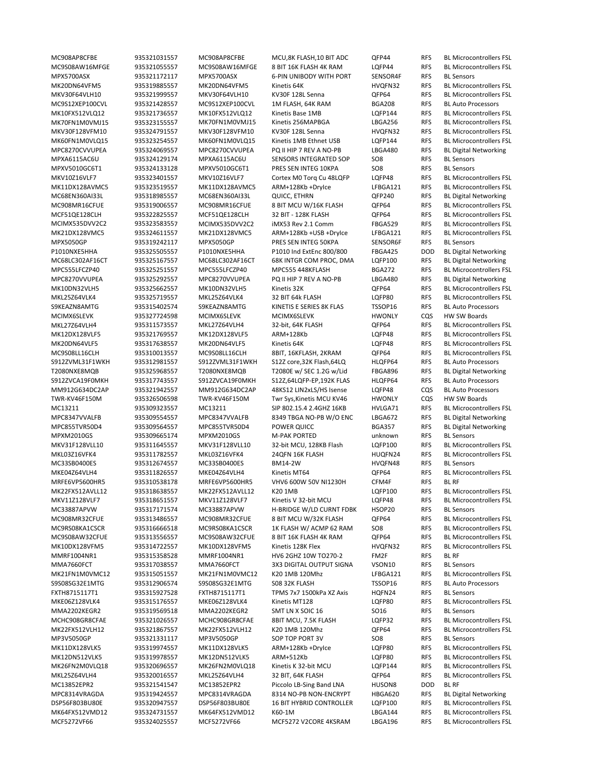MPX5700ASX 935321172117 MPX5700ASX 6‐PIN UNIBODY WITH PORT SENSOR4F RFS BL Sensors MC9S12XEP100CVL 935321428557 MC9S12XEP100CVL 1M FLASH, 64K RAM BGA208 RFS BL Auto Processors MPXA6115AC6U 935324129174 MPXA6115AC6U SENSORS INTEGRATED SOP SO8 RFS BL Sensors MPXV5010GC6T1 935324133128 MPXV5010GC6T1 PRES SEN INTEG 10KPA SO8 RFS BL Sensors MPX5050GP 935319242117 MPX5050GP PRES SEN INTEG 50KPA SENSOR6F RFS S9KEAZN8AMTG 935315402574 S9KEAZN8AMTG KINETIS E SERIES 8K FLAS TSSOP16 RFS BL Auto Processors MCIMX6SLEVK 935327724598 MCIMX6SLEVK MCIMX6SLEVK HWONLY CQS HW SW Boards S12Z core,32K Flash,64LO HLOFP64 RFS BL Auto Processors S912ZVCA19F0MKH 935317743557 S912ZVCA19F0MKH S12Z.64LOFP-EP.192K FLAS HLOFP64 RFS BL Auto Processors MM912G634DC2AP 935321942557 MM912G634DC2AP 48KS12 LIN2xLS/HS Isense LQFP48 CQS BL Auto Processors TWR‐KV46F150M 935326506598 TWR‐KV46F150M Twr Sys,Kinetis MCU KV46 HWONLY CQS HW SW Boards MPXM2010GS 935309665174 MPXM2010GS M‐PAK PORTED unknown RFS BL Sensors MC33SB0400ES 935312674557 MC33SB0400ES BM14‐2W HVQFN48 RFS BL Sensors MRFE6VP5600HR5 935310538178 MRFE6VP5600HR5 VHV6 600W 50V NI1230H CFM4F RFS BL RF MC33887APVW 935317171574 MC33887APVW H‐BRIDGE W/LD CURNT FDBK HSOP20 RFS BL Sensors MMRF1004NR1 935315358528 MMRF1004NR1 HV6 2GHZ 10W TO270‐2 FM2F RFS BL RF MMA7660FCT 935317038557 MMA7660FCT 3X3 DIGITAL OUTPUT SIGNA VSON10 RFS BL Sensors S9S08SG32E1MTG 935312906574 S9S08SG32E1MTG S08 32K FLASH TSSOP16 RFS BL Auto Processors FXTH8715117T1 935315927528 FXTH8715117T1 TPMS 7x7 1500kPa XZ Axis HQFN24 RFS BL Sensors MMA2202KEGR2 935319569518 MMA2202KEGR2 SMT LN X SOIC 16 SO16 RFS BL Sensors MP3V5050GP 935321331117 MP3V5050GP SOP TOP PORT 3V SO8 RFS BL Sensors MC13852EPR2 935321541547 MC13852EPR2 Piccolo LB‐Sing Band LNA HUSON8 DOD BL RF MCF5272VF66 935324025557 MCF5272VF66 MCF5272 V2CORE 4KSRAM LBGA196 RFS BL Microcontrollers FSL

MC908AP8CFBE 935321031557 MC908AP8CFBE MCU,8K FLASH,10 BIT ADC QFP44 RFS BL Microcontrollers FSL MC9S08AW16MFGE 935321055557 MC9S08AW16MFGE 8 BIT 16K FLASH 4K RAM LQFP44 RFS BL Microcontrollers FSL MK20DN64VFM5 935319885557 MK20DN64VFM5 Kinetis 64K HVQFN32 RFS BL Microcontrollers FSL MKV30F64VLH10 935321999557 MKV30F64VLH10 KV30F 128L Senna QFP64 RFS BL Microcontrollers FSL MK10FX512VLQ12 935321736557 MK10FX512VLQ12 Kinetis Base 1MB LQFP144 RFS BL Microcontrollers FSL MK70FN1M0VMJ15 935323155557 MK70FN1M0VMJ15 Kinetis 256MAPBGA LBGA256 RFS BL Microcontrollers FSL MKV30F128VFM10 935324791557 MKV30F128VFM10 KV30F 128L Senna HVQFN32 RFS BL Microcontrollers FSL MK60FN1M0VLQ15 935323254557 MK60FN1M0VLQ15 Kinetis 1MB Ethnet USB LQFP144 RFS BL Microcontrollers FSL MPC8270CVVUPEA 935324069557 MPC8270CVVUPEA PQ II HIP 7 REV A NO-PB LBGA480 RFS BL Digital Networking MKV10Z16VLF7 935323401557 MKV10Z16VLF7 Cortex M0 Torq Cu 48LQFP LQFP48 RFS BL Microcontrollers FSL<br>MK11DX128AVMC5 935323519557 MK11DX128AVMC5 ARM+128Kb +Drylce LFBGA121 RFS BL Microcontrollers FSL MK11DX128AVMC5 935323519557 MK11DX128AVMC5 ARM+128Kb +DryIce LFBGA121 RFS BL Microcontrollers FSL MC68EN360AI33L 935318985557 MC68EN360AI33L QUICC, ETHRN QFP240 RFS BL Digital Networking MC908MR16CFUE 935319006557 MC908MR16CFUE 8 BIT MCU W/16K FLASH QFP64 RFS BL Microcontrollers FSL MCF51QE128CLH 935322825557 MCF51QE128CLH 32 BIT ‐ 128K FLASH QFP64 RFS BL Microcontrollers FSL MCIMX535DVV2C2 935323583557 MCIMX535DVV2C2 iMX53 Rev 2.1 Comm FBGA529 RFS BL Microcontrollers FSL MK21DX128VMC5 935324611557 MK21DX128VMC5 ARM+128Kb +USB +DryIce LFBGA121 RFS BL Microcontrollers FSL<br>MPX5050GP 935319242117 MPX5050GP PRES SEN INTEG 50KPA SENSOR6F RFS BL Sensors P1010NXE5HHA 935325505557 P1010NXE5HHA P1010 Ind ExtEnc 800/800 FBGA425 DOD BL Digital Networking MC68LC302AF16CT 935325167557 MC68LC302AF16CT 68K INTGR COM PROC, DMA LQFP100 RFS BL Digital Networking MPC555LFCZP40 935325251557 MPC555LFCZP40 MPC555 448KFLASH BGA272 RFS BL Microcontrollers FSL MPC8270VVUPEA 935325292557 MPC8270VVUPEA PQ II HIP 7 REV A NO‐PB LBGA480 RFS BL Digital Networking MK10DN32VLH5 935325662557 MK10DN32VLH5 Kinetis 32K QFP64 RFS BL Microcontrollers FSL MKL25Z64VLK4 935325719557 MKL25Z64VLK4 32 BIT 64k FLASH LQFP80 RFS BL Microcontrollers FSL MKL27Z64VLH4 935311573557 MKL27Z64VLH4 32‐bit, 64K FLASH QFP64 RFS BL Microcontrollers FSL MK12DX128VLF5 935321769557 MK12DX128VLF5 ARM+128Kb LQFP48 RFS BL Microcontrollers FSL MK20DN64VLF5 935317638557 MK20DN64VLF5 Kinetis 64K LOFP48 RFS BL Microcontrollers FSL MC9S08LL16CLH 935310013557 MC9S08LL16CLH 8BIT, 16KFLASH, 2KRAM QFP64 RFS BL Microcontrollers FSL<br>S912ZVML31F1WKH 935312981557 S912ZVML31F1WKH S12Z core,32K Flash,64LQ HLQFP64 RFS BL Auto Processors T2080NXE8MQB 935325968557 T2080NXE8MQB T2080E w/ SEC 1.2G w/Lid FBGA896 RFS BL Digital Networking MC13211 935309323557 MC13211 SIP 802.15.4 2.4GHZ 16KB HVLGA71 RFS BL Microcontrollers FSL MPC8347VVALFB 935309554557 MPC8347VVALFB 8349 TBGA NO‐PB W/O ENC LBGA672 RFS BL Digital Networking MPC855TVR50D4 935309564557 MPC855TVR50D4 POWER QUICC BGA357 RFS BL Digital Networking MKV31F128VLL10 935311645557 MKV31F128VLL10 32‐bit MCU, 128KB Flash LQFP100 RFS BL Microcontrollers FSL MKL03Z16VFK4 935311782557 MKL03Z16VFK4 24QFN 16K FLASH HUQFN24 RFS BL Microcontrollers FSL MKE04Z64VLH4 935311826557 MKE04Z64VLH4 Kinetis MT64 QFP64 RFS BL Microcontrollers FSL MK22FX512AVLL12 935318638557 MK22FX512AVLL12 K20 1MB LQFP100 RFS BL Microcontrollers FSL MKV11Z128VLF7 935318651557 MKV11Z128VLF7 Kinetis V 32‐bit MCU LQFP48 RFS BL Microcontrollers FSL MC908MR32CFUE 935313486557 MC908MR32CFUE 8 BIT MCU W/32K FLASH QFP64 RFS BL Microcontrollers FSL MC9RS08KA1CSCR 935316666518 MC9RS08KA1CSCR 1K FLASH W/ ACMP 62 RAM SO8 RFS BL Microcontrollers FSL MC9S08AW32CFUE 935313556557 MC9S08AW32CFUE 8 BIT 16K FLASH 4K RAM QFP64 RFS BL Microcontrollers FSL MK10DX128VFM5 935314722557 MK10DX128VFM5 Kinetis 128K Flex HVQFN32 RFS BL Microcontrollers FSL MK21FN1M0VMC12 935315051557 MK21FN1M0VMC12 K20 1MB 120Mhz LFBGA121 RFS BL Microcontrollers FSL MKE06Z128VLK4 935315176557 MKE06Z128VLK4 Kinetis MT128 LQFP80 RFS BL Microcontrollers FSL MCHC908GR8CFAE 935321026557 MCHC908GR8CFAE 8BIT MCU, 7.5K FLASH LQFP32 RFS BL Microcontrollers FSL MK22FX512VLH12 935321867557 MK22FX512VLH12 K20 1MB 120Mhz QFP64 RFS BL Microcontrollers FSL MK11DX128VLK5 935319974557 MK11DX128VLK5 ARM+128Kb +DryIce LQFP80 RFS BL Microcontrollers FSL MK12DN512VLK5 935319978557 MK12DN512VLK5 ARM+512Kb LQFP80 RFS BL Microcontrollers FSL MK26FN2M0VLQ18 935320696557 MK26FN2M0VLQ18 Kinetis K 32‐bit MCU LQFP144 RFS BL Microcontrollers FSL MKL25Z64VLH4 935320016557 MKL25Z64VLH4 32 BIT, 64K FLASH QFP64 RFS BL Microcontrollers FSL MPC8314VRAGDA 935319424557 MPC8314VRAGDA 8314 NO‐PB NON‐ENCRYPT HBGA620 RFS BL Digital Networking DSP56F803BU80E 935320947557 DSP56F803BU80E 16 BIT HYBRID CONTROLLER LQFP100 RFS BL Microcontrollers FSL MK64FX512VMD12 935324731557 MK64FX512VMD12 K60‐1M LBGA144 RFS BL Microcontrollers FSL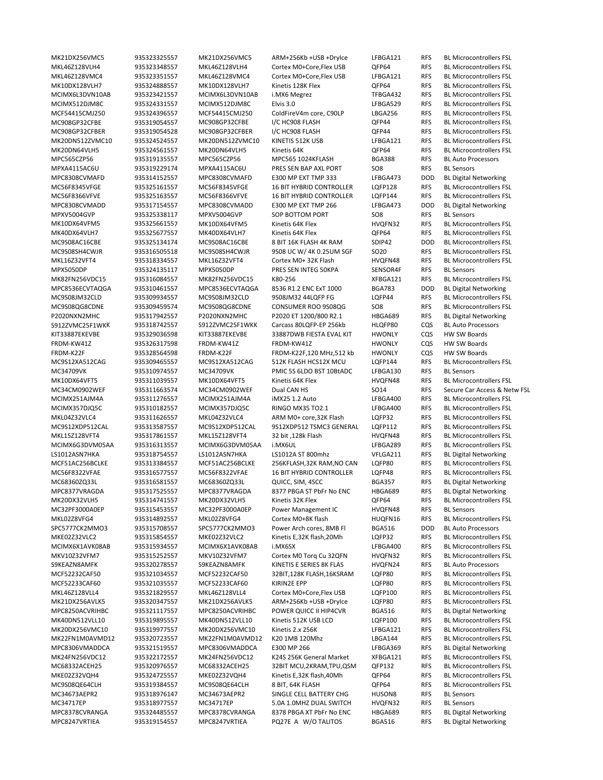MKL46Z128VLH4 935323348557 MKL46Z128VLH4 Cortex M0+Core,Flex USB QFP64 RFS BL Microcontrollers FSL MPC565CZP56 935319135557 MPC565CZP56 MPC565 1024KFLASH BGA388 RFS BL Auto Processors MPXA4115AC6U 935319229174 MPXA4115AC6U PRES SEN BAP AXL PORT SO8 RFS BL Sensors MPC8308CVMAFD 935314152557 MPC8308CVMAFD E300 MP EXT TMP 333 LFBGA473 DOD BL Digital Networking MC56F8345VFGE 935325161557 MC56F8345VFGE 16 BIT HYBRID CONTROLLER LQFP128 RFS BL Microcontrollers FSL MPC8308CVMADD 935317154557 MPC8308CVMADD E300 MP EXT TMP 266 LFBGA473 DOD BL Digital Networking MPXV5004GVP 935325338117 MPXV5004GVP SOP BOTTOM PORT SO8 RFS BL Sensors 8 BIT 16K FLASH 4K RAM MKL16Z32VFT4 935318334557 MKL16Z32VFT4 Cortex M0+ 32K Flash HVQFN48 RFS BL Microcontrollers FSL MPX5050DP 935324135117 MPX5050DP PRES SEN INTEG 50KPA SENSOR4F RFS BL Sensors MK82FN256VDC15 935316084557 MK82FN256VDC15 K80‐256 XFBGA121 RFS BL Microcontrollers FSL MPC8536ECVTAQGA 935310461557 MPC8536ECVTAQGA 8536 R1.2 ENC ExT 1000 BGA783 DOD BL Digital Networking MC9S08JM32CLD 935309934557 MC9S08JM32CLD 9S08JM32 44LQFP FG LQFP44 RFS BL Microcontrollers FSL P2020NXN2MHC 935317942557 P2020NXN2MHC P2020 ET 1200/800 R2.1 HBGA689 RFS BL Digital Networking S912ZVMC25F1WKK 935318742557 S912ZVMC25F1WKK Carcass 80LQFP‐EP 256kb HLQFP80 CQS BL Auto Processors KIT33887EKEVBE 935329036598 KIT33887EKEVBE 33887DWB FIESTA EVAL KIT HWONLY CQS HW SW Boards FRDM‐KW41Z 935326317598 FRDM‐KW41Z FRDM‐KW41Z HWONLY CQS HW SW Boards 935309465557 MC9S12XA512CAG 512K FLASH HCS12X MCU LQFP144 RFS MC34709VK 935310974557 MC34709VK PMIC 5S 6LDO BST 10BtADC LFBGA130 RFS BL Sensors MK10DX64VFT5 935311039557 MK10DX64VFT5 Kinetis 64K Flex HVQFN48 RFS BL Microcontrollers FSL MCIMX357DJQ5C 935310182557 MCIMX357DJQ5C RINGO MX35 TO2.1 LFBGA400 RFS BL Microcontrollers FSL LS1012ASN7HKA 935318754557 LS1012ASN7HKA LS1012A ST 800mhz VFLGA211 RFS BL Digital Networking MCF51AC256BCLKE 935313384557 MCF51AC256BCLKE 256KFLASH,32K RAM,NO CAN LQFP80 RFS BL Microcontrollers FSL<br>MC56F8322VFAE 935316577557 MC56F8322VFAE 16 BIT HYBRID CONTROLLER LQFP48 RFS BL Microcontrollers FSL MC68360ZQ33L 935316581557 MC68360ZQ33L QUICC, SIM, 4SCC BGA357 RFS BL Digital Networking MPC8377VRAGDA 935317525557 MPC8377VRAGDA 8377 PBGA ST PbFr No ENC HBGA689 RFS BL Digital Networking MC32PF3000A0EP 935315453557 MC32PF3000A0EP Power Management IC HVQFN48 RFS BL Sensors MKL02Z8VFG4 935314892557 MKL02Z8VFG4 Cortex M0+8K flash HUQFN16 RFS BL Microcontrollers FSL SPC5777CK2MMO3 935315708557 SPC5777CK2MMO3 Power Arch cores, 8MB Fl BGA516 DOD BL Auto Processors MKV10Z32VFM7 935315252557 MKV10Z32VFM7 Cortex M0 Torq Cu 32QFN HVQFN32 RFS BL Microcontrollers FSL S9KEAZN8AMFK 935320278557 S9KEAZN8AMFK KINETIS E SERIES 8K FLAS HVQFN24 RFS BL Auto Processors MKL46Z128VLL4 935321829557 MKL46Z128VLL4 Cortex M0+Core,Flex USB LQFP100 RFS BL Microcontrollers FSL MPC8250ACVRIHBC 935321117557 MPC8250ACVRIHBC POWER QUICC II HIP4CVR BGA516 RFS BL Digital Networking MPC8306VMADDCA 935321519557 MPC8306VMADDCA E300 MP 266 LFBGA369 RFS BL Digital Networking MKE02Z32VQH4 935324725557 MKE02Z32VQH4 Kinetis E,32K flash,40Mh QFP64 RFS BL Microcontrollers FSL MC34673AEPR2 935318976147 MC34673AEPR2 SINGLE CELL BATTERY CHG HUSON8 RFS BL Sensors MC34717EP 935318977557 MC34717EP 5.0A 1.0MHZ DUAL SWITCH HVQFN32 RFS BL Sensors MPC8378CVRANGA 935324485557 MPC8378CVRANGA 8378 PBGA XT PbFr No ENC HBGA689 RFS BL Digital Networking MPC8247VRTIEA 935319154557 MPC8247VRTIEA PQ27E A W/O TALITOS BGA516 RFS BL Digital Networking

MK21DX256VMC5 935323325557 MK21DX256VMC5 ARM+256Kb +USB +DryIce LFBGA121 RFS BL Microcontrollers FSL MKL46Z128VMC4 935323351557 MKL46Z128VMC4 Cortex M0+Core,Flex USB LFBGA121 RFS BL Microcontrollers FSL MK10DX128VLH7 935324888557 MK10DX128VLH7 Kinetis 128K Flex QFP64 RFS BL Microcontrollers FSL MCIMX6L3DVN10AB 935323421557 MCIMX6L3DVN10AB i.MX6 Megrez TFBGA432 RFS BL Microcontrollers FSL MCIMX512DJM8C 935324331557 MCIMX512DJM8C Elvis 3.0 LFBGA529 RFS BL Microcontrollers FSL MCF54415CMJ250 935324396557 MCF54415CMJ250 ColdFireV4m core, C90LP LBGA256 RFS BL Microcontrollers FSL MC908GP32CFBE 935319054557 MC908GP32CFBE I/C HC908 FLASH QFP44 RFS BL Microcontrollers FSL MC908GP32CFBER 935319054528 MC908GP32CFBER I/C HC908 FLASH QFP44 RFS BL Microcontrollers FSL MK20DN512ZVMC10 935324524557 MK20DN512ZVMC10 KINETIS 512K USB LFBGA121 RFS BL Microcontrollers FSL MK20DN64VLH5 935324561557 MK20DN64VLH5 Kinetis 64K QFP64 RFS BL Microcontrollers FSL MC56F8366VFVE 935325163557 MC56F8366VFVE 16 BIT HYBRID CONTROLLER LQFP144 RFS BL Microcontrollers FSL MK10DX64VFM5 935325661557 MK10DX64VFM5 Kinetis 64K Flex HVQFN32 RFS BL Microcontrollers FSL MK40DX64VLH7 935325677557 MK40DX64VLH7 Kinetis 64K Flex QFP64 RFS BL Microcontrollers FSL<br>MC9S08AC16CBE 935325134174 MC9S08AC16CBE 8 BIT 16K FLASH 4K RAM SDIP42 DOD BL Microcontrollers FSL MC9S08SH4CWJR 935316505518 MC9S08SH4CWJR 9S08 UC W/ 4K 0.25UM SGF SO20 RFS BL Microcontrollers FSL MC9S08QG8CDNE 935309459574 MC9S08QG8CDNE CONSUMER ROO 9S08QG SO8 RFS BL Microcontrollers FSL FRDM‐K22F 935328564598 FRDM‐K22F FRDM‐K22F,120 MHz,512 kb HWONLY CQS HW SW Boards<br>MC9S12XA512CAG 935309465557 MC9S12XA512CAG 512K FLASH HCS12X MCU LQFP144 RFS BL Microcontrollers FSL MC34CM0902WEF 935311663574 MC34CM0902WEF Dual CAN HS SO14 RFS Secure Car Access & Netw FSL MCIMX251AJM4A 935311276557 MCIMX251AJM4A iMX25 1.2 Auto LFBGA400 RFS BL Microcontrollers FSL MKL04Z32VLC4 935311626557 MKL04Z32VLC4 ARM M0+ core,32K Flash LQFP32 RFS BL Microcontrollers FSL MC9S12XDP512CAL 935313587557 MC9S12XDP512CAL 9S12XDP512 TSMC3 GENERAL LQFP112 RFS BL Microcontrollers FSL MKL15Z128VFT4 935317861557 MKL15Z128VFT4 32 bit ,128k Flash HVQFN48 RFS BL Microcontrollers FSL MCIMX6G3DVM05AA 935316313557 MCIMX6G3DVM05AA i.MX6UL LFBGA289 RFS BL Microcontrollers FSL MC56F8322VFAE 935316577557 MC56F8322VFAE 16 BIT HYBRID CONTROLLER LQFP48 RFS BL Microcontrollers FSL MK20DX32VLH5 935314741557 MK20DX32VLH5 Kinetis 32K Flex QFP64 RFS BL Microcontrollers FSL MKE02Z32VLC2 935315854557 MKE02Z32VLC2 Kinetis E,32K flash,20Mh LQFP32 RFS BL Microcontrollers FSL MCIMX6X1AVK08AB 935315934557 MCIMX6X1AVK08AB i.MX6SX LFBGA400 RFS BL Microcontrollers FSL MCF52232CAF50 935321034557 MCF52232CAF50 32BIT,128K FLASH,16KSRAM LQFP80 RFS BL Microcontrollers FSL MCF52233CAF60 935321035557 MCF52233CAF60 KIRIN2E EPP LQFP80 RFS BL Microcontrollers FSL MK21DX256AVLK5 935320347557 MK21DX256AVLK5 ARM+256Kb +USB +DryIce LQFP80 RFS BL Microcontrollers FSL MK40DN512VLL10 935319895557 MK40DN512VLL10 Kinetis 512K USB LCD LQFP100 RFS BL Microcontrollers FSL MK20DX256VMC10 935319977557 MK20DX256VMC10 Kinetis 2.x 256K LFBGA121 RFS BL Microcontrollers FSL MK22FN1M0AVMD12 935320723557 MK22FN1M0AVMD12 K20 1MB 120Mhz LBGA144 RFS BL Microcontrollers FSL MK24FN256VDC12 935322172557 MK24FN256VDC12 K24S 256K General Market XFBGA121 RFS BL Microcontrollers FSL MC68332ACEH25 935320976557 MC68332ACEH25 32BIT MCU,2KRAM,TPU,QSM QFP132 RFS BL Microcontrollers FSL MC9S08QE64CLH 935319384557 MC9S08QE64CLH 8 BIT, 64K FLASH QFP64 RFS BL Microcontrollers FSL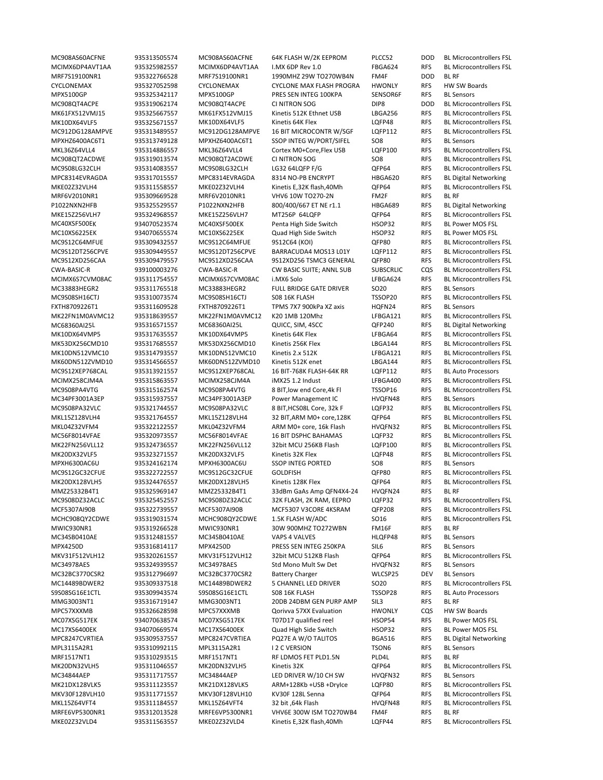MRF7S19100NR1 935322766528 MRF7S19100NR1 1990MHZ 29W TO270WB4N FM4F DOD BL RF CYCLONEMAX 935327052598 CYCLONEMAX CYCLONE MAX FLASH PROGRA HWONLY RFS HW SW Boards MPX5100GP 935325342117 MPX5100GP PRES SEN INTEG 100KPA SENSOR6F RFS BL Sensors MPXHZ6400AC6T1 935313749128 MPXHZ6400AC6T1 SSOP INTEG W/PORT/SIFEL SO8 RFS BL Sensors MPC8314EVRAGDA 935317015557 MPC8314EVRAGDA 8314 NO‐PB ENCRYPT HBGA620 RFS BL Digital Networking MRF6V2010NR1 935309669528 MRF6V2010NR1 VHV6 10W TO270‐2N FM2F RFS BL RF P1022NXN2HFB 935325529557 P1022NXN2HFB 800/400/667 ET NE r1.1 HBGA689 RFS BL Digital Networking MC40XSF500EK 934070523574 MC40XSF500EK Penta High Side Switch HSOP32 RFS BL Power MOS FSL MC10XS6225EK 934070655574 MC10XS6225EK Quad High Side Switch HSOP32 RFS BL Power MOS FSL<br>MC9S12C64MFUE 935309432557 MC9S12C64MFUE 9S12C64 (KOI) QFP80 RFS BL Microcontroller MC33883HEGR2 935311765518 MC33883HEGR2 FULL BRIDGE GATE DRIVER SO20 RFS BL Sensors FXTH8709226T1 935311609528 FXTH8709226T1 TPMS 7X7 900kPa XZ axis HQFN24 RFS BL Sensors MC68360AI25L 935316571557 MC68360AI25L QUICC, SIM, 4SCC QFP240 RFS BL Digital Networking MC9S12XEP768CAL 935313921557 MC9S12XEP768CAL 16 BIT‐768K FLASH‐64K RR LQFP112 RFS BL Auto Processors MC34PF3001A3EP 935315937557 MC34PF3001A3EP Power Management IC HVQFN48 RFS BL Sensors MPXH6300AC6U 935324162174 MPXH6300AC6U SSOP INTEG PORTED SO8 RFS BL Sensors MMZ25332B4T1 935325969147 MMZ25332B4T1 33dBm GaAs Amp QFN4X4‐24 HVQFN24 RFS BL RF MWIC930NR1 935319266528 MWIC930NR1 30W 900MHZ TO272WBN FM16F RFS BL RF MC34SB0410AE 935312481557 MC34SB0410AE VAPS 4 VALVES HLQFP48 RFS BL Sensors MPX4250D 935316814117 MPX4250D PRESS SEN INTEG 250KPA SIL6 RFS BL Sensors MC34978AES 935324939557 MC34978AES Std Mono Mult Sw Det HVQFN32 RFS BL Sensors MC32BC3770CSR2 935312796697 MC32BC3770CSR2 Battery Charger WLCSP25 DEV BL Sensors S9S08SG16E1CTL 935309943574 S9S08SG16E1CTL S08 16K FLASH TSSOP28 RFS BL Auto Processors MMG3003NT1 935316719147 MMG3003NT1 20DB 24DBM GEN PURP AMP SIL3 RFS BL RF<br>MPC57XXXMB 935326628598 MPC57XXXMB Qorivva 57XX Evaluation HWONLY CQS HW SW Boards MPC57XXXMB 935326628598 MPC57XXXMB Qorivva 57XX Evaluation HWONLY COS MC07XSG517EK 934070638574 MC07XSG517EK T07D17 qualified reel HSOP54 RFS BL Power MOS FSL MC17XS6400EK 934070669574 MC17XS6400EK Quad High Side Switch HSOP32 RFS BL Power MOS FSL MPC8247CVRTIEA 935309537557 MPC8247CVRTIEA PQ27E A W/O TALITOS BGA516 RFS BL Digital Networking MPL3115A2R1 935310992115 MPL3115A2R1 I 2 C VERSION TSON6 RFS BL Sensors MRF1517NT1 935310293515 MRF1517NT1 RF LDMOS FET PLD1.5N PLD4L RFS BL RF MC34844AEP 935311717557 MC34844AEP LED DRIVER W/10 CH SW HVQFN32 RFS BL Sensors MRFE6VP5300NR1 935312013528 MRFE6VP5300NR1 VHV6E 300W ISM TO270WB4 FM4F RFS BL RF

MC908AS60ACFNE 935313505574 MC908AS60ACFNE 64K FLASH W/2K EEPROM PLCC52 DOD BL Microcontrollers FSL MCIMX6DP4AVT1AA 935325982557 MCIMX6DP4AVT1AA I.MX 6DP Rev 1.0 FBGA624 RFS BL Microcontrollers FSL MC908QT4ACPE 935319062174 MC908QT4ACPE CI NITRON SOG DIP8 DOD BL Microcontrollers FSL MK61FX512VMJ15 935325667557 MK61FX512VMJ15 Kinetis 512K Ethnet USB LBGA256 RFS BL Microcontrollers FSL MK10DX64VLF5 935325671557 MK10DX64VLF5 Kinetis 64K Flex LQFP48 RFS BL Microcontrollers FSL MC912DG128AMPVE 935313489557 MC912DG128AMPVE 16 BIT MICROCONTR W/SGF LQFP112 RFS BL Microcontrollers FSL MKL36Z64VLL4 935314886557 MKL36Z64VLL4 Cortex M0+Core,Flex USB LQFP100 RFS BL Microcontrollers FSL MC908QT2ACDWE 935319013574 MC908QT2ACDWE CI NITRON SOG SO8 RFS BL Microcontrollers FSL MC9S08LG32CLH 935314083557 MC9S08LG32CLH LG32 64LQFP F/G QFP64 RFS BL Microcontrollers FSL MKE02Z32VLH4 935311558557 MKE02Z32VLH4 Kinetis E,32K flash,40Mh QFP64 RFS BL Microcontrollers FSL MKE15Z256VLH7 935324968557 MKE15Z256VLH7 MT256P 64LQFP QFP64 RFS BL Microcontrollers FSL RFS BL Microcontrollers FSL MC9S12DT256CPVE 935309449557 MC9S12DT256CPVE BARRACUDA4 MOS13 L01Y LQFP112 RFS BL Microcontrollers FSL MC9S12XD256CAA 935309479557 MC9S12XD256CAA 9S12XD256 TSMC3 GENERAL QFP80 RFS BL Microcontrollers FSL CWA‐BASIC‐R 939100003276 CWA‐BASIC‐R CW BASIC SUITE; ANNL SUB SUBSCRLIC CQS BL Microcontrollers FSL MCINA BASIC<br>MCIMX657CVM08AC 935311754557 MCIMX657CVM08AC i.MX6 Solo LEBGA624 RFS BL Microcontrollers FSL 935311754557 MCIMX6S7CVM08AC i.MX6 Solo LFBGA624 RFS BL Microcontrollers FSL MC9S08SH16CTJ 935310073574 MC9S08SH16CTJ S08 16K FLASH TSSOP20 RFS BL Microcontrollers FSL MK22FN1M0AVMC12 935318639557 MK22FN1M0AVMC12 K20 1MB 120Mhz LFBGA121 RFS BL Microcontrollers FSL MK10DX64VMP5 935317635557 MK10DX64VMP5 Kinetis 64K Flex LFBGA64 RFS BL Microcontrollers FSL MK53DX256CMD10 935317685557 MK53DX256CMD10 Kinetis 256K Flex LBGA144 RFS BL Microcontrollers FSL MK10DN512VMC10 935314793557 MK10DN512VMC10 Kinetis 2.x 512K LFBGA121 RFS BL Microcontrollers FSL<br>MK60DN512ZVMD10 935314566557 MK60DN512ZVMD10 Kinetis 512K enet LBGA144 RFS BL Microcontrollers FSL 935314566557 MK60DN512ZVMD10 Kinetis 512K enet LBGA144 RFS BL Microcontrollers FSL MCIMX258CJM4A 935315863557 MCIMX258CJM4A iMX25 1.2 Indust LFBGA400 RFS BL Microcontrollers FSL MC9S08PA4VTG 935315162574 MC9S08PA4VTG 8 BIT,low end Core,4k Fl TSSOP16 RFS BL Microcontrollers FSL MC9S08PA32VLC 935321744557 MC9S08PA32VLC 8 BIT,HCS08L Core, 32k F LQFP32 RFS BL Microcontrollers FSL MKL15Z128VLH4 935321764557 MKL15Z128VLH4 32 BIT,ARM M0+ core,128K QFP64 RFS BL Microcontrollers FSL MKL04Z32VFM4 935322122557 MKL04Z32VFM4 ARM M0+ core, 16k Flash HVQFN32 RFS BL Microcontrollers FSL MC56F8014VFAE 935320973557 MC56F8014VFAE 16 BIT DSPHC BAHAMAS LQFP32 RFS BL Microcontrollers FSL MK22FN256VLL12 935324736557 MK22FN256VLL12 32bit MCU 256KB Flash LQFP100 RFS BL Microcontrollers FSL MK20DX32VLF5 935323271557 MK20DX32VLF5 Kinetis 32K Flex LQFP48 RFS BL Microcontrollers FSL MC9S12GC32CFUE 935322722557 MC9S12GC32CFUE GOLDFISH QFP80 RFS BL Microcontrollers FSL MK20DX128VLH5 935324476557 MK20DX128VLH5 Kinetis 128K Flex QFP64 RFS BL Microcontrollers FSL MC9S08DZ32ACLC 935325452557 MC9S08DZ32ACLC 32K FLASH, 2K RAM, EEPRO LQFP32 RFS BL Microcontrollers FSL MCF5307AI90B 935322739557 MCF5307AI90B MCF5307 V3CORE 4KSRAM QFP208 RFS BL Microcontrollers FSL MCHC908QY2CDWE 935319031574 MCHC908QY2CDWE 1.5K FLASH W/ADC SO16 RFS BL Microcontrollers FSL MKV31F512VLH12 935320261557 MKV31F512VLH12 32bit MCU 512KB Flash QFP64 RFS BL Microcontrollers FSL MC14489BDWER2 935309337518 MC14489BDWER2 5 CHANNEL LED DRIVER SO20 RFS BL Microcontrollers FSL<br>S9S08SG16E1CTL 935309943574 S9S08SG16E1CTL S0816K FLASH TSSOP28 RFS BL Auto Processors MK20DN32VLH5 935311046557 MK20DN32VLH5 Kinetis 32K QFP64 RFS BL Microcontrollers FSL MK21DX128VLK5 935311123557 MK21DX128VLK5 ARM+128Kb +USB +DryIce LQFP80 RFS BL Microcontrollers FSL MKV30F128VLH10 935311771557 MKV30F128VLH10 KV30F 128L Senna QFP64 RFS BL Microcontrollers FSL MKL15Z64VFT4 935311184557 MKL15Z64VFT4 32 bit ,64k Flash HVQFN48 RFS BL Microcontrollers FSL MKE02Z32VLD4 935311563557 MKE02Z32VLD4 Kinetis E,32K flash,40Mh LQFP44 RFS BL Microcontrollers FSL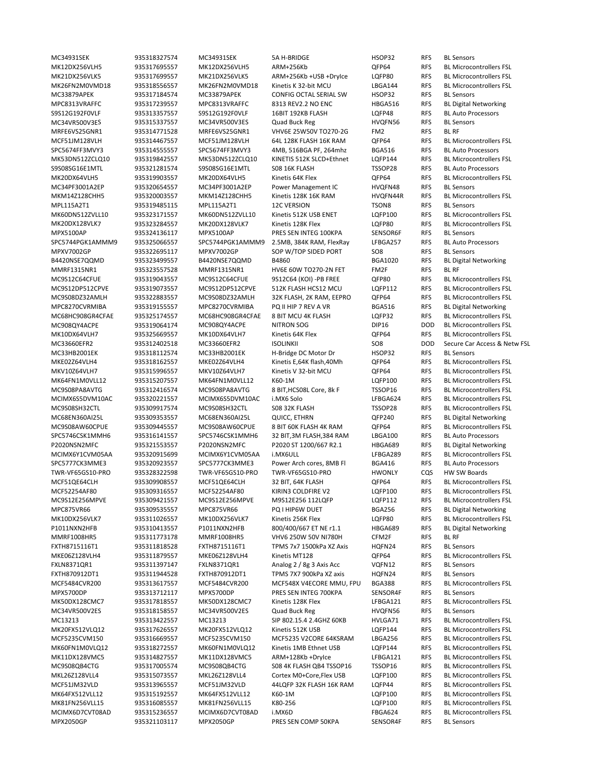MC34931SEK 935318327574 MC34931SEK 5A H‐BRIDGE HSOP32 RFS BL Sensors MC33879APEK 935317184574 MC33879APEK CONFIG OCTAL SERIAL SW HSOP32 RFS BL Sensors MPC8313VRAFFC 935317239557 MPC8313VRAFFC 8313 REV2.2 NO ENC HBGA516 RFS BL Digital Networking S9S12G192F0VLF 935313357557 S9S12G192F0VLF 16BIT 192KB FLASH LQFP48 RFS BL Auto Processors MC34VR500V3ES 935315337557 MC34VR500V3ES Quad Buck Reg HVQFN56 RFS BL Sensors MRFE6VS25GNR1 935314771528 MRFE6VS25GNR1 VHV6E 25W50V TO270‐2G FM2 RFS BL RF SPC5674FF3MVY3 935314555557 SPC5674FF3MVY3 4MB, 516BGA PF, 264mhz BGA516 RFS BL Auto Processors S9S08SG16E1MTL 935321281574 S9S08SG16E1MTL S08 16K FLASH TSSOP28 RFS BL Auto Processors MC34PF3001A2EP 935320654557 MC34PF3001A2EP Power Management IC HVQFN48 RFS BL Sensors MPL115A2T1 935319485115 MPL115A2T1 12C VERSION TSON8 RFS BL Sensors MPX5100AP 935324136117 MPX5100AP PRES SEN INTEG 100KPA SENSOR6F RFS BL Sensors<br>SPC5744PGK1AMMM9 935325066557 SPC5744PGK1AMMM9 2.5MB, 384K RAM, FlexRay LFBGA257 RFS BL Auto Processors 2.5MB, 384K RAM, FlexRay LFBGA257 RFS MPXV7002GP 935322695117 MPXV7002GP SOP W/TOP SIDED PORT SO8 RFS BL Sensors B4420NSE7QQMD 935323499557 B4420NSE7QQMD B4860 BGA1020 RFS BL Digital Networking MMRF1315NR1 935323557528 MMRF1315NR1 HV6E 60W TO270‐2N FET FM2F RFS BL RF MC33HB2001EK 935318112574 MC33HB2001EK H-Bridge DC Motor Dr HSOP32 RFS BL Sensors<br>MKE02Z64VLH4 935318162557 MKE02Z64VLH4 Kinetis E,64K flash,40Mh QFP64 RFS BL Microco MC68EN360AI25L 935309353557 MC68EN360AI25L QUICC, ETHRN QFP240 RFS BL Digital Networking SPC5746CSK1MMH6 935316141557 SPC5746CSK1MMH6 32 BIT,3M FLASH,384 RAM LBGA100 RFS BL Auto Processors P2020NSN2MFC 935321553557 P2020NSN2MFC P2020 ST 1200/667 R2.1 HBGA689 RFS BL Digital Networking SPC5777CK3MME3 935320923557 SPC5777CK3MME3 Power Arch cores, 8MB Fl BGA416 RFS BL Auto Processors TWR‐VF65GS10‐PRO 935328322598 TWR‐VF65GS10‐PRO TWR‐VF65GS10‐PRO HWONLY CQS HW SW Boards MPC875VR66 935309535557 MPC875VR66 PQ I HIP6W DUET BGA256 RFS BL Digital Networking P1011NXN2HFB 935310413557 P1011NXN2HFB 800/400/667 ET NE r1.1 HBGA689 RFS BL Digital Networking MMRF1008HR5 935311773178 MMRF1008HR5 VHV6 250W 50V NI780H CFM2F RFS BL RF FXTH8715116T1 935311818528 FXTH8715116T1 TPMS 7x7 1500kPa XZ Axis HQFN24 RFS BL Sensors FXLN8371QR1 935311397147 FXLN8371QR1 Analog 2 / 8g 3 Axis Acc VQFN12 RFS BL Sensors FXTH870912DT1 935311944528 FXTH870912DT1 TPMS 7X7 900kPa XZ axis HQFN24 RFS BL Sensors MPX5700DP 935313712117 MPX5700DP PRES SEN INTEG 700KPA SENSOR4F RFS BL Sensors MC34VR500V2ES 935318158557 MC34VR500V2ES Quad Buck Reg HVQFN56 RFS BL Sensors MPX2050GP 935321103117 MPX2050GP PRES SEN COMP 50KPA SENSOR4F RFS BL Sensors

MK12DX256VLH5 935317695557 MK12DX256VLH5 ARM+256Kb QFP64 RFS BL Microcontrollers FSL MK21DX256VLK5 935317699557 MK21DX256VLK5 ARM+256Kb +USB +DryIce LQFP80 RFS BL Microcontrollers FSL MK26FN2M0VMD18 935318556557 MK26FN2M0VMD18 Kinetis K 32-bit MCU LBGA144 RFS BL Microcontrollers FSL MCF51JM128VLH 935314467557 MCF51JM128VLH 64L 128K FLASH 16K RAM QFP64 RFS BL Microcontrollers FSL MK53DN512ZCLQ10 935319842557 MK53DN512ZCLQ10 KINETIS 512K SLCD+Ethnet LQFP144 RFS BL Microcontrollers FSL MK20DX64VLH5 935319903557 MK20DX64VLH5 Kinetis 64K Flex QFP64 RFS BL Microcontrollers FSL MKM14Z128CHH5 935320003557 MKM14Z128CHH5 Kinetis 128K 16K RAM HVQFN44R RFS BL Microcontrollers FSL MK60DN512ZVLL10 935323171557 MK60DN512ZVLL10 Kinetis 512K USB ENET LQFP100 RFS BL Microcontrollers FSL MK20DX128VLK7 935323284557 MK20DX128VLK7 Kinetis 128K Flex LQFP80 RFS BL Microcontrollers FSL MC9S12C64CFUE 935319043557 MC9S12C64CFUE 9S12C64 (KOI) ‐PB FREE QFP80 RFS BL Microcontrollers FSL MC9S12DP512CPVE 935319073557 MC9S12DP512CPVE 512K FLASH HCS12 MCU LQFP112 RFS BL Microcontrollers FSL MC9S08DZ32AMLH 935322883557 MC9S08DZ32AMLH 32K FLASH, 2K RAM, EEPRO QFP64 RFS BL Microcontrollers FSL MPC8270CVRMIBA 935319155557 MPC8270CVRMIBA PQ II HIP 7 REV A VR BGA516 RFS BL Digital Networking MC68HC908GR4CFAE 935325174557 MC68HC908GR4CFAE 8 BIT MCU 4K FLASH LQFP32 RFS BL Microcontrollers FSL MC908QY4ACPE 935319064174 MC908QY4ACPE NITRON SOG DIP16 DOD BL Microcontrollers FSL MK10DX64VLH7 935325669557 MK10DX64VLH7 Kinetis 64K Flex QFP64 RFS BL Microcontrollers FSL MC33660EFR2 935312402518 MC33660EFR2 ISOLINKII SO8 DOD Secure Car Access & Netw FSL MKE02Z64VLH4 935318162557 MKE02Z64VLH4 Kinetis E,64K flash,40Mh QFP64 RFS BL Microcontrollers FSL MKV10Z64VLH7 935315996557 MKV10Z64VLH7 Kinetis V 32‐bit MCU QFP64 RFS BL Microcontrollers FSL MK64FN1M0VLL12 935315207557 MK64FN1M0VLL12 K60‐1M LQFP100 RFS BL Microcontrollers FSL MC9S08PA8AVTG 935312416574 MC9S08PA8AVTG 8 BIT,HCS08L Core, 8k F TSSOP16 RFS BL Microcontrollers FSL MCIMX6S5DVM10AC 935320221557 MCIMX6S5DVM10AC i.MX6 Solo LFBGA624 RFS BL Microcontrollers FSL MC9S08SH32CTL 935309917574 MC9S08SH32CTL S08 32K FLASH TSSOP28 RFS BL Microcontrollers FSL MC9S08AW60CPUE 935309445557 MC9S08AW60CPUE 8 BIT 60K FLASH 4K RAM QFP64 RFS BL Microcontrollers FSL MCIMX6Y1CVM05AA 935320915699 MCIMX6Y1CVM05AA i.MX6ULL LFBGA289 RFS BL Microcontrollers FSL MCF51QE64CLH 935309908557 MCF51QE64CLH 32 BIT, 64K FLASH QFP64 RFS BL Microcontrollers FSL<br>MCF52254AF80 935309316557 MCF52254AF80 KIRIN3 COLDFIRE V2 LQFP100 RFS BL Microcontrollers FSL MCF52254AF80 935309316557 MCF52254AF80 KIRIN3 COLDFIRE V2 LQFP100 RFS BL Microcontrollers FSL MC9S12E256MPVE 935309421557 MC9S12E256MPVE M9S12E256 112LQFP LQFP112 RFS BL Microcontrollers FSL MK10DX256VLK7 935311026557 MK10DX256VLK7 Kinetis 256K Flex LQFP80 RFS BL Microcontrollers FSL MKE06Z128VLH4 935311879557 MKE06Z128VLH4 Kinetis MT128 QFP64 RFS BL Microcontrollers FSL MCF5484CVR200 935313617557 MCF5484CVR200 MCF548X V4ECORE MMU, FPU BGA388 RFS BL Microcontrollers FSL MK50DX128CMC7 935317818557 MK50DX128CMC7 Kinetis 128K Flex LFBGA121 RFS BL Microcontrollers FSL MC13213 935313422557 MC13213 SIP 802.15.4 2.4GHZ 60KB HVLGA71 RFS BL Microcontrollers FSL MK20FX512VLQ12 935317626557 MK20FX512VLQ12 Kinetis 512K USB LQFP144 RFS BL Microcontrollers FSL MCF5235CVM150 935316669557 MCF5235CVM150 MCF5235 V2CORE 64KSRAM LBGA256 RFS BL Microcontrollers FSL MK60FN1M0VLQ12 935318272557 MK60FN1M0VLQ12 Kinetis 1MB Ethnet USB LQFP144 RFS BL Microcontrollers FSL MK11DX128VMC5 935314827557 MK11DX128VMC5 ARM+128Kb +DryIce LFBGA121 RFS BL Microcontrollers FSL MC9S08QB4CTG 935317005574 MC9S08QB4CTG S08 4K FLASH QB4 TSSOP16 TSSOP16 RFS BL Microcontrollers FSL MKL26Z128VLL4 935315073557 MKL26Z128VLL4 Cortex M0+Core,Flex USB LQFP100 RFS BL Microcontrollers FSL MCF51JM32VLD 935313965557 MCF51JM32VLD 44LQFP 32K FLASH 16K RAM LQFP44 RFS BL Microcontrollers FSL MK64FX512VLL12 935315192557 MK64FX512VLL12 K60‐1M LQFP100 RFS BL Microcontrollers FSL MK81FN256VLL15 935316085557 MK81FN256VLL15 K80‐256 LQFP100 RFS BL Microcontrollers FSL MCIMX6D7CVT08AD 935315236557 MCIMX6D7CVT08AD i.MX6D FM FBGA624 RFS BL Microcontrollers FSL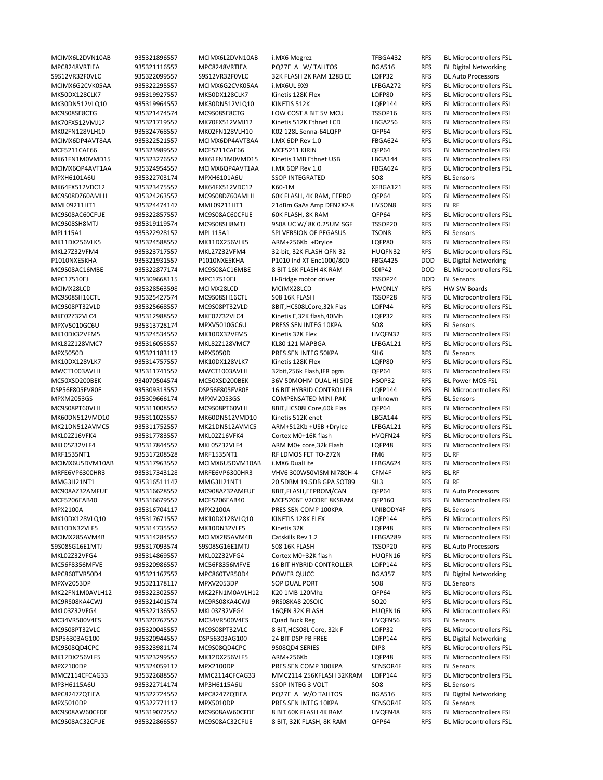MPC8248VRTIEA 935321116557 MPC8248VRTIEA PQ27E A W/ TALITOS BGA516 RFS BL Digital Networking S9S12VR32F0VLC 935322099557 S9S12VR32F0VLC 32K FLASH 2K RAM 128B EE LQFP32 RFS BL Auto Processors MPXH6101A6U 935322703174 MPXH6101A6U SSOP INTEGRATED SO8 RFS BL Sensors MML09211HT1 935324474147 MML09211HT1 21dBm GaAs Amp DFN2X2‐8 HVSON8 RFS BL RF MPL115A1 935322928157 MPL115A1 SPI VERSION OF PEGASUS TSON8 RFS BL Sensors<br>MK11DX256VLK5 935324588557 MK11DX256VLK5 ARM+256Kb +DryIce LQFP80 RFS BL Microco P1010NXE5KHA 935321931557 P1010NXE5KHA P1010 Ind XT Enc1000/800 FBGA425 DOD BL Digital Networking MPC17510EJ 935309668115 MPC17510EJ H‐Bridge motor driver TSSOP24 DOD BL Sensors MCIMX28LCD 935328563598 MCIMX28LCD MCIMX28LCD HWONLY RFS HW SW Boards MPXV5010GC6U 935313728174 MPXV5010GC6U PRESS SEN INTEG 10KPA SO8 RFS BL Sensors MPX5050D 935321183117 MPX5050D PRES SEN INTEG 50KPA SIL6 RFS BL Sensors<br>MK10DX128VLK7 935314757557 MK10DX128VLK7 Kinetis 128K Flex LQFP80 RFS BL Microco MC50XSD200BEK 934070504574 MC50XSD200BEK 36V 50MOHM DUAL HI SIDE HSOP32 RFS BL Power MOS FSL MPXM2053GS 935309666174 MPXM2053GS COMPENSATED MINI‐PAK unknown RFS BL Sensors MRF1535NT1 935317208528 MRF1535NT1 RF LDMOS FET TO‐272N FM6 RFS BL RF MRFE6VP6300HR3 935317343128 MRFE6VP6300HR3 VHV6 300W50VISM NI780H‐4 CFM4F RFS BL RF MMG3H21NT1 935316511147 MMG3H21NT1 20.5DBM 19.5DB GPA SOT89 SIL3 RFS BL RF MC908AZ32AMFUE 935316628557 MC908AZ32AMFUE 8BIT,FLASH,EEPROM/CAN QFP64 RFS BL Auto Processors MPX2100A 935316704117 MPX2100A PRES SEN COMP 100KPA UNIBODY4F RFS BL Sensors S9S08SG16E1MTJ 935317093574 S9S08SG16E1MTJ S08 16K FLASH TSSOP20 RFS BL Auto Processors MPC860TVR50D4 935321167557 MPC860TVR50D4 POWER QUICC BGA357 RFS BL Digital Networking MPXV2053DP 935321178117 MPXV2053DP SOP DUAL PORT SO8 RFS BL Sensors MC34VR500V4ES 935320767557 MC34VR500V4ES Quad Buck Reg HVQFN56 RFS BL Sensors DSP56303AG100 935320944557 DSP56303AG100 24 BIT DSP PB FREE LQFP144 RFS BL Digital Networking MPX2100DP 935324059117 MPX2100DP PRES SEN COMP 100KPA SENSOR4F RFS BL Sensors MP3H6115A6U 935322714174 MP3H6115A6U SSOP INTEG 3 VOLT SO8 RFS BL Sensors MPC8247ZQTIEA 935322724557 MPC8247ZQTIEA PQ27E A W/O TALITOS BGA516 RFS BL Digital Networking MPX5010DP 935322771117 MPX5010DP PRES SEN INTEG 10KPA SENSOR4F RFS BL Sensors

MCIMX6L2DVN10AB 935321896557 MCIMX6L2DVN10AB i.MX6 Megrez TFBGA432 RFS BL Microcontrollers FSL MCIMX6G2CVK05AA 935322295557 MCIMX6G2CVK05AA i.MX6UL 9X9 LFBGA272 RFS BL Microcontrollers FSL MK50DX128CLK7 935319927557 MK50DX128CLK7 Kinetis 128K Flex LQFP80 RFS BL Microcontrollers FSL MK30DN512VLQ10 935319964557 MK30DN512VLQ10 KINETIS 512K LQFP144 RFS BL Microcontrollers FSL<br>MC9S08SE8CTG 935321474574 MC9S08SE8CTG I OW COST 8 RIT SV MCI TSSOP16 RFS BL Microcontrollers FSL MC9S08SE8CTG 935321474574 MC9S08SE8CTG LOW COST 8 BIT 5V MCU TSSOP16 RFS BL Microcontrollers FSL MK70FX512VMJ12 935321719557 MK70FX512VMJ12 Kinetis 512K Ethnet LCD LBGA256 RFS BL Microcontrollers FSL MK02FN128VLH10 935324768557 MK02FN128VLH10 K02 128L Senna‐64LQFP QFP64 RFS BL Microcontrollers FSL MCIMX6DP4AVT8AA 935322521557 MCIMX6DP4AVT8AA I.MX 6DP Rev 1.0 FBGA624 RFS BL Microcontrollers FSL MCF5211CAE66 935323989557 MCF5211CAE66 MCF5211 KIRIN QFP64 RFS BL Microcontrollers FSL MK61FN1M0VMD15 935323276557 MK61FN1M0VMD15 Kinetis 1MB Ethnet USB LBGA144 RFS BL Microcontrollers FSL MCIMX6QP4AVT1AA 935324954557 MCIMX6QP4AVT1AA i.MX 6QP Rev 1.0 FBGA624 RFS BL Microcontrollers FSL MK64FX512VDC12 935323475557 MK64FX512VDC12 K60‐1M XFBGA121 RFS BL Microcontrollers FSL MC9S08DZ60AMLH 935324263557 MC9S08DZ60AMLH 60K FLASH, 4K RAM, EEPRO QFP64 RFS BL Microcontrollers FSL MC9S08AC60CFUE 935322857557 MC9S08AC60CFUE 60K FLASH, 8K RAM QFP64 RFS BL Microcontrollers FSL MC9S08SH8MTJ 935319119574 MC9S08SH8MTJ 9S08 UC W/ 8K 0.25UM SGF TSSOP20 RFS BL Microcontrollers FSL ARM+256Kb +DryIce LQFP80 RFS BL Microcontrollers FSL MKL27Z32VFM4 935323717557 MKL27Z32VFM4 32‐bit, 32K FLASH QFN 32 HUQFN32 RFS BL Microcontrollers FSL MC9S08AC16MBE 935322877174 MC9S08AC16MBE 8 BIT 16K FLASH 4K RAM SDIP42 DOD BL Microcontrollers FSL MC9S08SH16CTL 935325427574 MC9S08SH16CTL S08 16K FLASH TSSOP28 RFS BL Microcontrollers FSL MC9S08PT32VLD 935325668557 MC9S08PT32VLD 8BIT,HCS08LCore,32k Flas LQFP44 RFS BL Microcontrollers FSL MKE02Z32VLC4 935312988557 MKE02Z32VLC4 Kinetis E,32K flash,40Mh LQFP32 RFS BL Microcontrollers FSL MK10DX32VFM5 935324534557 MK10DX32VFM5 Kinetis 32K Flex HVQFN32 RFS BL Microcontrollers FSL MKL82Z128VMC7 935316055557 MKL82Z128VMC7 KL80 121 MAPBGA LFBGA121 RFS BL Microcontrollers FSL 935314757557 MK10DX128VLK7 Kinetis 128K Flex LQFP80 RFS BL Microcontrollers FSL MWCT1003AVLH 935311741557 MWCT1003AVLH 32bit,256k Flash,IFR pgm QFP64 RFS BL Microcontrollers FSL DSP56F805FV80E 935309313557 DSP56F805FV80E 16 BIT HYBRID CONTROLLER LQFP144 RFS BL Microcontrollers FSL MC9S08PT60VLH 935311008557 MC9S08PT60VLH 8BIT,HCS08LCore,60k Flas QFP64 RFS BL Microcontrollers FSL MK60DN512VMD10 935311025557 MK60DN512VMD10 Kinetis 512K enet LBGA144 RFS BL Microcontrollers FSL MK21DN512AVMC5 935311752557 MK21DN512AVMC5 ARM+512Kb +USB +DryIce LFBGA121 RFS BL Microcontrollers FSL MKL02Z16VFK4 935317783557 MKL02Z16VFK4 Cortex M0+16K flash HVQFN24 RFS BL Microcontrollers FSL MKL05Z32VLF4 935317844557 MKL05Z32VLF4 ARM M0+ core,32k Flash LQFP48 RFS BL Microcontrollers FSL MCIMX6U5DVM10AB 935317963557 MCIMX6U5DVM10AB i.MX6 DualLite LFBGA624 RFS BL Microcontrollers FSL MCF5206EAB40 935316679557 MCF5206EAB40 MCF5206E V2CORE 8KSRAM QFP160 RFS BL Microcontrollers FSL MK10DX128VLQ10 935317671557 MK10DX128VLQ10 KINETIS 128K FLEX LQFP144 RFS BL Microcontrollers FSL MK10DN32VLF5 935314735557 MK10DN32VLF5 Kinetis 32K LQFP48 RFS BL Microcontrollers FSL MCIMX285AVM4B 935314284557 MCIMX285AVM4B Catskills Rev 1.2 LFBGA289 RFS BL Microcontrollers FSL MKL02Z32VFG4 935314869557 MKL02Z32VFG4 Cortex M0+32K flash HUQFN16 RFS BL Microcontrollers FSL MC56F8356MFVE 935320986557 MC56F8356MFVE 16 BIT HYBRID CONTROLLER LQFP144 RFS BL Microcontrollers FSL MK22FN1M0AVLH12 935322302557 MK22FN1M0AVLH12 K20 1MB 120Mhz QFP64 RFS BL Microcontrollers FSL MC9RS08KA4CWJ 935321401574 MC9RS08KA4CWJ 9RS08KA8 20SOIC SO20 RFS BL Microcontrollers FSL MKL03Z32VFG4 935322136557 MKL03Z32VFG4 16QFN 32K FLASH HUQFN16 RFS BL Microcontrollers FSL MC9S08PT32VLC 935320045557 MC9S08PT32VLC 8 BIT,HCS08L Core, 32k F LQFP32 RFS BL Microcontrollers FSL MC9S08QD4CPC 935323981174 MC9S08QD4CPC 9S08QD4 SERIES DIP8 RFS BL Microcontrollers FSL MK12DX256VLF5 935323299557 MK12DX256VLF5 ARM+256Kb LQFP48 RFS BL Microcontrollers FSL MMC2114CFCAG33 935322688557 MMC2114CFCAG33 MMC2114 256KFLASH 32KRAM LQFP144 RFS BL Microcontrollers FSL MC9S08AW60CFDE 935319072557 MC9S08AW60CFDE 8 BIT 60K FLASH 4K RAM HVQFN48 RFS BL Microcontrollers FSL MC9S08AC32CFUE 935322866557 MC9S08AC32CFUE 8 BIT, 32K FLASH, 8K RAM QFP64 RFS BL Microcontrollers FSL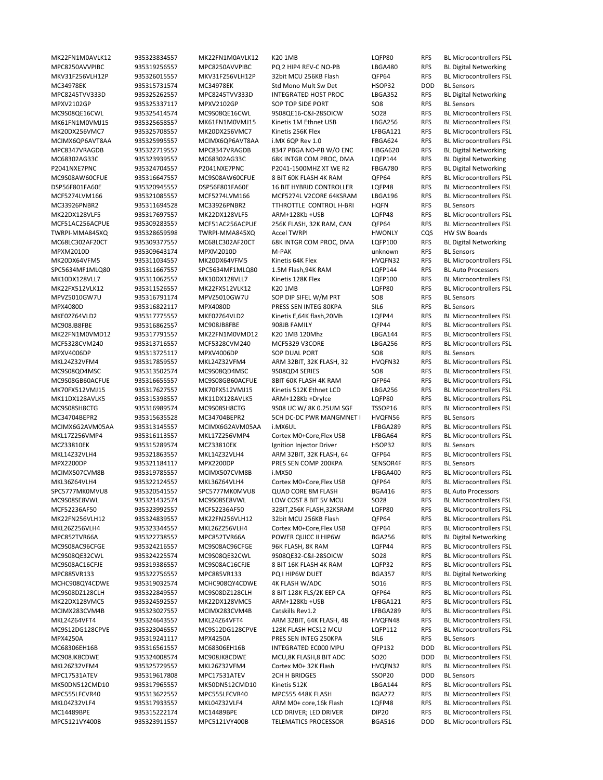MC34978EK 935315731574 MC34978EK Std Mono Mult Sw Det HSOP32 DOD BL Sensors MC33926PNBR2 935311694528 MC33926PNBR2 TTHROTTLE CONTROL H‐BRI HQFN RFS BL Sensors MC68LC302AF20CT 935309377557 MC68LC302AF20CT 68K INTGR COM PROC, DMA LQFP100 RFS MPXM2010D 935309643174 MPXM2010D M‐PAK unknown RFS BL Sensors SPC5634MF1MLQ80 935311667557 SPC5634MF1MLQ80 1.5M Flash,94K RAM LQFP144 RFS BL Auto Processors MPVZ5010GW7U 935316791174 MPVZ5010GW7U SOP DIP SIFEL W/M PRT SO8 RFS BL Sensors MPX4080D 935316822117 MPX4080D PRESS SEN INTEG 80KPA SIL6 RFS BL Sensors ARM 32BIT, 32K FLASH, 32 HVQFN32 RFS MC34704BEPR2 935315635528 MC34704BEPR2 5CH DC‐DC PWR MANGMNET I HVQFN56 RFS BL Sensors MCZ33810EK 935315289574 MCZ33810EK Ignition Injector Driver HSOP32 RFS BL Sensors MPX2200DP 935321184117 MPX2200DP PRES SEN COMP 200KPA SENSOR4F RFS BL Sensors SPC5777MK0MVU8 935320541557 SPC5777MK0MVU8 QUAD CORE 8M FLASH BGA416 RFS BL Auto Processors MPX4250A 935319241117 MPX4250A PRES SEN INTEG 250KPA SIL6 RFS BL Sensors MPC17531ATEV 935319617808 MPC17531ATEV 2CH H BRIDGES SSOP20 DOD BL Sensors

MK22FN1M0AVLK12 935323834557 MK22FN1M0AVLK12 K20 1MB LQFP80 RFS BL Microcontrollers FSL MPC8250AVVPIBC 935319256557 MPC8250AVVPIBC PQ 2 HIP4 REV-C NO-PB LBGA480 RFS BL Digital Networking MKV31F256VLH12P 935326015557 MKV31F256VLH12P 32bit MCU 256KB Flash QFP64 RFS BL Microcontrollers FSL MPC8245TVV333D 935325262557 MPC8245TVV333D INTEGRATED HOST PROC LBGA352 RFS BL Digital Networking MPXV2102GP 935325337117 MPXV2102GP SOP TOP SIDE PORT SO8 RFS BL Sensors<br>MC9S08OE16CWI 935325414574 MC9S08OE16CWI 9S08OE16-C&I-28SOICW SO28 RFS BL Microcontrollers ESI MC9S08QE16CWL 935325414574 MC9S08QE16CWL 9S08QE16‐C&I‐28SOICW SO28 RFS BL Microcontrollers FSL MK61FN1M0VMJ15 935325658557 MK61FN1M0VMJ15 Kinetis 1M Ethnet USB LBGA256 RFS BL Microcontrollers FSL MK20DX256VMC7 935325708557 MK20DX256VMC7 Kinetis 256K Flex LFBGA121 RFS BL Microcontrollers FSL MCIMX6QP6AVT8AA 935325995557 MCIMX6QP6AVT8AA i.MX 6QP Rev 1.0 FBGA624 RFS BL Microcontrollers FSL MPC8347VRAGDB 935322719557 MPC8347VRAGDB 8347 PBGA NO‐PB W/O ENC HBGA620 RFS BL Digital Networking MC68302AG33C 935323939557 MC68302AG33C 68K INTGR COM PROC, DMA LQFP144 RFS BL Digital Networking P2041NXE7PNC 935324704557 P2041NXE7PNC P2041-1500MHZ XT WE R2 FBGA780 RFS BL Digital Networking MC9S08AW60CFUE 935316647557 MC9S08AW60CFUE 8 BIT 60K FLASH 4K RAM QFP64 RFS BL Microcontrollers FSL DSP56F801FA60E 935320945557 DSP56F801FA60E 16 BIT HYBRID CONTROLLER LQFP48 RFS BL Microcontrollers FSL MCF5274LVM166 935321085557 MCF5274LVM166 MCF5274L V2CORE 64KSRAM LBGA196 RFS BL Microcontrollers FSL MK22DX128VLF5 935317697557 MK22DX128VLF5 ARM+128Kb +USB LQFP48 RFS BL Microcontrollers FSL MCF51AC256ACPUE 935309283557 MCF51AC256ACPUE 256K FLASH, 32K RAM, CAN QFP64 RFS BL Microcontrollers FSL TWRPI-MMA845XQ 935328659598 TWRPI-MMA845XQ Accel TWRPI HWONLY CQS HW SW Boards<br>MC68LC302AF20CT 935309377557 MC68LC302AF20CT 68K INTGR COM PROC, DMA LQFP100 RFS BL Digital Networking MK20DX64VFM5 935311034557 MK20DX64VFM5 Kinetis 64K Flex HVQFN32 RFS BL Microcontrollers FSL MK10DX128VLL7 935311062557 MK10DX128VLL7 Kinetis 128K Flex LQFP100 RFS BL Microcontrollers FSL MK22FX512VLK12 935311526557 MK22FX512VLK12 K20 1MB LQFP80 RFS BL Microcontrollers FSL MKE02Z64VLD2 935317775557 MKE02Z64VLD2 Kinetis E,64K flash,20Mh LQFP44 RFS BL Microcontrollers FSL MC908JB8FBE 935316862557 MC908JB8FBE 908JB FAMILY QFP44 RFS BL Microcontrollers FSL MK22FN1M0VMD12 935317791557 MK22FN1M0VMD12 K20 1MB 120Mhz LBGA144 RFS BL Microcontrollers FSL MCF5328CVM240 935313716557 MCF5328CVM240 MCF5329 V3CORE LBGA256 RFS BL Microcontrollers FSL MPXV4006DP 935313725117 MPXV4006DP SOP DUAL PORT SO8 RFS BL Sensors MC9S08QD4MSC 935313502574 MC9S08QD4MSC 9S08QD4 SERIES SO8 RFS BL Microcontrollers FSL MC9S08GB60ACFUE 935316655557 MC9S08GB60ACFUE 8BIT 60K FLASH 4K RAM QFP64 RFS BL Microcontrollers FSL MK70FX512VMJ15 935317627557 MK70FX512VMJ15 Kinetis 512K Ethnet LCD LBGA256 RFS BL Microcontrollers FSL MK11DX128AVLK5 935315398557 MK11DX128AVLK5 ARM+128Kb +DryIce LQFP80 RFS BL Microcontrollers FSL MC9S08SH8CTG 935316989574 MC9S08SH8CTG 9S08 UC W/ 8K 0.25UM SGF TSSOP16 RFS BL Microcontrollers FSL MCIMX6G2AVM05AA 935313145557 MCIMX6G2AVM05AA i.MX6UL LFBGA289 RFS BL Microcontrollers FSL MKL17Z256VMP4 935316113557 MKL17Z256VMP4 Cortex M0+Core,Flex USB LFBGA64 RFS BL Microcontrollers FSL MKL14Z32VLH4 935321863557 MKL14Z32VLH4 ARM 32BIT, 32K FLASH, 64 QFP64 RFS BL Microcontrollers FSL MCIMX507CVM8B 935319785557 MCIMX507CVM8B i.MX50 LFBGA400 RFS BL Microcontrollers FSL MKL36Z64VLH4 935322124557 MKL36Z64VLH4 Cortex M0+Core,Flex USB QFP64 RFS BL Microcontrollers FSL MC9S08SE8VWL 935321432574 MC9S08SE8VWL LOW COST 8 BIT 5V MCU SO28 RFS BL Microcontrollers FSL MCF52236AF50 935323992557 MCF52236AF50 32BIT,256K FLASH,32KSRAM LQFP80 RFS BL Microcontrollers FSL MK22FN256VLH12 935324839557 MK22FN256VLH12 32bit MCU 256KB Flash QFP64 RFS BL Microcontrollers FSL MKL26Z256VLH4 935323344557 MKL26Z256VLH4 Cortex M0+Core,Flex USB QFP64 RFS BL Microcontrollers FSL MPC852TVR66A 935322738557 MPC852TVR66A POWER QUICC II HIP6W BGA256 RFS BL Digital Networking MC9S08AC96CFGE 935324216557 MC9S08AC96CFGE 96K FLASH, 8K RAM LQFP44 RFS BL Microcontrollers FSL MC9S08QE32CWL 935324225574 MC9S08QE32CWL 9S08QE32‐C&I‐28SOICW SO28 RFS BL Microcontrollers FSL MC9S08AC16CFJE 935319386557 MC9S08AC16CFJE 8 BIT 16K FLASH 4K RAM LQFP32 RFS BL Microcontrollers FSL MPC885VR133 935322756557 MPC885VR133 PQ I HIP6W DUET BGA357 RFS BL Digital Networking MCHC908QY4CDWE 935319032574 MCHC908QY4CDWE 4K FLASH W/ADC SO16 RFS BL Microcontrollers FSL MC9S08DZ128CLH 935322849557 MC9S08DZ128CLH 8 BIT 128K FLS/2K EEP CA QFP64 RFS BL Microcontrollers FSL MK22DX128VMC5 935324592557 MK22DX128VMC5 ARM+128Kb +USB LFBGA121 RFS BL Microcontrollers FSL MCIMX283CVM4B 935323027557 MCIMX283CVM4B Catskills Rev1.2 LFBGA289 RFS BL Microcontrollers FSL MKL24Z64VFT4 935324643557 MKL24Z64VFT4 ARM 32BIT, 64K FLASH, 48 HVQFN48 RFS BL Microcontrollers FSL MC9S12DG128CPVE 935323046557 MC9S12DG128CPVE 128K FLASH HCS12 MCU LQFP112 RFS BL Microcontrollers FSL MC68306EH16B 935316561557 MC68306EH16B INTEGRATED EC000 MPU QFP132 DOD BL Microcontrollers FSL MC908JK8CDWE 935324008574 MC908JK8CDWE MCU,8K FLASH,8 BIT ADC SO20 DOD BL Microcontrollers FSL MKL26Z32VFM4 935325729557 MKL26Z32VFM4 Cortex M0+ 32K Flash HVQFN32 RFS BL Microcontrollers FSL MK50DN512CMD10 935317965557 MK50DN512CMD10 Kinetis 512K LBGA144 RFS BL Microcontrollers FSL MPC555LFCVR40 935313622557 MPC555LFCVR40 MPC555 448K FLASH BGA272 RFS BL Microcontrollers FSL MKL04Z32VLF4 935317933557 MKL04Z32VLF4 ARM M0+ core,16k Flash LQFP48 RFS BL Microcontrollers FSL MC14489BPE 935315222174 MC14489BPE LCD DRIVER; LED DRIVER DIP20 RFS BL Microcontrollers FSL MPC5121VY400B 935323911557 MPC5121VY400B TELEMATICS PROCESSOR BGA516 DOD BL Microcontrollers FSL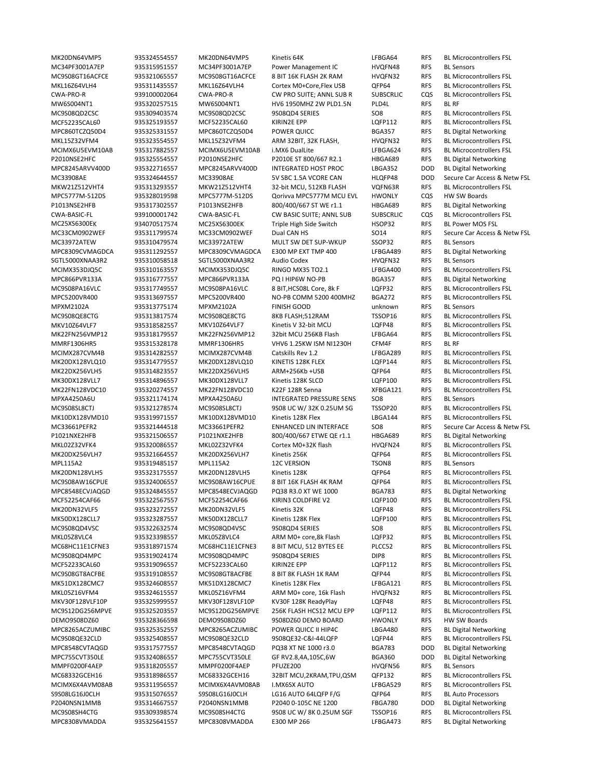MC34PF3001A7EP 935315951557 MC34PF3001A7EP Power Management IC HVQFN48 RFS BL Sensors MW6S004NT1 935320257515 MW6S004NT1 HV6 1950MHZ 2W PLD1.5N PLD4L RFS BL RF MPC860TCZQ50D4 935325331557 MPC860TCZQ50D4 POWER QUICC BGA357 RFS BL Digital Networking P2010NSE2HFC 935325554557 P2010NSE2HFC P2010E ST 800/667 R2.1 HBGA689 RFS BL Digital Networking MPC8245ARVV400D 935322716557 MPC8245ARVV400D INTEGRATED HOST PROC LBGA352 DOD BL Digital Networking MPC5777M‐512DS 935328019598 MPC5777M‐512DS Qorivva MPC5777M MCU EVL HWONLY CQS HW SW Boards P1013NSE2HFB 935317302557 P1013NSE2HFB 800/400/667 ST WE r1.1 HBGA689 RFS BL Digital Networking MC25XS6300EK 934070517574 MC25XS6300EK Triple High Side Switch HSOP32 RFS BL Power MOS FSL MC33972ATEW 935310479574 MC33972ATEW MULT SW DET SUP-WKUP SSOP32 RFS MPC8309CVMAGDCA 935311292557 MPC8309CVMAGDCA E300 MP EXT TMP 400 LFBGA489 RFS BL Digital Networking SGTL5000XNAA3R2 935310058518 SGTL5000XNAA3R2 Audio Codex HVQFN32 RFS BL Sensors MPC866PVR133A 935316777557 MPC866PVR133A PQ I HIP6W NO‐PB BGA357 RFS BL Digital Networking MPXM2102A 935313775174 MPXM2102A FINISH GOOD unknown RFS BL Sensors MMRF1306HR5 935315328178 MMRF1306HR5 VHV6 1.25KW ISM NI1230H CFM4F RFS BL RF MPXA4250A6U 935321174174 MPXA4250A6U INTEGRATED PRESSURE SENS SO8 RFS BL Sensors P1021NXE2HFB 935321506557 P1021NXE2HFB 800/400/667 ETWE QE r1.1 HBGA689 RFS BL Digital Networking MPL115A2 935319485157 MPL115A2 12C VERSION TSON8 RFS BL Sensors MPC8548ECVJAQGD 935324845557 MPC8548ECVJAQGD PQ38 R3.0 XT WE 1000 BGA783 RFS BL Digital Networking DEMO9S08DZ60 935328366598 DEMO9S08DZ60 9S08DZ60 DEMO BOARD HWONLY RFS HW SW Boards MPC8265ACZUMIBC 935325352557 MPC8265ACZUMIBC POWER QUICC II HIP4C LBGA480 RFS BL Digital Networking MPC8548CVTAQGD 935317577557 MPC8548CVTAQGD PQ38 XT NE 1000 r3.0 BGA783 DOD BL Digital Networking MPC755CVT350LE 935324086557 MPC755CVT350LE GF RV2.8,4A,105C,6W BGA360 DOD BL Digital Networking MMPF0200F4AEP 935318205557 MMPF0200F4AEP PFUZE200 HVQFN56 RFS BL Sensors S9S08LG16J0CLH 935315076557 S9S08LG16J0CLH LG16 AUTO 64LQFP F/G QFP64 RFS BL Auto Processors P2040NSN1MMB 935314667557 P2040NSN1MMB P2040 0-105C NE 1200 FBGA780 DOD BL Digital Networking MPC8308VMADDA 935325641557 MPC8308VMADDA E300 MP 266 LFBGA473 RFS BL Digital Networking

MK20DN64VMP5 935324554557 MK20DN64VMP5 Kinetis 64K LFBGA64 RFS BL Microcontrollers FSL MC9S08GT16ACFCE 935321065557 MC9S08GT16ACFCE 8 BIT 16K FLASH 2K RAM HVQFN32 RFS BL Microcontrollers FSL MKL16Z64VLH4 935311435557 MKL16Z64VLH4 Cortex M0+Core,Flex USB QFP64 RFS BL Microcontrollers FSL CWA‐PRO‐R 939100002064 CWA‐PRO‐R CW PRO SUITE; ANNL SUB R SUBSCRLIC CQS BL Microcontrollers FSL MC9S08QD2CSC 935309403574 MC9S08QD2CSC 9S08QD4 SERIES SO8 RFS BL Microcontrollers FSL MCF52235CAL60 935325193557 MCF52235CAL60 KIRIN2E EPP LQFP112 RFS BL Microcontrollers FSL MKL15Z32VFM4 935323554557 MKL15Z32VFM4 ARM 32BIT, 32K FLASH, HVQFN32 RFS BL Microcontrollers FSL MCIMX6U5EVM10AB 935317882557 MCIMX6U5EVM10AB i.MX6 DualLite LFBGA624 RFS BL Microcontrollers FSL MC33908AE 935324644557 MC33908AE 5V SBC 1.5A VCORE CAN HLQFP48 DOD Secure Car Access & Netw FSL MKW21Z512VHT4 935313293557 MKW21Z512VHT4 32‐bit MCU, 512KB FLASH VQFN63R RFS BL Microcontrollers FSL CWA‐BASIC‐FL 939100001742 CWA‐BASIC‐FL CW BASIC SUITE; ANNL SUB SUBSCRLIC CQS BL Microcontrollers FSL MC33CM0902WEF 935311799574 MC33CM0902WEF Dual CAN HS SO14 RFS Secure Car Access & Netw FSL<br>MC33972ATEW 935310479574 MC33972ATEW MULT SW DET SUP-WKUP SSOP32 RFS BL Sensors MCIMX353DJQ5C 935310163557 MCIMX353DJQ5C RINGO MX35 TO2.1 LFBGA400 RFS BL Microcontrollers FSL MC9S08PA16VLC 935317749557 MC9S08PA16VLC 8 BIT,HCS08L Core, 8k F LQFP32 RFS BL Microcontrollers FSL MPC5200VR400 935313697557 MPC5200VR400 NO‐PB COMM 5200 400MHZ BGA272 RFS BL Microcontrollers FSL MC9S08QE8CTG 935313817574 MC9S08QE8CTG 8KB FLASH;512RAM TSSOP16 RFS BL Microcontrollers FSL MKV10Z64VLF7 935318582557 MKV10Z64VLF7 Kinetis V 32‐bit MCU LQFP48 RFS BL Microcontrollers FSL MK22FN256VMP12 935318179557 MK22FN256VMP12 32bit MCU 256KB Flash LFBGA64 RFS BL Microcontrollers FSL MCIMX287CVM4B 935314282557 MCIMX287CVM4B Catskills Rev 1.2 LFBGA289 RFS BL Microcontrollers FSL<br>MK20DX128VLQ10 935314779557 MK20DX128VLQ10 KINETIS 128K FLEX LQFP144 RFS BL Microcontrollers FSL LOFP144 RFS BL Microcontrollers FSL MK22DX256VLH5 935314823557 MK22DX256VLH5 ARM+256Kb +USB QFP64 RFS BL Microcontrollers FSL MK30DX128VLL7 935314896557 MK30DX128VLL7 Kinetis 128K SLCD LQFP100 RFS BL Microcontrollers FSL MK22FN128VDC10 935320274557 MK22FN128VDC10 K22F 128R Senna XFBGA121 RFS BL Microcontrollers FSL MC9S08SL8CTJ 935321278574 MC9S08SL8CTJ 9S08 UC W/ 32K 0.25UM SG TSSOP20 RFS BL Microcontrollers FSL MK10DX128VMD10 935319971557 MK10DX128VMD10 Kinetis 128K Flex LBGA144 RFS BL Microcontrollers FSL MC33661PEFR2 935321444518 MC33661PEFR2 ENHANCED LIN INTERFACE SO8 RFS Secure Car Access & Netw FSL MKL02Z32VFK4 935320086557 MKL02Z32VFK4 Cortex M0+32K flash HVQFN24 RFS BL Microcontrollers FSL MK20DX256VLH7 935321664557 MK20DX256VLH7 Kinetis 256K QFP64 RFS BL Microcontrollers FSL MK20DN128VLH5 935323175557 MK20DN128VLH5 Kinetis 128K QFP64 RFS BL Microcontrollers FSL MC9S08AW16CPUE 935324006557 MC9S08AW16CPUE 8 BIT 16K FLASH 4K RAM QFP64 RFS BL Microcontrollers FSL MCF52254CAF66 935322567557 MCF52254CAF66 KIRIN3 COLDFIRE V2 LQFP100 RFS BL Microcontrollers FSL MK20DN32VLF5 935323272557 MK20DN32VLF5 Kinetis 32K LQFP48 RFS BL Microcontrollers FSL MK50DX128CLL7 935323287557 MK50DX128CLL7 Kinetis 128K Flex LQFP100 RFS BL Microcontrollers FSL MC9S08QD4VSC 935322632574 MC9S08QD4VSC 9S08QD4 SERIES SO8 RFS BL Microcontrollers FSL MKL05Z8VLC4 935323398557 MKL05Z8VLC4 ARM M0+ core,8k Flash LQFP32 RFS BL Microcontrollers FSL MC68HC11E1CFNE3 935318971574 MC68HC11E1CFNE3 8 BIT MCU, 512 BYTES EE PLCC52 RFS BL Microcontrollers FSL MC9S08QD4MPC 935319024174 MC9S08QD4MPC 9S08QD4 SERIES DIP8 RFS BL Microcontrollers FSL MCF52233CAL60 935319096557 MCF52233CAL60 KIRIN2E EPP LQFP112 RFS BL Microcontrollers FSL MC9S08GT8ACFBE 935319108557 MC9S08GT8ACFBE 8 BIT 8K FLASH 1K RAM QFP44 RFS BL Microcontrollers FSL MK51DX128CMC7 935324608557 MK51DX128CMC7 Kinetis 128K Flex LFBGA121 RFS BL Microcontrollers FSL MKL05Z16VFM4 935324615557 MKL05Z16VFM4 ARM M0+ core, 16k Flash HVQFN32 RFS BL Microcontrollers FSL MKV30F128VLF10P 935325999557 MKV30F128VLF10P KV30F 128K ReadyPlay LQFP48 RFS BL Microcontrollers FSL MC9S12DG256MPVE 935325203557 MC9S12DG256MPVE 256K FLASH HCS12 MCU EPP LQFP112 RFS BL Microcontrollers FSL MC9S08QE32CLD 935325408557 MC9S08QE32CLD 9S08QE32‐C&I‐44LQFP LQFP44 RFS BL Microcontrollers FSL MC68332GCEH16 935318986557 MC68332GCEH16 32BIT MCU,2KRAM,TPU,QSM QFP132 RFS BL Microcontrollers FSL MCIMX6X4AVM08AB 935311956557 MCIMX6X4AVM08AB I.MX6SX AUTO LFBGA529 RFS BL Microcontrollers FSL MC9S08SH4CTG 935309398574 MC9S08SH4CTG 9S08 UC W/ 8K 0.25UM SGF TSSOP16 RFS BL Microcontrollers FSL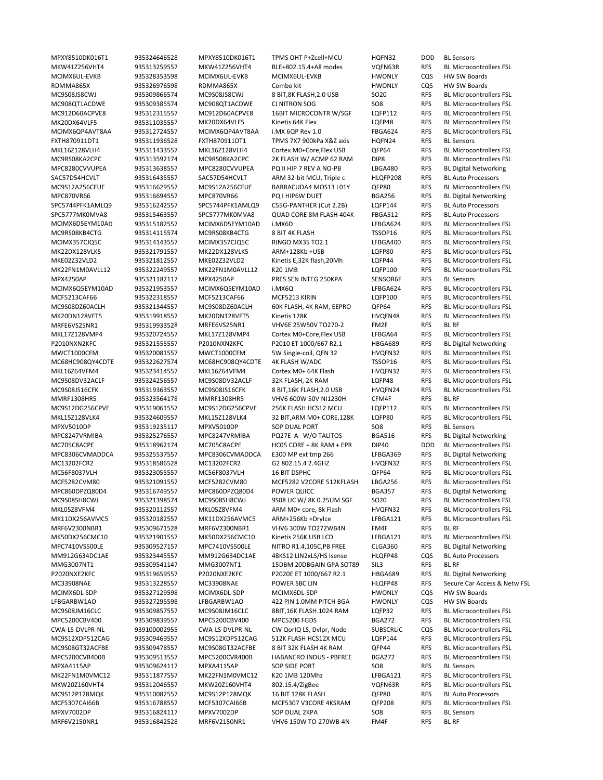MPXY8510DK016T1 935324646528 MPXY8510DK016T1 TPMS OHT P+Zcell+MCU HQFN32 DOD BL Sensors MCIMX6UL‐EVKB 935328353598 MCIMX6UL‐EVKB MCIMX6UL‐EVKB HWONLY CQS HW SW Boards RDMMA865X 935326976598 RDMMA865X Combo kit HWONLY CQS HW SW Boards FXTH870911DT1 935311936528 FXTH870911DT1 TPMS 7X7 900kPa X&Z axis HQFN24 RFS BL Sensors MPC8280CVVUPEA 935313638557 MPC8280CVVUPEA PQ II HIP 7 REV A NO-PB LBGA480 RFS BL Digital Networking SAC57D54HCVLT 935316435557 SAC57D54HCVLT ARM 32-bit MCU, Triple c HLOFP208 RFS BL Auto Processors MPC870VR66 935316694557 MPC870VR66 PQ I HIP6W DUET BGA256 RFS BL Digital Networking<br>SPC5744PFK1AMLQ9 935316242557 SPC5744PFK1AMLQ9 C55G-PANTHER (Cut 2.2B) LQFP144 RFS BL Auto Processors 935316242557 SPC5744PFK1AMLO9 C55G-PANTHER (Cut 2.2B) LOFP144 RFS BL Auto Processors SPC5777MK0MVA8 935315463557 SPC5777MK0MVA8 QUAD CORE 8M FLASH 404K FBGA512 RFS BL Auto Processors MPX4250AP 935321182117 MPX4250AP PRES SEN INTEG 250KPA SENSOR6F RFS BL Sensors MRFE6VS25NR1 935319933528 MRFE6VS25NR1 VHV6E 25W50V TO270‐2 FM2F RFS BL RF P2010NXN2KFC 935321555557 P2010NXN2KFC P2010 ET 1000/667 R2.1 HBGA689 RFS BL Digital Networking MMRF1308HR5 935323564178 MMRF1308HR5 VHV6 600W 50V NI1230H CFM4F RFS BL RF MPXV5010DP 935319235117 MPXV5010DP SOP DUAL PORT SO8 RFS BL Sensors MPC8247VRMIBA 935325276557 MPC8247VRMIBA PQ27E A W/O TALITOS BGA516 RFS BL Digital Networking MPC8306CVMADDCA 935325537557 MPC8306CVMADDCA E300 MP ext tmp 266 LFBGA369 RFS BL Digital Networking MPC860DPZQ80D4 935316749557 MPC860DPZQ80D4 POWER QUICC BGA357 RFS BL Digital Networking MRF6V2300NBR1 935309671528 MRF6V2300NBR1 VHV6 300W TO272WB4N FM4F RFS BL RF MPC7410VS500LE 935309527157 MPC7410VS500LE NITRO R1.4,105C,PB FREE CLGA360 RFS BL Digital Networking MM912G634DC1AE 935323445557 MM912G634DC1AE 48KS12 LIN2xLS/HS Isense HLQFP48 CQS BL Auto Processors MMG3007NT1 935309541147 MMG3007NT1 15DBM 20DBGAIN GPA SOT89 SIL3 RFS BL RF P2020NXE2KFC 935319659557 P2020NXE2KFC P2020E ET 1000/667 R2.1 HBGA689 RFS BL Digital Networking MCIMX6DL‐SDP 935327129598 MCIMX6DL‐SDP MCIMX6DL‐SDP HWONLY CQS HW SW Boards LFBGARBW1AO 935327295598 LFBGARBW1AO 422 PIN 1.0MM PITCH BGA HWONLY CQS HW SW Boards MPXA4115AP 935309624117 MPXA4115AP SOP SIDE PORT SO8 RFS BL Sensors MC9S12P128MQK 935310082557 MC9S12P128MQK 16 BIT 128K FLASH QFP80 RFS BL Auto Processors MPXV7002DP 935316824117 MPXV7002DP SOP DUAL 2KPA SO8 RFS BL Sensors MRF6V2150NR1 935316842528 MRF6V2150NR1 VHV6 150W TO‐270WB‐4N FM4F RFS BL RF

MKW41Z256VHT4 935313259557 MKW41Z256VHT4 BLE+802.15.4+All modes VQFN63R RFS BL Microcontrollers FSL MC9S08JS8CWJ 935309866574 MC9S08JS8CWJ 8 BIT,8K FLASH,2.0 USB SO20 RFS BL Microcontrollers FSL MC908QT1ACDWE 935309385574 MC908QT1ACDWE CI NITRON SOG SO8 RFS BL Microcontrollers FSL MC912D60ACPVE8 935312315557 MC912D60ACPVE8 16BIT MICROCONTR W/SGF LQFP112 RFS BL Microcontrollers FSL MK20DX64VLF5 935311035557 MK20DX64VLF5 Kinetis 64K Flex LQFP48 RFS BL Microcontrollers FSL MCIMX6QP4AVT8AA 935312724557 MCIMX6QP4AVT8AA i.MX 6QP Rev 1.0 FBGA624 RFS BL Microcontrollers FSL MKL16Z128VLH4 935311433557 MKL16Z128VLH4 Cortex M0+Core,Flex USB QFP64 RFS BL Microcontrollers FSL MC9RS08KA2CPC 935313592174 MC9RS08KA2CPC 2K FLASH W/ ACMP 62 RAM DIP8 RFS BL Microcontrollers FSL MC9S12A256CFUE 935316629557 MC9S12A256CFUE BARRACUDA4 MOS13 L01Y QFP80 RFS BL Microcontrollers FSL MCIMX6D5EYM10AD 935315182557 MCIMX6D5EYM10AD i.MX6D LFBGA624 RFS BL Microcontrollers FSL MC9RS08KB4CTG 935314115574 MC9RS08KB4CTG 8 BIT 4K FLASH TSSOP16 RFS BL Microcontrollers FSL<br>MCIMX357CJQ5C 935314143557 MCIMX357CJQ5C RINGO MX35 TO2.1 LFBGA400 RFS BL Microcontrollers FSL RFS BL Microcontrollers FSL MK22DX128VLK5 935321791557 MK22DX128VLK5 ARM+128Kb +USB LQFP80 RFS BL Microcontrollers FSL MKE02Z32VLD2 935321812557 MKE02Z32VLD2 Kinetis E,32K flash,20Mh LQFP44 RFS BL Microcontrollers FSL MK22FN1M0AVLL12 935322249557 MK22FN1M0AVLL12 K201MB LQFP100 RFS BL Microcontrollers FSL MCIMX6Q5EYM10AD 935321953557 MCIMX6Q5EYM10AD i.MX6Q LFBGA624 RFS BL Microcontrollers FSL MCF5213CAF66 935322318557 MCF5213CAF66 MCF5213 KIRIN LQFP100 RFS BL Microcontrollers FSL MC9S08DZ60ACLH 935321344557 MC9S08DZ60ACLH 60K FLASH, 4K RAM, EEPRO QFP64 RFS BL Microcontrollers FSL MK20DN128VFT5 935319918557 MK20DN128VFT5 Kinetis 128K HVQFN48 RFS BL Microcontrollers FSL MKL17Z128VMP4 935320724557 MKL17Z128VMP4 Cortex M0+Core,Flex USB LFBGA64 RFS BL Microcontrollers FSL MWCT1000CFM 935320081557 MWCT1000CFM 5W Single-coil, QFN 32 HVQFN32 RFS BL Microcontrollers FSL<br>MC68HC908QY4CDTE 935322627574 MC68HC908QY4CDTE 4K FLASH W/ADC 7SSOP16 RFS BL Microcontrollers FSL 935322627574 MC68HC908QY4CDTE 4K FLASH W/ADC TSSOP16 RFS BL Microcontrollers FSL MKL16Z64VFM4 935323414557 MKL16Z64VFM4 Cortex M0+ 64K Flash HVQFN32 RFS BL Microcontrollers FSL MC9S08DV32ACLF 935324256557 MC9S08DV32ACLF 32K FLASH, 2K RAM LQFP48 RFS BL Microcontrollers FSL MC9S08JS16CFK 935319363557 MC9S08JS16CFK 8 BIT,16K FLASH,2.0 USB HVQFN24 RFS BL Microcontrollers FSL MC9S12DG256CPVE 935319061557 MC9S12DG256CPVE 256K FLASH HCS12 MCU LQFP112 RFS BL Microcontrollers FSL MKL15Z128VLK4 935324609557 MKL15Z128VLK4 32 BIT,ARM M0+ CORE,128K LQFP80 RFS BL Microcontrollers FSL MC705C8ACPE 935318962174 MC705C8ACPE HC05 CORE + 8K RAM + EPR DIP40 DOD BL Microcontrollers FSL MC13202FCR2 935318586528 MC13202FCR2 G2 802.15.4 2.4GHZ HVQFN32 RFS BL Microcontrollers FSL MC56F8037VLH 935323055557 MC56F8037VLH 16 BIT DSPHC QFP64 RFS BL Microcontrollers FSL MCF5282CVM80 935321091557 MCF5282CVM80 MCF5282 V2CORE 512KFLASH LBGA256 RFS BL Microcontrollers FSL MC9S08SH8CWJ 935321398574 MC9S08SH8CWJ 9S08 UC W/ 8K 0.25UM SGF SO20 RFS BL Microcontrollers FSL MKL05Z8VFM4 935320112557 MKL05Z8VFM4 ARM M0+ core, 8k Flash HVQFN32 RFS BL Microcontrollers FSL MK11DX256AVMC5 935320182557 MK11DX256AVMC5 ARM+256Kb +DryIce LFBGA121 RFS BL Microcontrollers FSL MK50DX256CMC10 935321901557 MK50DX256CMC10 Kinetis 256K USB LCD LFBGA121 RFS BL Microcontrollers FSL MC33908NAE 935313228557 MC33908NAE POWER SBC LIN HLQFP48 RFS Secure Car Access & Netw FSL MC9S08JM16CLC 935309857557 MC9S08JM16CLC 8BIT,16K FLASH.1024 RAM LQFP32 RFS BL Microcontrollers FSL MPC5200CBV400 935309839557 MPC5200CBV400 MPC5200 FGDS BGA272 RFS BL Microcontrollers FSL CWA‐LS‐DVLPR‐NL 939100002955 CWA‐LS‐DVLPR‐NL CW QorIQ LS, Dvlpr, Node SUBSCRLIC CQS BL Microcontrollers FSL MC9S12XDP512CAG 935309469557 MC9S12XDP512CAG 512K FLASH HCS12X MCU LQFP144 RFS BL Microcontrollers FSL MC9S08GT32ACFBE 935309478557 MC9S08GT32ACFBE 8 BIT 32K FLASH 4K RAM QFP44 RFS BL Microcontrollers FSL MPC5200CVR400B 935309513557 MPC5200CVR400B HABANERO INDUS ‐ PBFREE BGA272 RFS BL Microcontrollers FSL MK22FN1M0VMC12 935311877557 MK22FN1M0VMC12 K20 1MB 120Mhz LFBGA121 RFS BL Microcontrollers FSL MKW20Z160VHT4 935312046557 MKW20Z160VHT4 802.15.4/ZigBee VQFN63R RFS BL Microcontrollers FSL MCF5307CAI66B 935316788557 MCF5307CAI66B MCF5307 V3CORE 4KSRAM QFP208 RFS BL Microcontrollers FSL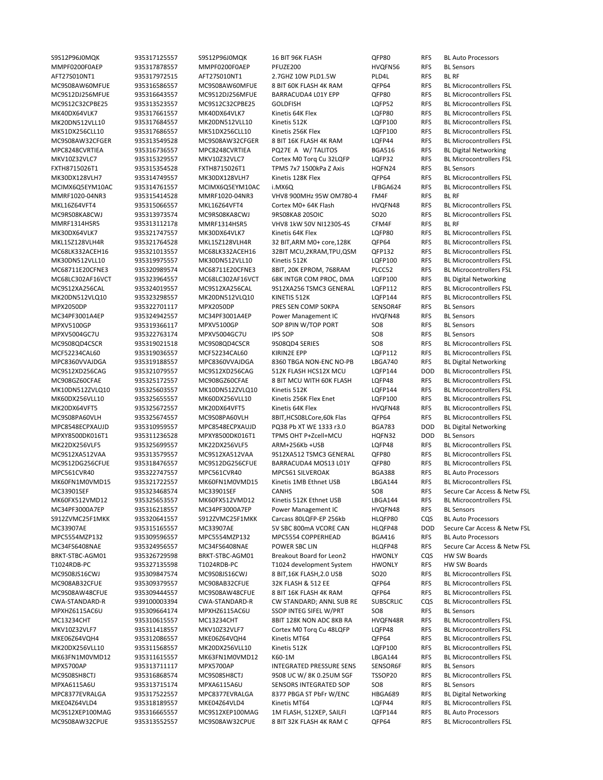S9S12P96J0MQK 935317125557 S9S12P96J0MQK 16 BIT 96K FLASH QFP80 RFS BL Auto Processors MMPF0200F0AEP 935317878557 MMPF0200F0AEP PFUZE200 HVQFN56 RFS BL Sensors AFT27S010NT1 935317972515 AFT27S010NT1 2.7GHZ 10W PLD1.5W PLD4L RFS BL RF MC9S08AW60MFUE 935316586557 MC9S08AW60MFUE 8 BIT 60K FLASH 4K RAM QFP64 RFS BL Microcontrollers FSL MC9S12DJ256MFUE 935316643557 MC9S12DJ256MFUE BARRACUDA4 L01Y EPP QFP80 RFS BL Microcontrollers FSL MC9S12C32CPBE25 935313523557 MC9S12C32CPBE25 GOLDFISH LQFP52 RFS BL Microcontrollers FSL MK40DX64VLK7 935317661557 MK40DX64VLK7 Kinetis 64K Flex LQFP80 RFS BL Microcontrollers FSL MK20DN512VLL10 935317684557 MK20DN512VLL10 Kinetis 512K LQFP100 RFS BL Microcontrollers FSL MK51DX256CLL10 935317686557 MK51DX256CLL10 Kinetis 256K Flex LQFP100 RFS BL Microcontrollers FSL MC9S08AW32CFGER 935313549528 MC9S08AW32CFGER 8 BIT 16K FLASH 4K RAM LQFP44 RFS BL Microcontrollers FSL MPC8248CVRTIEA 935316736557 MPC8248CVRTIEA PQ27E A W/ TALITOS BGA516 RFS BL Digital Networking MKV10Z32VLC7 935315329557 MKV10Z32VLC7 Cortex M0 Torq Cu 32LQFP LQFP32 RFS BL Microcontrollers FSL FXTH8715026T1 935315354528 FXTH8715026T1 TPMS 7x7 1500kPa Z Axis HQFN24 RFS BL Sensors MK30DX128VLH7 935314749557 MK30DX128VLH7 Kinetis 128K Flex QFP64 RFS BL Microcontrollers FSL MCIMX6Q5EYM10AC 935314761557 MCIMX6Q5EYM10AC i.MX6Q LFBGA624 RFS BL Microcontrollers FSL MMRF1020-04NR3 935315414528 MMRF1020-04NR3 VHV8 900MHz 95W OM780-4 FM4F RFS BLIRF<br>MKL16Z64VFT4 935315066557 MKL16Z64VFT4 Cortex M0+ 64K Flash HVQFN48 RFS BLI Mi MKL16Z64VFT4 935315066557 MKL16Z64VFT4 Cortex M0+ 64K Flash HVQFN48 RFS BL Microcontrollers FSL MC9RS08KA8CWJ 935313973574 MC9RS08KA8CWJ 9RS08KA8 20SOIC SO20 RFS BL Microcontrollers FSL MMRF1314HSR5 935313112178 MMRF1314HSR5 VHV8 1kW 50V NI1230S‐4S CFM4F RFS BL RF MK30DX64VLK7 935321747557 MK30DX64VLK7 Kinetis 64K Flex LQFP80 RFS BL Microcontrollers FSL 32 BIT,ARM M0+ core,128K QFP64 RFS MC68LK332ACEH16 935321013557 MC68LK332ACEH16 32BIT MCU,2KRAM,TPU,QSM QFP132 RFS BL Microcontrollers FSL MK30DN512VLL10 935319975557 MK30DN512VLL10 Kinetis 512K LQFP100 RFS BL Microcontrollers FSL MC68711E20CFNE3 935320989574 MC68711E20CFNE3 8BIT, 20K EPROM, 768RAM PLCC52 RFS BL Microcontrollers FSL MC68LC302AF16VCT 935323964557 MC68LC302AF16VCT 68K INTGR COM PROC, DMA LQFP100 RFS BL Digital Networking MC9S12XA256CAL 935324019557 MC9S12XA256CAL 9S12XA256 TSMC3 GENERAL LQFP112 RFS BL Microcontrollers FSL MK20DN512VLQ10 935323298557 MK20DN512VLQ10 KINETIS 512K LQFP144 RFS BL Microcontrollers FSL MPX2050DP 935322701117 MPX2050DP PRES SEN COMP 50KPA SENSOR4F RFS BL Sensors MC34PF3001A4EP 935324942557 MC34PF3001A4EP Power Management IC HVQFN48 RFS BL Sensors MPXV5100GP 935319366117 MPXV5100GP SOP 8PIN W/TOP PORT SO8 RFS BL Sensors MPXV5004GC7U 935322763174 MPXV5004GC7U IPS SOP SO8 RFS BL Sensors MC9S08QD4CSCR 935319021518 MC9S08QD4CSCR 9S08QD4 SERIES SO8 RFS BL Microcontrollers FSL MCF52234CAL60 935319036557 MCF52234CAL60 KIRIN2E EPP LQFP112 RFS BL Microcontrollers FSL<br>MPC8360VVAJDGA 935319188557 MPC8360VVAJDGA 8360TBGA NON-ENC NO-PB LBGA740 RFS BL Digital Networking MPC8360VVAJDGA 935319188557 MPC8360VVAJDGA 8360 TBGA NON‐ENC NO‐PB LBGA740 RFS BL Digital Networking MC9S12XD256CAG 935321079557 MC9S12XD256CAG 512K FLASH HCS12X MCU LQFP144 DOD BL Microcontrollers FSL MC908GZ60CFAE 935325172557 MC908GZ60CFAE 8 BIT MCU WITH 60K FLASH LQFP48 RFS BL Microcontrollers FSL MK10DN512ZVLQ10 935325603557 MK10DN512ZVLQ10 Kinetis 512K LQFP144 RFS BL Microcontrollers FSL MK60DX256VLL10 935325655557 MK60DX256VLL10 Kinetis 256K Flex Enet LQFP100 RFS BL Microcontrollers FSL MK20DX64VFT5 935325672557 MK20DX64VFT5 Kinetis 64K Flex HVQFN48 RFS BL Microcontrollers FSL MC9S08PA60VLH 935325674557 MC9S08PA60VLH 8BIT,HCS08LCore,60k Flas QFP64 RFS BL Microcontrollers FSL MPC8548ECPXAUJD 935310959557 MPC8548ECPXAUJD PQ38 Pb XT WE 1333 r3.0 BGA783 DOD BL Digital Networking MPXY8500DK016T1 935311236528 MPXY8500DK016T1 TPMS OHT P+Zcell+MCU HQFN32 DOD BL Sensors MK22DX256VLF5 935325699557 MK22DX256VLF5 ARM+256Kb +USB LQFP48 RFS BL Microcontrollers FSL MC9S12XA512VAA 935313579557 MC9S12XA512VAA 9S12XA512 TSMC3 GENERAL QFP80 RFS BL Microcontrollers FSL MC9S12DG256CFUE 935318476557 MC9S12DG256CFUE BARRACUDA4 MOS13 L01Y QFP80 RFS BL Microcontrollers FSL MPC561CVR40 935322747557 MPC561CVR40 MPC561 SILVEROAK BGA388 RFS BL Auto Processors MK60FN1M0VMD15 935321722557 MK60FN1M0VMD15 Kinetis 1MB Ethnet USB LBGA144 RFS BL Microcontrollers FSL MK60FX512VMD12 935325653557 MK60FX512VMD12 Kinetis 512K Ethnet USB LBGA144 RFS BL Microcontrollers FSL MC34PF3000A7EP 935316218557 MC34PF3000A7EP Power Management IC HVQFN48 RFS BL Sensors S912ZVMC25F1MKK 935320641557 S912ZVMC25F1MKK Carcass 80LQFP‐EP 256kb HLQFP80 CQS BL Auto Processors MPC5554MZP132 935309596557 MPC5554MZP132 MPC5554 COPPERHEAD BGA416 RFS BL Auto Processors BRKT‐STBC‐AGM01 935326729598 BRKT‐STBC‐AGM01 Breakout Board for Leon2 HWONLY CQS HW SW Boards T1024RDB‐PC 935327135598 T1024RDB‐PC T1024 development System HWONLY RFS HW SW Boards MC9S08JS16CWJ 935309847574 MC9S08JS16CWJ 8 BIT,16K FLASH,2.0 USB SO20 RFS BL Microcontrollers FSL MC908AB32CFUE 935309379557 MC908AB32CFUE 32K FLASH & 512 EE QFP64 RFS BL Microcontrollers FSL MC9S08AW48CFUE 935309444557 MC9S08AW48CFUE 8 BIT 16K FLASH 4K RAM QFP64 RFS BL Microcontrollers FSL CWA‐STANDARD‐R 939100003394 CWA‐STANDARD‐R CW STANDARD; ANNL SUB RE SUBSCRLIC CQS BL Microcontrollers FSL MPXHZ6115AC6U 935309664174 MPXHZ6115AC6U SSOP INTEG SIFEL W/PRT SO8 RFS BL Sensors MC13234CHT 935310615557 MC13234CHT 8BIT 128K NON ADC 8KB RA HVQFN48R RFS BL Microcontrollers FSL MKV10Z32VLF7 935311418557 MKV10Z32VLF7 Cortex M0 Torq Cu 48LQFP LQFP48 RFS BL Microcontrollers FSL MKE06Z64VQH4 935312086557 MKE06Z64VQH4 Kinetis MT64 QFP64 RFS BL Microcontrollers FSL MK20DX256VLL10 935311568557 MK20DX256VLL10 Kinetis 512K LQFP100 RFS BL Microcontrollers FSL MK63FN1M0VMD12 935311615557 MK63FN1M0VMD12 K60‐1M LBGA144 RFS BL Microcontrollers FSL MPX5700AP 935313711117 MPX5700AP INTEGRATED PRESSURE SENS SENSOR6F RFS BL Sensors MC9S08SH8CTJ 935316868574 MC9S08SH8CTJ 9S08 UC W/ 8K 0.25UM SGF TSSOP20 RFS BL Microcontrollers FSL MPXA6115A6U 935313715174 MPXA6115A6U SENSORS INTEGRATED SOP SO8 RFS BL Sensors MPC8377EVRALGA 935317522557 MPC8377EVRALGA 8377 PBGA ST PbFr W/ENC HBGA689 RFS BL Digital Networking MKE04Z64VLD4 935318189557 MKE04Z64VLD4 Kinetis MT64 LQFP44 RFS BL Microcontrollers FSL MC9S12XEP100MAG 935316665557 MC9S12XEP100MAG 1M FLASH, S12XEP, SAILFI LQFP144 RFS BL Auto Processors MC9S08AW32CPUE 935313552557 MC9S08AW32CPUE 8 BIT 32K FLASH 4K RAM C QFP64 RFS BL Microcontrollers FSL

MC33901SEF 935323468574 MC33901SEF CANHS SO8 RFS Secure Car Access & Netw FSL MC33907AE 935315165557 MC33907AE 5V SBC 800mA VCORE CAN HLQFP48 DOD Secure Car Access & Netw FSL MC34FS6408NAE 935324956557 MC34FS6408NAE POWER SBC LIN HLQFP48 RFS Secure Car Access & Netw FSL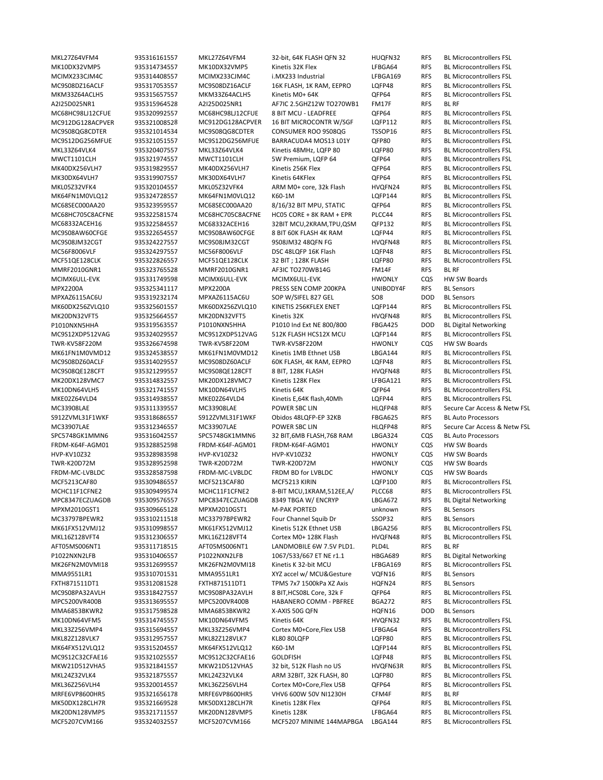A2I25D025NR1 935315964528 A2I25D025NR1 AF7IC 2.5GHZ12W TO270WB1 FM17F RFS BL RF MMRF2010GNR1 935323765528 MMRF2010GNR1 AF3IC TO270WB14G FM14F RFS BL RF MCIMX6ULL‐EVK 935331749598 MCIMX6ULL‐EVK MCIMX6ULL‐EVK HWONLY CQS HW SW Boards MPX2200A 935325341117 MPX2200A PRESS SEN COMP 200KPA UNIBODY4F RFS BL Sensors MPXAZ6115AC6U 935319232174 MPXAZ6115AC6U SOP W/SIFEL 827 GEL SO8 DOD BL Sensors TWR‐KV58F220M 935326674598 TWR‐KV58F220M TWR‐KV58F220M HWONLY CQS HW SW Boards S912ZVML31F1WKF 935318686557 S912ZVML31F1WKF Obidos 48LQFP-EP 32KB FBGA625 RFS BL Auto Processors SPC5748GK1MMN6 935316042557 SPC5748GK1MMN6 32 BIT,6MB FLASH,768 RAM LBGA324 CQS BL Auto Processors FRDM‐K64F‐AGM01 935328852598 FRDM‐K64F‐AGM01 FRDM‐K64F‐AGM01 HWONLY CQS HW SW Boards HVP‐KV10Z32 935328983598 HVP‐KV10Z32 HVP‐KV10Z32 HWONLY CQS HW SW Boards TWR‐K20D72M 935328952598 TWR‐K20D72M TWR‐K20D72M HWONLY CQS HW SW Boards FRDM‐MC‐LVBLDC 935328587598 FRDM‐MC‐LVBLDC FRDM BD for LVBLDC HWONLY CQS HW SW Boards MPXM2010GST1 935309665128 MPXM2010GST1 M‐PAK PORTED unknown RFS BL Sensors MC33797BPEWR2 935310211518 MC33797BPEWR2 Four Channel Squib Dr SSOP32 RFS BL Sensors AFT05MS006NT1 935311718515 AFT05MS006NT1 LANDMOBILE 6W 7.5V PLD1. PLD4L RFS BL RF MMA9551LR1 935310701531 MMA9551LR1 XYZ accel w/ MCU&Gesture VQFN16 RFS BL Sensors FXTH871511DT1 935312081528 FXTH871511DT1 TPMS 7x7 1500kPa XZ Axis HQFN24 RFS BL Sensors MMA6853BKWR2 935317598528 MMA6853BKWR2 X‐AXIS 50G QFN HQFN16 DOD BL Sensors MRFE6VP8600HR5 935321656178 MRFE6VP8600HR5 VHV6 600W 50V NI1230H CFM4F RFS BL RF

MKL27Z64VFM4 935316161557 MKL27Z64VFM4 32‐bit, 64K FLASH QFN 32 HUQFN32 RFS BL Microcontrollers FSL MK10DX32VMP5 935314734557 MK10DX32VMP5 Kinetis 32K Flex LFBGA64 RFS BL Microcontrollers FSL MCIMX233CJM4C 935314408557 MCIMX233CJM4C i.MX233 Industrial LFBGA169 RFS BL Microcontrollers FSL MC9S08DZ16ACLF 935317053557 MC9S08DZ16ACLF 16K FLASH, 1K RAM, EEPRO LQFP48 RFS BL Microcontrollers FSL MKM33Z64ACLH5 935315657557 MKM33Z64ACLH5 Kinetis M0+ 64K QFP64 RFS BL Microcontrollers FSL MC68HC98LJ12CFUE 935320992557 MC68HC98LJ12CFUE 8 BIT MCU ‐ LEADFREE QFP64 RFS BL Microcontrollers FSL MC912DG128ACPVER 935321008528 MC912DG128ACPVER 16 BIT MICROCONTR W/SGF LQFP112 RFS BL Microcontrollers FSL MC9S08QG8CDTER 935321014534 MC9S08QG8CDTER CONSUMER ROO 9S08QG TSSOP16 RFS BL Microcontrollers FSL MC9S12DG256MFUE 935321051557 MC9S12DG256MFUE BARRACUDA4 MOS13 L01Y QFP80 RFS BL Microcontrollers FSL MKL33Z64VLK4 935320407557 MKL33Z64VLK4 Kinetis 48MHz, LQFP 80 LQFP80 RFS BL Microcontrollers FSL MWCT1101CLH 935321974557 MWCT1101CLH 5W Premium, LQFP 64 QFP64 RFS BL Microcontrollers FSL MK40DX256VLH7 935319829557 MK40DX256VLH7 Kinetis 256K Flex QFP64 RFS BL Microcontrollers FSL MK30DX64VLH7 935319907557 MK30DX64VLH7 Kinetis 64KFlex QFP64 RFS BL Microcontrollers FSL MKL05Z32VFK4 935320104557 MKL05Z32VFK4 ARM M0+ core, 32k Flash HVQFN24 RFS BL Microcontrollers FSL MK64FN1M0VLO12 935324728557 MK64FN1M0VLO12 K60-1M LOFP144 RFS BL Microcontrollers FSL MC68SEC000AA20 935323959557 MC68SEC000AA20 8/16/32 BIT MPU, STATIC QFP64 RFS BL Microcontrollers FSL MC68HC705C8ACFNE 935322581574 MC68HC705C8ACFNE HC05 CORE + 8K RAM + EPR PLCC44 RFS BL Microcontrollers FSL MC68332ACEH16 935322584557 MC68332ACEH16 32BIT MCU,2KRAM,TPU,QSM QFP132 RFS BL Microcontrollers FSL MC9S08AW60CFGE 935322654557 MC9S08AW60CFGE 8 BIT 60K FLASH 4K RAM LQFP44 RFS BL Microcontrollers FSL<br>MC9S08JM32CGT 935324227557 MC9S08JM32CGT 9S08JM32 48QFN FG HVQFN48 RFS BL Microcontrollers FSL MC9S08JM32CGT 935324227557 MC9S08JM32CGT 9S08JM32 48QFN FG HVQFN48 RFS BL Microcontrollers FSL MC56F8006VLF 935324297557 MC56F8006VLF DSC 48LQFP 16K Flash LQFP48 RFS BL Microcontrollers FSL MCF51QE128CLK 935322826557 MCF51QE128CLK 32 BIT:128K FLASH LQFP80 RFS BL Microcontrollers FSL MK60DX256ZVLQ10 935325601557 MK60DX256ZVLQ10 KINETIS 256KFLEX ENET LQFP144 RFS BL Microcontrollers FSL MK20DN32VFT5 935325664557 MK20DN32VFT5 Kinetis 32K HVQFN48 RFS BL Microcontrollers FSL P1010NXN5HHA 935319563557 P1010NXN5HHA P1010 Ind Ext NE 800/800 FBGA425 DOD BL Digital Networking MC9S12XDP512VAG 935324029557 MC9S12XDP512VAG 512K FLASH HCS12X MCU LQFP144 RFS BL Microcontrollers FSL MK61FN1M0VMD12 935324538557 MK61FN1M0VMD12 Kinetis 1MB Ethnet USB LBGA144 RFS BL Microcontrollers FSL<br>MC9S08DZ60ACLF 935314029557 MC9S08DZ60ACLF 60K FLASH, 4K RAM, EEPRO LQFP48 RFS BL Microcontrollers FSL MC9S08DZ60ACLF 935314029557 MC9S08DZ60ACLF 60K FLASH, 4K RAM, EEPRO LQFP48 RFS BL Microcontrollers FSL MC9S08QE128CFT 935321299557 MC9S08QE128CFT 8 BIT, 128K FLASH HVQFN48 RFS BL Microcontrollers FSL MK20DX128VMC7 935314832557 MK20DX128VMC7 Kinetis 128K Flex LFBGA121 RFS BL Microcontrollers FSL MK10DN64VLH5 935321741557 MK10DN64VLH5 Kinetis 64K QFP64 RFS BL Microcontrollers FSL MKE02Z64VLD4 935314938557 MKE02Z64VLD4 Kinetis E,64K flash,40Mh LQFP44 RFS BL Microcontrollers FSL MC33908LAE 935311339557 MC33908LAE POWER SBC LIN HLQFP48 RFS Secure Car Access & Netw FSL MC33907LAE 935312346557 MC33907LAE POWER SBC LIN HLQFP48 RFS Secure Car Access & Netw FSL MCF5213CAF80 935309486557 MCF5213CAF80 MCF5213 KIRIN LQFP100 RFS BL Microcontrollers FSL MCHC11F1CFNE2 935309499574 MCHC11F1CFNE2 8‐BIT MCU,1KRAM,512EE,A/ PLCC68 RFS BL Microcontrollers FSL MPC8347ECZUAGDB 935309576557 MPC8347ECZUAGDB 8349 TBGA W/ ENCRYP LBGA672 RFS BL Digital Networking MK61FX512VMJ12 935310998557 MK61FX512VMJ12 Kinetis 512K Ethnet USB LBGA256 RFS BL Microcontrollers FSL MKL16Z128VFT4 935312306557 MKL16Z128VFT4 Cortex M0+ 128K Flash HVQFN48 RFS BL Microcontrollers FSL P1022NXN2LFB 935310406557 P1022NXN2LFB 1067/533/667 ET NE r1.1 HBGA689 RFS BL Digital Networking MK26FN2M0VMI18 935312699557 MK26FN2M0VMI18 Kinetis K 32‐bit MCU LFBGA169 RFS BL Microcontrollers FSL MC9S08PA32AVLH 935318427557 MC9S08PA32AVLH 8 BIT,HCS08L Core, 32k F QFP64 RFS BL Microcontrollers FSL MPC5200VR400B 935313695557 MPC5200VR400B HABANERO COMM ‐ PBFREE BGA272 RFS BL Microcontrollers FSL MK10DN64VFM5 935314745557 MK10DN64VFM5 Kinetis 64K HVQFN32 RFS BL Microcontrollers FSL MKL33Z256VMP4 935315694557 MKL33Z256VMP4 Cortex M0+Core,Flex USB LFBGA64 RFS BL Microcontrollers FSL MKL82Z128VLK7 935312957557 MKL82Z128VLK7 KL80 80LQFP LQFP80 RFS BL Microcontrollers FSL MK64FX512VLQ12 935315204557 MK64FX512VLQ12 K60‐1M LQFP144 RFS BL Microcontrollers FSL MC9S12C32CFAE16 935321025557 MC9S12C32CFAE16 GOLDFISH LQFP48 RFS BL Microcontrollers FSL MKW21D512VHA5 935321841557 MKW21D512VHA5 32 bit, 512K Flash no US HVQFN63R RFS BL Microcontrollers FSL MKL24Z32VLK4 935321875557 MKL24Z32VLK4 ARM 32BIT, 32K FLASH, 80 LQFP80 RFS BL Microcontrollers FSL MKL36Z256VLH4 935320014557 MKL36Z256VLH4 Cortex M0+Core,Flex USB QFP64 RFS BL Microcontrollers FSL MK50DX128CLH7R 935321669528 MK50DX128CLH7R Kinetis 128K Flex QFP64 RFS BL Microcontrollers FSL MK20DN128VMP5 935321711557 MK20DN128VMP5 Kinetis 128K LFBGA64 RFS BL Microcontrollers FSL MCF5207CVM166 935324032557 MCF5207CVM166 MCF5207 MINIME 144MAPBGA LBGA144 RFS BL Microcontrollers FSL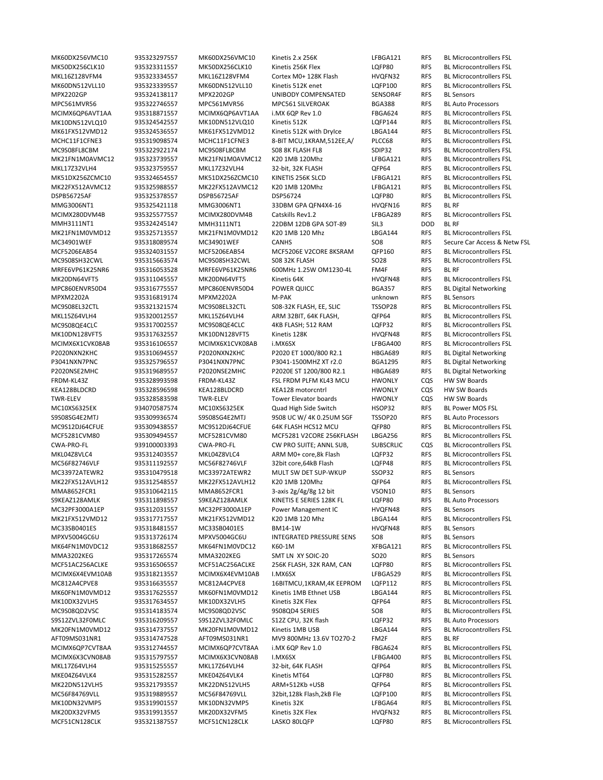MK60DX256VMC10 935323297557 MK60DX256VMC10 Kinetis 2.x 256K LFBGA121 RFS BL Microcontrollers FSL MK50DX256CLK10 935323311557 MK50DX256CLK10 Kinetis 256K Flex LQFP80 RFS BL Microcontrollers FSL MKL16Z128VFM4 935323334557 MKL16Z128VFM4 Cortex M0+ 128K Flash HVQFN32 RFS BL Microcontrollers FSL MK60DN512VLL10 935323339557 MK60DN512VLL10 Kinetis 512K enet LQFP100 RFS BL Microcontrollers FSL MPX2202GP 935324138117 MPX2202GP UNIBODY COMPENSATED SENSOR4F RFS BL Sensors MPC561MVR56 935322746557 MPC561MVR56 MPC561 SILVEROAK BGA388 RFS BL Auto Processors MCIMX6QP6AVT1AA 935318871557 MCIMX6QP6AVT1AA i.MX 6QP Rev 1.0 FBGA624 RFS BL Microcontrollers FSL MK10DN512VLQ10 935324542557 MK10DN512VLQ10 Kinetis 512K LQFP144 RFS BL Microcontrollers FSL MK61FX512VMD12 935324536557 MK61FX512VMD12 Kinetis 512K with DryIce LBGA144 RFS BL Microcontrollers FSL MCHC11F1CFNE3 935319098574 MCHC11F1CFNE3 8‐BIT MCU,1KRAM,512EE,A/ PLCC68 RFS BL Microcontrollers FSL MC9S08FL8CBM 935322922174 MC9S08FL8CBM S08 8K FLASH FL8 SDIP32 RFS BL Microcontrollers FSL MK21FN1M0AVMC12 935323739557 MK21FN1M0AVMC12 K20 1MB 120Mhz LFBGA121 RFS BL Microcontrollers FSL MKL17Z32VLH4 935323759557 MKL17Z32VLH4 32‐bit, 32K FLASH QFP64 RFS BL Microcontrollers FSL MK51DX256ZCMC10 935324654557 MK51DX256ZCMC10 KINETIS 256K SLCD LFBGA121 RFS BL Microcontrollers FSL MK22FX512AVMC12 935325988557 MK22FX512AVMC12 K20 1MB 120Mhz LFBGA121 RFS BL Microcontrollers FSL DSPB56725AF 935325378557 DSPB56725AF DSP56724 LQFP80 RFS BL Microcontrollers FSL MMG3006NT1 935325421118 MMG3006NT1 33DBM GPA QFN4X4‐16 HVQFN16 RFS BL RF MCIMX280DVM4B 935325577557 MCIMX280DVM4B Catskills Rev1.2 LFBGA289 RFS BL Microcontrollers FSL MMH3111NT1 935324245147 MMH3111NT1 22DBM 12DB GPA SOT‐89 SIL3 DOD BL RF MK21FN1M0VMD12 935325713557 MK21FN1M0VMD12 K20 1MB 120 Mhz LBGA144 RFS BL Microcontrollers FSL<br>MC34901WEF 935318089574 MC34901WEF CANHS CANHS SO8 RFS Secure Car Access & Ne MCF5206EAB54 935324031557 MCF5206EAB54 MCF5206E V2CORE 8KSRAM QFP160 RFS BL Microcontrollers FSL MC9S08SH32CWL 935315663574 MC9S08SH32CWL S08 32K FLASH SO28 RFS BL Microcontrollers FSL MRFE6VP61K25NR6 935316053528 MRFE6VP61K25NR6 600MHz 1.25W OM1230‐4L FM4F RFS BL RF MK20DN64VFT5 935311045557 MK20DN64VFT5 Kinetis 64K HVQFN48 RFS BL Microcontrollers FSL MPC860ENVR50D4 935316775557 MPC860ENVR50D4 POWER QUICC BGA357 RFS BL Digital Networking MPXM2202A 935316819174 MPXM2202A M‐PAK unknown RFS BL Sensors MC9S08EL32CTL 935321321574 MC9S08EL32CTL S08‐32K FLASH, EE, SLIC TSSOP28 RFS BL Microcontrollers FSL MKL15Z64VLH4 935320012557 MKL15Z64VLH4 ARM 32BIT, 64K FLASH, QFP64 RFS BL Microcontrollers FSL MC9S08QE4CLC 935317002557 MC9S08QE4CLC 4KB FLASH; 512 RAM LQFP32 RFS BL Microcontrollers FSL MK10DN128VFT5 935317632557 MK10DN128VFT5 Kinetis 128K HVQFN48 RFS BL Microcontrollers FSL MCIMX6X1CVK08AB 935316106557 MCIMX6X1CVK08AB i.MX6SX LFBGA400 RFS BL Microcontrollers FSL P2020NXN2KHC 935310694557 P2020NXN2KHC P2020 ET 1000/800 R2.1 HBGA689 RFS BL Digital Networking<br>P3041NXN7PNC 935325796557 P3041NXN7PNC P3041-1500MHZ XT r2.0 BGA1295 RFS BL Digital Networking P3041NXN7PNC 935325796557 P3041NXN7PNC P3041-1500MHZ XT r2.0 BGA1295 RFS P2020NSE2MHC 935319689557 P2020NSE2MHC P2020E ST 1200/800 R2.1 HBGA689 RFS BL Digital Networking FRDM‐KL43Z 935328993598 FRDM‐KL43Z FSL FRDM PLFM KL43 MCU HWONLY CQS HW SW Boards KEA128BLDCRD 935328596598 KEA128BLDCRD KEA128 motorcntrl HWONLY CQS HW SW Boards TWR‐ELEV 935328583598 TWR‐ELEV Tower Elevator boards HWONLY CQS HW SW Boards MC10XS6325EK 934070587574 MC10XS6325EK Quad High Side Switch HSOP32 RFS BL Power MOS FSL S9S08SG4E2MTJ 935309936574 S9S08SG4E2MTJ 9S08 UC W/ 4K 0.25UM SGF TSSOP20 RFS BL Auto Processors MC9S12DJ64CFUE 935309438557 MC9S12DJ64CFUE 64K FLASH HCS12 MCU QFP80 RFS BL Microcontrollers FSL MCF5281CVM80 935309494557 MCF5281CVM80 MCF5281 V2CORE 256KFLASH LBGA256 RFS BL Microcontrollers FSL CWA‐PRO‐FL 939100003393 CWA‐PRO‐FL CW PRO SUITE; ANNL SUB, SUBSCRLIC CQS BL Microcontrollers FSL MKL04Z8VLC4 935312403557 MKL04Z8VLC4 ARM M0+ core,8k Flash LQFP32 RFS BL Microcontrollers FSL MC56F82746VLF 935311192557 MC56F82746VLF 32bit core,64kB Flash LQFP48 RFS BL Microcontrollers FSL<br>MC33972ATEWR2 935310479518 MC33972ATEWR2 MULT SW DET SUP-WKUP SSOP32 RFS BL Sensors 935310479518 MC33972ATEWR2 MULT SW DET SUP-WKUP SSOP32 RFS BL Sensors MK22FX512AVLH12 935312548557 MK22FX512AVLH12 K20 1MB 120Mhz QFP64 RFS BL Microcontrollers FSL MMA8652FCR1 935310642115 MMA8652FCR1 3‐axis 2g/4g/8g 12 bit VSON10 RFS BL Sensors S9KEAZ128AMLK 935311898557 S9KEAZ128AMLK KINETIS E SERIES 128K FL LQFP80 RFS BL Auto Processors MC32PF3000A1EP 935312031557 MC32PF3000A1EP Power Management IC HVQFN48 RFS BL Sensors MK21FX512VMD12 935317717557 MK21FX512VMD12 K20 1MB 120 Mhz LBGA144 RFS BL Microcontrollers FSL MC33SB0401ES 935318481557 MC33SB0401ES BM14‐1W HVQFN48 RFS BL Sensors MPXV5004GC6U 935313726174 MPXV5004GC6U INTEGRATED PRESSURE SENS SO8 RFS BL Sensors MK64FN1M0VDC12 935318682557 MK64FN1M0VDC12 K60‐1M XFBGA121 RFS BL Microcontrollers FSL MMA3202KEG 935317265574 MMA3202KEG SMT LN XY SOIC‐20 SO20 RFS BL Sensors MCF51AC256ACLKE 935316506557 MCF51AC256ACLKE 256K FLASH, 32K RAM, CAN LQFP80 RFS BL Microcontrollers FSL MCIMX6X4EVM10AB 935318213557 MCIMX6X4EVM10AB I.MX6SX LFBGA529 RFS BL Microcontrollers FSL MC812A4CPVE8 935316635557 MC812A4CPVE8 16BITMCU,1KRAM,4K EEPROM LQFP112 RFS BL Microcontrollers FSL 935317625557 MK60FN1M0VMD12 Kinetis 1MB Ethnet USB LBGA144 RFS BL Microcontrollers FSL MK10DX32VLH5 935317634557 MK10DX32VLH5 Kinetis 32K Flex QFP64 RFS BL Microcontrollers FSL MC9S08QD2VSC 935314183574 MC9S08QD2VSC 9S08QD4 SERIES SO8 RFS BL Microcontrollers FSL S9S12ZVL32F0MLC 935316209557 S9S12ZVL32F0MLC S12Z CPU. 32K flash LQFP32 RFS BL Auto Processors MK20FN1M0VMD12 935314737557 MK20FN1M0VMD12 Kinetis 1MB USB LBGA144 RFS BL Microcontrollers FSL AFT09MS031NR1 935314747528 AFT09MS031NR1 MV9 800MHz 13.6V TO270‐2 FM2F RFS BL RF MCIMX6QP7CVT8AA 935312744557 MCIMX6QP7CVT8AA i.MX 6QP Rev 1.0 FBGA624 RFS BL Microcontrollers FSL MCIMX6X3CVN08AB 935315797557 MCIMX6X3CVN08AB I.MX6SX LFBGA400 RFS BL Microcontrollers FSL MKL17Z64VLH4 935315255557 MKL17Z64VLH4 32‐bit, 64K FLASH QFP64 RFS BL Microcontrollers FSL MKE04Z64VLK4 935315282557 MKE04Z64VLK4 Kinetis MT64 LQFP80 RFS BL Microcontrollers FSL<br>MK22DN512VLH5 935321793557 MK22DN512VLH5 ARM+512Kb+USB QFP64 RFS BL Microcontrollers FSL MK22DN512VLH5 935321793557 MK22DN512VLH5 ARM+512Kb +USB QFP64 RFS BL Microcontrollers FSL MC56F84769VLL 935319889557 MC56F84769VLL 32bit,128k Flash,2kB Fle LQFP100 RFS BL Microcontrollers FSL MK10DN32VMP5 935319901557 MK10DN32VMP5 Kinetis 32K LFBGA64 RFS BL Microcontrollers FSL MK20DX32VFM5 935319913557 MK20DX32VFM5 Kinetis 32K Flex HVQFN32 RFS BL Microcontrollers FSL MCF51CN128CLK 935321387557 MCF51CN128CLK LASKO 80LQFP LQFP80 RFS BL Microcontrollers FSL

RFS Secure Car Access & Netw FSL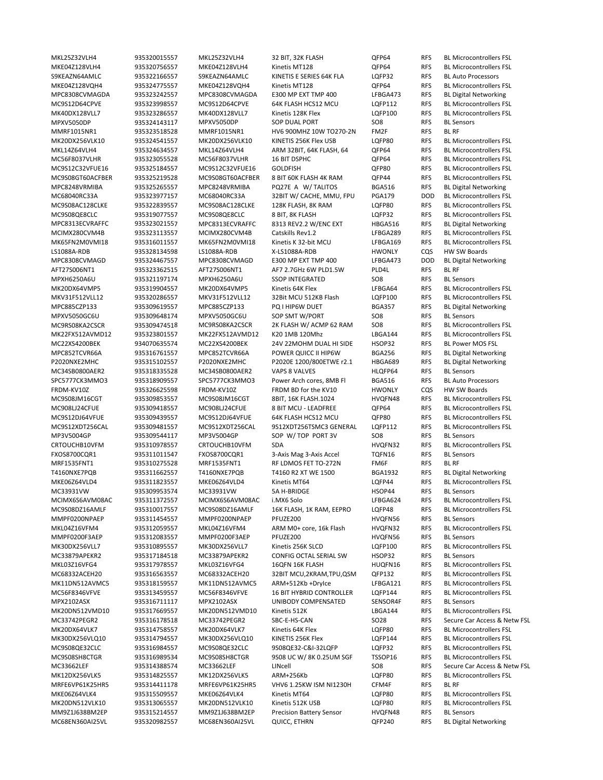S9KEAZN64AMLC 935322166557 S9KEAZN64AMLC KINETIS E SERIES 64K FLA LQFP32 RFS BL Auto Processors MPC8308CVMAGDA 935323242557 MPC8308CVMAGDA E300 MP EXT TMP 400 LFBGA473 RFS BL Digital Networking MPXV5050DP 935324143117 MPXV5050DP SOP DUAL PORT SO8 RFS BL Sensors MMRF1015NR1 935323518528 MMRF1015NR1 HV6 900MHZ 10W TO270‐2N FM2F RFS BL RF MPC8248VRMIBA 935325265557 MPC8248VRMIBA PQ27E A W/ TALITOS BGA516 RFS BL Digital Networking MPC8313ECVRAFFC 935323021557 MPC8313ECVRAFFC 8313 REV2.2 W/ENC EXT HBGA516 RFS BL Digital Networking LS1088A‐RDB 935328134598 LS1088A‐RDB X‐LS1088A‐RDB HWONLY CQS HW SW Boards MPC8308CVMAGD 935324467557 MPC8308CVMAGD E300 MP EXT TMP 400 LFBGA473 DOD BL Digital Networking AFT27S006NT1 935323362515 AFT27S006NT1 AF7 2.7GHz 6W PLD1.5W PLD4L RFS BL RF MPXH6250A6U 935321197174 MPXH6250A6U SSOP INTEGRATED SO8 RFS BL Sensors MPC885CZP133 935309619557 MPC885CZP133 PQ I HIP6W DUET BGA357 RFS BL Digital Networking MPXV5050GC6U 935309648174 MPXV5050GC6U SOP SMT W/PORT SO8 RFS BL Sensors MC22XS4200BEK 934070635574 MC22XS4200BEK 24V 22MOHM DUAL HI SIDE HSOP32 RFS BL Power MOS FSL MPC852TCVR66A 935316761557 MPC852TCVR66A POWER QUICC II HIP6W BGA256 RFS BL Digital Networking<br>P2020NXE2MHC 935315102557 P2020NXE2MHC P2020E 1200/800ETWE r2.1 HBGA689 RFS BL Digital Networking P2020NXE2MHC 935315102557 P2020NXE2MHC P2020E 1200/800ETWE r2.1 HBGA689 RFS MC34SB0800AER2 935318335528 MC34SB0800AER2 VAPS 8 VALVES HLQFP64 RFS BL Sensors SPC5777CK3MMO3 935318909557 SPC5777CK3MMO3 Power Arch cores, 8MB Fl BGA516 RFS BL Auto Processors FRDM‐KV10Z 935326625598 FRDM‐KV10Z FRDM BD for the KV10 HWONLY CQS HW SW Boards MP3V5004GP 935309544117 MP3V5004GP SOP W/TOP PORT 3V SO8 RFS BL Sensors FXOS8700CQR1 935311011547 FXOS8700CQR1 3‐Axis Mag 3‐Axis Accel TQFN16 RFS BL Sensors MRF1535FNT1 935310275528 MRF1535FNT1 RF LDMOS FET TO‐272N FM6F RFS BL RF T4160NXE7PQB 935311662557 T4160NXE7PQB T4160 R2 XT WE 1500 BGA1932 RFS BL Digital Networking MC33931VW 935309953574 MC33931VW 5A H-BRIDGE HSOP44 RFS BL Sensors MMPF0200NPAEP 935311454557 MMPF0200NPAEP PFUZE200 HVQFN56 RFS BL Sensors MMPF0200F3AEP 935312083557 MMPF0200F3AEP PFUZE200 HVQFN56 RFS BL Sensors MC33879APEKR2 935317184518 MC33879APEKR2 CONFIG OCTAL SERIAL SW HSOP32 RFS BL Sensors MPX2102ASX 935316711117 MPX2102ASX UNIBODY COMPENSATED SENSOR4F RFS BL Sensors MRFE6VP61K25HR5 935314411178 MRFE6VP61K25HR5 VHV6 1.25KW ISM NI1230H CFM4F RFS BL RF MM9Z1J638BM2EP 935315214557 MM9Z1J638BM2EP Precision Battery Sensor HVQFN48 RFS BL Sensors MC68EN360AI25VL 935320982557 MC68EN360AI25VL QUICC, ETHRN QFP240 RFS BL Digital Networking

MKL25Z32VLH4 935320015557 MKL25Z32VLH4 32 BIT, 32K FLASH QFP64 RFS BL Microcontrollers FSL MKE04Z128VLH4 935320756557 MKE04Z128VLH4 Kinetis MT128 QFP64 RFS BL Microcontrollers FSL MKE04Z128VQH4 935324775557 MKE04Z128VQH4 Kinetis MT128 QFP64 RFS BL Microcontrollers FSL MC9S12D64CPVE 935323998557 MC9S12D64CPVE 64K FLASH HCS12 MCU LQFP112 RFS BL Microcontrollers FSL MK40DX128VLL7 935323286557 MK40DX128VLL7 Kinetis 128K Flex LQFP100 RFS BL Microcontrollers FSL MK20DX256VLK10 935324541557 MK20DX256VLK10 KINETIS 256K Flex USB LQFP80 RFS BL Microcontrollers FSL MKL14Z64VLH4 935324634557 MKL14Z64VLH4 ARM 32BIT, 64K FLASH, 64 QFP64 RFS BL Microcontrollers FSL MC56F8037VLHR 935323055528 MC56F8037VLHR 16 BIT DSPHC QFP64 RFS BL Microcontrollers FSL MC9S12C32VFUE16 935325184557 MC9S12C32VFUE16 GOLDFISH QFP80 RFS BL Microcontrollers FSL MC9S08GT60ACFBER 935325219528 MC9S08GT60ACFBER 8 BIT 60K FLASH 4K RAM QFP44 RFS BL Microcontrollers FSL MC68040RC33A 935323977157 MC68040RC33A 32BIT W/ CACHE, MMU, FPU PGA179 DOD BL Microcontrollers FSL MC9S08AC128CLKE 935322839557 MC9S08AC128CLKE 128K FLASH, 8K RAM LQFP80 RFS BL Microcontrollers FSL MC9S08QE8CLC 935319077557 MC9S08QE8CLC 8 BIT. 8K FLASH LQFP32 RFS BL Microcontrollers FSL MCIMX280CVM4B 935323113557 MCIMX280CVM4B Catskills Rev1.2 LFBGA289 RFS BL Microcontrollers FSL<br>MK65FN2M0VMI18 935316011557 MK65FN2M0VMI18 Kinetis K 32-bit MCU LFBGA169 RFS BL Microcontrollers FSL RFS BL Microcontrollers FSL MK20DX64VMP5 935319904557 MK20DX64VMP5 Kinetis 64K Flex LFBGA64 RFS BL Microcontrollers FSL MKV31F512VLL12 935320286557 MKV31F512VLL12 32Bit MCU 512KB Flash LQFP100 RFS BL Microcontrollers FSL MC9RS08KA2CSCR 935309474518 MC9RS08KA2CSCR 2K FLASH W/ ACMP 62 RAM SO8 RFS BL Microcontrollers FSL MK22FX512AVMD12 935323801557 MK22FX512AVMD12 K20 1MB 120Mhz LBGA144 RFS BL Microcontrollers FSL MC9S08JM16CGT 935309853557 MC9S08JM16CGT 8BIT, 16K FLASH.1024 HVQFN48 RFS BL Microcontrollers FSL MC908LJ24CFUE 935309418557 MC908LJ24CFUE 8 BIT MCU ‐ LEADFREE QFP64 RFS BL Microcontrollers FSL MC9S12DJ64VFUE 935309439557 MC9S12DJ64VFUE 64K FLASH HCS12 MCU QFP80 RFS BL Microcontrollers FSL MC9S12XDT256CAL 935309481557 MC9S12XDT256CAL 9S12XDT256TSMC3 GENERAL LQFP112 RFS BL Microcontrollers FSL CRTOUCHB10VFM 935310978557 CRTOUCHB10VFM SDA HVQFN32 RFS BL Microcontrollers FSL MKE06Z64VLD4 935311823557 MKE06Z64VLD4 Kinetis MT64 LQFP44 RFS BL Microcontrollers FSL MCIMX6S6AVM08AC 935311372557 MCIMX6S6AVM08AC i.MX6 Solo LFBGA624 RFS BL Microcontrollers FSL MC9S08DZ16AMLF 935310017557 MC9S08DZ16AMLF 16K FLASH, 1K RAM, EEPRO LQFP48 RFS BL Microcontrollers FSL MKL04Z16VFM4 935312059557 MKL04Z16VFM4 ARM M0+ core, 16k Flash HVQFN32 RFS BL Microcontrollers FSL MK30DX256VLL7 935310895557 MK30DX256VLL7 Kinetis 256K SLCD LQFP100 RFS BL Microcontrollers FSL MKL03Z16VFG4 935317978557 MKL03Z16VFG4 16QFN 16K FLASH HUQFN16 RFS BL Microcontrollers FSL MC68332ACEH20 935316563557 MC68332ACEH20 32BIT MCU,2KRAM,TPU,QSM QFP132 RFS BL Microcontrollers FSL MK11DN512AVMC5 935318159557 MK11DN512AVMC5 ARM+512Kb +DryIce LFBGA121 RFS BL Microcontrollers FSL MC56F8346VFVE 935313459557 MC56F8346VFVE 16 BIT HYBRID CONTROLLER LQFP144 RFS BL Microcontrollers FSL 935317669557 MK20DN512VMD10 Kinetis 512K LBGA144 RFS BL Microcontrollers FSL MC33742PEGR2 935316178518 MC33742PEGR2 SBC‐E‐HS‐CAN SO28 RFS Secure Car Access & Netw FSL MK20DX64VLK7 935314758557 MK20DX64VLK7 Kinetis 64K Flex LQFP80 RFS BL Microcontrollers FSL MK30DX256VLQ10 935314794557 MK30DX256VLQ10 KINETIS 256K Flex LQFP144 RFS BL Microcontrollers FSL MC9S08QE32CLC 935316984557 MC9S08QE32CLC 9S08QE32‐C&I‐32LQFP LQFP32 RFS BL Microcontrollers FSL MC9S08SH8CTGR 935316989534 MC9S08SH8CTGR 9S08 UC W/ 8K 0.25UM SGF TSSOP16 RFS BL Microcontrollers FSL MC33662LEF 935314388574 MC33662LEF LINcell SO8 RFS Secure Car Access & Netw FSL MK12DX256VLK5 935314825557 MK12DX256VLK5 ARM+256Kb LQFP80 RFS BL Microcontrollers FSL MKE06Z64VLK4 935315509557 MKE06Z64VLK4 Kinetis MT64 LQFP80 RFS BL Microcontrollers FSL MK20DN512VLK10 935313065557 MK20DN512VLK10 Kinetis 512K USB LQFP80 RFS BL Microcontrollers FSL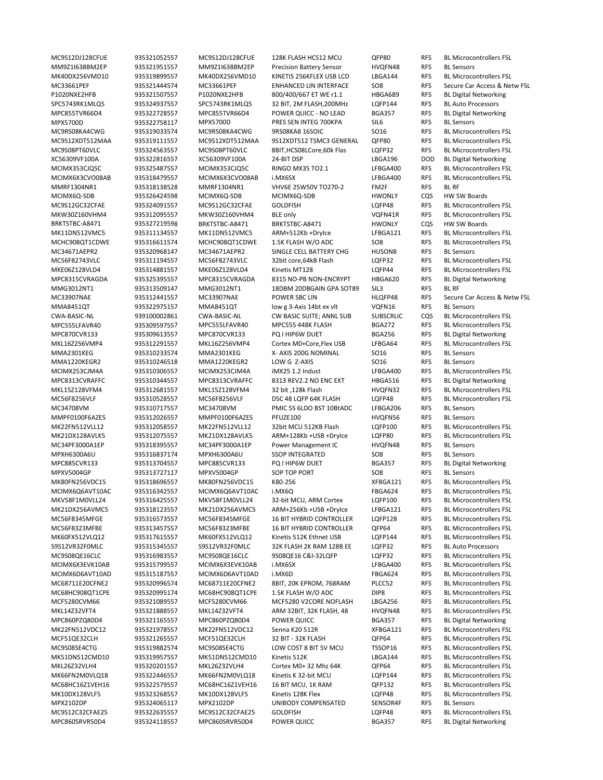MM9Z1I638BM2EP 935321951557 MM9Z1I638BM2EP Precision Battery Sensor HVQFN48 RFS BL Sensors P1020NXE2HFB 935321507557 P1020NXE2HFB 800/400/667 ET WE r1.1 HBGA689 RFS BL Digital Networking SPC5743RK1MLQ5 935324937557 SPC5743RK1MLQ5 32 BIT, 2M FLASH,200MHz LQFP144 RFS BL Auto Processors MPC855TVR66D4 935322728557 MPC855TVR66D4 POWER QUICC ‐ NO LEAD BGA357 RFS BL Digital Networking MPX5700D 935322758117 MPX5700D PRES SEN INTEG 700KPA SIL6 RFS BL Sensors XC56309VF100A 935322816557 XC56309VF100A 24‐BIT DSP LBGA196 DOD BL Digital Networking MMRF1304NR1 935318138528 MMRF1304NR1 VHV6E 25W50V TO270‐2 FM2F RFS BL RF MCIMX6Q‐SDB 935326424598 MCIMX6Q‐SDB MCIMX6Q‐SDB HWONLY CQS HW SW Boards BRKTSTBC-A8471 935327219598 BRKTSTBC-A8471 BRKTSTBC-A8471 HWONLY CQS HW SW Boards MC34671AEPR2 935320968147 MC34671AEPR2 SINGLE CELL BATTERY CHG HUSON8 RFS BL Sensors MPC8315CVRAGDA 935325395557 MPC8315CVRAGDA 8315 NO‐PB NON‐ENCRYPT HBGA620 RFS BL Digital Networking MMG3012NT1 935313509147 MMG3012NT1 18DBM 20DBGAIN GPA SOT89 SIL3 RFS BL RF MMA8451QT 935322975157 MMA8451QT low g 3‐Axis 14bt ex vlt VQFN16 RFS BL Sensors MPC870CVR133 935309613557 MPC870CVR133 PQ I HIP6W DUET BGA256 RFS BL Digital Networking MMA2301KEG 935310233574 MMA2301KEG X-AXIS 200G NOMINAL SO16 RFS BL Sensors<br>MMA1220KEGR2 935310246518 MMA1220KEGR2 LOW G Z-AXIS SO16 RFS BL Sensors MMA1220KEGR2 935310246518 MMA1220KEGR2 LOW G Z-AXIS SO16 RFS BL Sensors MPC8313CVRAFFC 935310344557 MPC8313CVRAFFC 8313 REV2.2 NO ENC EXT HBGA516 RFS BL Digital Networking MC34708VM 935310717557 MC34708VM PMIC 5S 6LDO BST 10BtADC LFBGA206 RFS BL Sensors MMPF0100F6AZES 935312026557 MMPF0100F6AZES PFUZE100 HVQFN56 RFS BL Sensors MC34PF3000A1EP 935318395557 MC34PF3000A1EP Power Management IC HVQFN48 RFS BL Sensors MPXH6300A6U 935316837174 MPXH6300A6U SSOP INTEGRATED SO8 RFS BL Sensors MPC885CVR133 935313704557 MPC885CVR133 PQ I HIP6W DUET BGA357 RFS BL Digital Networking MPXV5004GP 935313727117 MPXV5004GP SOP TOP PORT SO8 RFS BL Sensors S9S12VR32F0MLC 935315345557 S9S12VR32F0MLC 32K FLASH 2K RAM 128B EE LQFP32 RFS BL Auto Processors MPC860PZQ80D4 935321165557 MPC860PZQ80D4 POWER QUICC BGA357 RFS BL Digital Networking MPX2102DP 935324065117 MPX2102DP UNIBODY COMPENSATED SENSOR4F RFS BL Sensors MPC860SRVR50D4 935324118557 MPC860SRVR50D4 POWER QUICC BGA357 RFS BL Digital Networking

MC9S12DJ128CFUE 935321052557 MC9S12DJ128CFUE 128K FLASH HCS12 MCU QFP80 RFS BL Microcontrollers FSL MK40DX256VMD10 935319899557 MK40DX256VMD10 KINETIS 256KFLEX USB LCD LBGA144 RFS BL Microcontrollers FSL MC33661PEF 935321444574 MC33661PEF ENHANCED LIN INTERFACE SO8 RFS Secure Car Access & Netw FSL MC9RS08KA4CWG 935319033574 MC9RS08KA4CWG 9RS08KA8 16SOIC SO16 RFS BL Microcontrollers FSL MC9S12XDT512MAA 935319111557 MC9S12XDT512MAA 9S12XDT512 TSMC3 GENERAL QFP80 RFS BL Microcontrollers FSL MC9S08PT60VLC 935324563557 MC9S08PT60VLC 8BIT,HCS08LCore,60k Flas LQFP32 RFS BL Microcontrollers FSL MCIMX353CJQ5C 935325487557 MCIMX353CJQ5C RINGO MX35 TO2.1 LFBGA400 RFS BL Microcontrollers FSL MCIMX6X3CVO08AB 935318479557 MCIMX6X3CVO08AB i.MX6SX LFBGA400 RFS BL Microcontrollers FSL MC9S12GC32CFAE 935324091557 MC9S12GC32CFAE GOLDFISH LOFP48 RFS BL Microcontrollers FSL MKW30Z160VHM4 935312095557 MKW30Z160VHM4 BLE only VQFN41R RFS BL Microcontrollers FSL MK11DN512VMC5 935311134557 MK11DN512VMC5 ARM+512Kb+DryIce LFBGA121 RFS BL Microcontrollers FSL<br>MCHC908QT1CDWE 935316611574 MCHC908QT1CDWE 1.5KFLASHW/OADC 508 RFS BL Microcontrollers FSL RFS BL Microcontrollers FSL MC56F82743VLC 935311194557 MC56F82743VLC 32bit core,64kB Flash LQFP32 RFS BL Microcontrollers FSL MKE06Z128VLD4 935314881557 MKE06Z128VLD4 Kinetis MT128 LQFP44 RFS BL Microcontrollers FSL MC33907NAE 935312441557 MC33907NAE POWER SBC LIN HLQFP48 RFS Secure Car Access & Netw FSL CWA‐BASIC‐NL 939100002861 CWA‐BASIC‐NL CW BASIC SUITE; ANNL SUB SUBSCRLIC CQS BL Microcontrollers FSL MPC555LFAVR40 935309597557 MPC555LFAVR40 MPC555 448K FLASH BGA272 RFS BL Microcontrollers FSL MKL16Z256VMP4 935312291557 MKL16Z256VMP4 Cortex M0+Core,Flex USB LFBGA64 RFS BL Microcontrollers FSL MCIMX253CJM4A 935310306557 MCIMX253CJM4A iMX25 1.2 Indust LFBGA400 RFS BL Microcontrollers FSL MKL15Z128VFM4 935312681557 MKL15Z128VFM4 32 bit ,128k Flash HVQFN32 RFS BL Microcontrollers FSL MC56F8256VLF 935310528557 MC56F8256VLF DSC 48 LQFP 64K FLASH LQFP48 RFS BL Microcontrollers FSL MK22FN512VLL12 935312058557 MK22FN512VLL12 32bit MCU 512KB Flash LQFP100 RFS BL Microcontrollers FSL MK21DX128AVLK5 935312075557 MK21DX128AVLK5 ARM+128Kb +USB +DryIce LQFP80 RFS BL Microcontrollers FSL MK80FN256VDC15 935318696557 MK80FN256VDC15 K80‐256 XFBGA121 RFS BL Microcontrollers FSL MCIMX6Q6AVT10AC 935316342557 MCIMX6Q6AVT10AC i.MX6Q FBGA624 RFS BL Microcontrollers FSL MKV58F1M0VLL24 935316425557 MKV58F1M0VLL24 32‐bit MCU, ARM Cortex LQFP100 RFS BL Microcontrollers FSL MK21DX256AVMC5 935318123557 MK21DX256AVMC5 ARM+256Kb +USB +DryIce LFBGA121 RFS BL Microcontrollers FSL MC56F8345MFGE 935316573557 MC56F8345MFGE 16 BIT HYBRID CONTROLLER LQFP128 RFS BL Microcontrollers FSL MC56F8323MFBE 935313457557 MC56F8323MFBE 16 BIT HYBRID CONTROLLER QFP64 RFS BL Microcontrollers FSL MK60FX512VLQ12 935317615557 MK60FX512VLQ12 Kinetis 512K Ethnet USB LQFP144 RFS BL Microcontrollers FSL MC9S08QE16CLC 935316983557 MC9S08QE16CLC 9S08QE16 C&I-32LQFP LQFP32 RFS BL Microcontrollers FSL MCIMX6X3EVK10AB 935315799557 MCIMX6X3EVK10AB i.MX6SX LFBGA400 RFS BL Microcontrollers FSL MCIMX6D6AVT10AD 935315187557 MCIMX6D6AVT10AD i.MX6D FBGA624 RFS BL Microcontrollers FSL MC68711E20CFNE2 935320996574 MC68711E20CFNE2 8BIT, 20K EPROM, 768RAM PLCC52 RFS BL Microcontrollers FSL MC68HC908QT1CPE 935320995174 MC68HC908QT1CPE 1.5K FLASH W/O ADC DIP8 RFS BL Microcontrollers FSL MCF5280CVM66 935321089557 MCF5280CVM66 MCF5280 V2CORE NOFLASH LBGA256 RFS BL Microcontrollers FSL MKL14Z32VFT4 935321888557 MKL14Z32VFT4 ARM 32BIT, 32K FLASH, 48 HVQFN48 RFS BL Microcontrollers FSL MK22FN512VDC12 935321978557 MK22FN512VDC12 Senna K20 512R XFBGA121 RFS BL Microcontrollers FSL MCF51QE32CLH 935321265557 MCF51QE32CLH 32 BIT ‐ 32K FLASH QFP64 RFS BL Microcontrollers FSL MC9S08SE4CTG 935319882574 MC9S08SE4CTG LOW COST 8 BIT 5V MCU TSSOP16 RFS BL Microcontrollers FSL MK51DN512CMD10 935319957557 MK51DN512CMD10 Kinetis 512K LBGA144 RFS BL Microcontrollers FSL MKL26Z32VLH4 935320201557 MKL26Z32VLH4 Cortex M0+ 32 Mhz 64K QFP64 RFS BL Microcontrollers FSL MK66FN2M0VLQ18 935322446557 MK66FN2M0VLQ18 Kinetis K 32-bit MCU LQFP144 RFS BL Microcontrollers FSL MC68HC16Z1VEH16 935322579557 MC68HC16Z1VEH16 16 BIT MCU, 1K RAM QFP132 RFS BL Microcontrollers FSL MK10DX128VLF5 935323268557 MK10DX128VLF5 Kinetis 128K Flex LQFP48 RFS BL Microcontrollers FSL MC9S12C32CFAE25 935322635557 MC9S12C32CFAE25 GOLDFISH LQFP48 RFS BL Microcontrollers FSL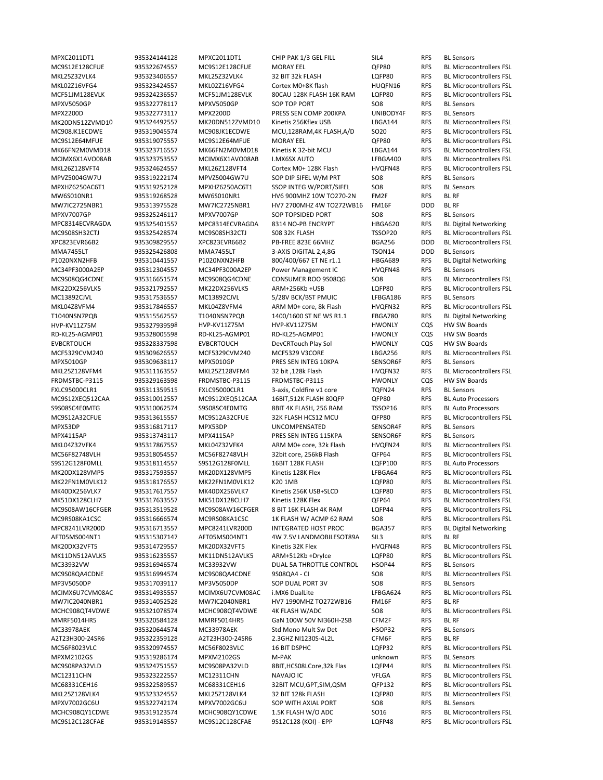MPXC2011DT1 935324144128 MPXC2011DT1 CHIP PAK 1/3 GEL FILL SIL4 RFS BL Sensors MPXV5050GP 935322778117 MPXV5050GP SOP TOP PORT SO8 RFS BL Sensors MPX2200D 935322773117 MPX2200D PRESS SEN COMP 200KPA UNIBODY4F RFS BL Sensors MPVZ5004GW7U 935319222174 MPVZ5004GW7U SOP DIP SIFEL W/M PRT SO8 RFS BL Sensors MPXHZ6250AC6T1 935319252128 MPXHZ6250AC6T1 SSOP INTEG W/PORT/SIFEL SO8 RFS BL Sensors MW6S010NR1 935319268528 MW6S010NR1 HV6 900MHZ 10W TO270‐2N FM2F RFS BL RF MW7IC2725NBR1 935313975528 MW7IC2725NBR1 HV7 2700MHZ 4W TO272WB16 FM16F DOD BL RF MPXV7007GP 935325246117 MPXV7007GP SOP TOPSIDED PORT SO8 RFS BL Sensors MMA7455LT 935325426808 MMA7455LT 3‐AXIS DIGITAL 2,4,8G TSON14 DOD BL Sensors MC34PF3000A2EP 935312304557 MC34PF3000A2EP Power Management IC HVQFN48 RFS BL Sensors MC13892CJVL 935317536557 MC13892CJVL 5/28V BCK/BST PMUIC LFBGA186 RFS BL Sensors HVP‐KV11Z75M 935327939598 HVP‐KV11Z75M HVP‐KV11Z75M HWONLY CQS HW SW Boards RD‐KL25‐AGMP01 935328005598 RD‐KL25‐AGMP01 RD‐KL25‐AGMP01 HWONLY CQS HW SW Boards EVBCRTOUCH 935328337598 EVBCRTOUCH DevCRTouch Play Sol HWONLY CQS HW SW Boards MPX5010GP 935309638117 MPX5010GP PRES SEN INTEG 10KPA SENSOR6F RFS BL Sensors FRDMSTBC‐P3115 935329163598 FRDMSTBC‐P3115 FRDMSTBC‐P3115 HWONLY CQS HW SW Boards FXLC95000CLR1 935311359515 FXLC95000CLR1 3‐axis, Coldfire v1 core TQFN24 RFS BL Sensors MC9S12XEQ512CAA 935310012557 MC9S12XEQ512CAA 16BIT,512K FLASH 80QFP QFP80 RFS BL Auto Processors S9S08SC4E0MTG 935310062574 S9S08SC4E0MTG 8BIT 4K FLASH, 256 RAM TSSOP16 RFS BL Auto Processors MPX53DP 935316817117 MPX53DP UNCOMPENSATED SENSOR4F RFS BL Sensors MPX4115AP 935313743117 MPX4115AP PRES SEN INTEG 115KPA SENSOR6F RFS BL Sensors S9S12G128F0MLL 935318114557 S9S12G128F0MLL 16BIT 128K FLASH LQFP100 RFS BL Auto Processors AFT05MS004NT1 935315307147 AFT05MS004NT1 4W 7.5V LANDMOBILESOT89A SIL3 RFS BL RF MC33932VW 935316946574 MC33932VW DUAL 5A THROTTLE CONTROL HSOP44 RFS BL Sensors MP3V5050DP 935317039117 MP3V5050DP SOP DUAL PORT 3V SO8 RFS BL Sensors MW7IC2040NBR1 935314052528 MW7IC2040NBR1 HV7 1990MHZ TO272WB16 FM16F RFS BL RF MMRF5014HR5 935320584128 MMRF5014HR5 GaN 100W 50V NI360H‐2SB CFM2F RFS BL RF MC33978AEK 935320644574 MC33978AEK Std Mono Mult Sw Det HSOP32 RFS BL Sensors A2T23H300‐24SR6 935322359128 A2T23H300‐24SR6 2.3GHZ NI1230S‐4L2L CFM6F RFS BL RF MPXM2102GS 935319286174 MPXM2102GS M‐PAK unknown RFS BL Sensors MPXV7002GC6U 935322742174 MPXV7002GC6U SOP WITH AXIAL PORT SO8 RFS BL Sensors

MC9S12E128CFUE 935322674557 MC9S12E128CFUE MORAY EEL QFP80 RFS BL Microcontrollers FSL MKL25Z32VLK4 935323406557 MKL25Z32VLK4 32 BIT 32k FLASH LQFP80 RFS BL Microcontrollers FSL MKL02Z16VFG4 935323424557 MKL02Z16VFG4 Cortex M0+8K flash HUQFN16 RFS BL Microcontrollers FSL MCF51JM128EVLK 935324236557 MCF51JM128EVLK 80CAU 128K FLASH 16K RAM LQFP80 RFS BL Microcontrollers FSL MK20DN512ZVMD10 935324492557 MK20DN512ZVMD10 Kinetis 256Kflex USB LBGA144 RFS BL Microcontrollers FSL MC908JK1ECDWE 935319045574 MC908JK1ECDWE MCU,128RAM,4K FLASH,A/D SO20 RFS BL Microcontrollers FSL MC9S12E64MFUE 935319075557 MC9S12E64MFUE MORAY EEL QFP80 RFS BL Microcontrollers FSL MK66FN2M0VMD18 935323716557 MK66FN2M0VMD18 Kinetis K 32‐bit MCU LBGA144 RFS BL Microcontrollers FSL MCIMX6X1AVO08AB 935323753557 MCIMX6X1AVO08AB I.MX6SX AUTO LFBGA400 RFS BL Microcontrollers FSL MKL26Z128VFT4 935324624557 MKL26Z128VFT4 Cortex M0+ 128K Flash HVQFN48 RFS BL Microcontrollers FSL MPC8314ECVRAGDA 935325401557 MPC8314ECVRAGDA 8314 NO‐PB ENCRYPT HBGA620 RFS BL Digital Networking MC9S08SH32CTJ 935325428574 MC9S08SH32CTJ S08 32K FLASH TSSOP20 RFS BL Microcontrollers FSL<br>1935309829557 XPC823EVR66B2 PB-FREE 823E 66MHZ BGA256 DOD BL Microcontrollers FSL XPC823EVR66B2 935309829557 XPC823EVR66B2 PB‐FREE 823E 66MHZ BGA256 DOD BL Microcontrollers FSL P1020NXN2HFB 935310441557 P1020NXN2HFB 800/400/667 ET NE r1.1 HBGA689 RFS BL Digital Networking MC9S08QG4CDNE 935316651574 MC9S08QG4CDNE CONSUMER ROO 9S08QG SO8 RFS BL Microcontrollers FSL MK22DX256VLK5 935321792557 MK22DX256VLK5 ARM+256Kb +USB LQFP80 RFS BL Microcontrollers FSL MKL04Z8VFM4 935317846557 MKL04Z8VFM4 ARM M0+ core, 8k Flash HVQFN32 RFS BL Microcontrollers FSL T1040NSN7PQB 935315562557 T1040NSN7PQB 1400/1600 ST NE WS R1.1 FBGA780 RFS BL Digital Networking MCF5329CVM240 935309626557 MCF5329CVM240 MCF5329 V3CORE LBGA256 RFS BL Microcontrollers FSL<br>MPX5010GP 935309638117 MPX5010GP PRES SEN INTEG 10KPA SENSOR6F RFS BL Sensors MKL25Z128VFM4 935311163557 MKL25Z128VFM4 32 bit ,128k Flash HVQFN32 RFS BL Microcontrollers FSL MC9S12A32CFUE 935313615557 MC9S12A32CFUE 32K FLASH HCS12 MCU QFP80 RFS BL Microcontrollers FSL MKL04Z32VFK4 935317867557 MKL04Z32VFK4 ARM M0+ core, 32k Flash HVQFN24 RFS BL Microcontrollers FSL MC56F82748VLH 935318054557 MC56F82748VLH 32bit core, 256kB Flash QFP64 RFS BL Microcontrollers FSL MK20DX128VMP5 935317593557 MK20DX128VMP5 Kinetis 128K Flex LFBGA64 RFS BL Microcontrollers FSL MK22FN1M0VLK12 935318176557 MK22FN1M0VLK12 K20 1MB LQFP80 RFS BL Microcontrollers FSL MK40DX256VLK7 935317617557 MK40DX256VLK7 Kinetis 256K USB+SLCD LQFP80 RFS BL Microcontrollers FSL MK51DX128CLH7 935317633557 MK51DX128CLH7 Kinetis 128K Flex QFP64 RFS BL Microcontrollers FSL MC9S08AW16CFGER 935313519528 MC9S08AW16CFGER 8 BIT 16K FLASH 4K RAM LQFP44 RFS BL Microcontrollers FSL MC9RS08KA1CSC 935316666574 MC9RS08KA1CSC 1K FLASH W/ ACMP 62 RAM SO8 RFS BL Microcontrollers FSL MPC8241LVR200D 935316713557 MPC8241LVR200D INTEGRATED HOST PROC BGA357 RFS BL Digital Networking MK20DX32VFT5 935314729557 MK20DX32VFT5 Kinetis 32K Flex HVQFN48 RFS BL Microcontrollers FSL MK11DN512AVLK5 935316235557 MK11DN512AVLK5 ARM+512Kb +DryIce LQFP80 RFS BL Microcontrollers FSL MC9S08QA4CDNE 935316994574 MC9S08QA4CDNE 9S08QA4 - CI SO8 RFS BL Microcontrollers FSL MCIMX6U7CVM08AC 935314935557 MCIMX6U7CVM08AC i.MX6 DualLite LFBGA624 RFS BL Microcontrollers FSL MCHC908QT4VDWE 935321078574 MCHC908QT4VDWE 4K FLASH W/ADC SO8 RFS BL Microcontrollers FSL MC56F8023VLC 935320974557 MC56F8023VLC 16 BIT DSPHC LQFP32 RFS BL Microcontrollers FSL MC9S08PA32VLD 935324751557 MC9S08PA32VLD 8BIT,HCS08LCore,32k Flas LQFP44 RFS BL Microcontrollers FSL MC12311CHN 935323222557 MC12311CHN NAVAJO IC VFLGA RFS BL Microcontrollers FSL MC68331CEH16 935322589557 MC68331CEH16 32BIT MCU,GPT,SIM,QSM QFP132 RFS BL Microcontrollers FSL MKL25Z128VLK4 935323324557 MKL25Z128VLK4 32 BIT 128k FLASH LQFP80 RFS BL Microcontrollers FSL MCHC908QY1CDWE 935319123574 MCHC908QY1CDWE 1.5K FLASH W/O ADC SO16 RFS BL Microcontrollers FSL MC9S12C128CFAE 935319148557 MC9S12C128CFAE 9S12C128 (KOI) - EPP LQFP48 RFS BL Microcontrollers FSL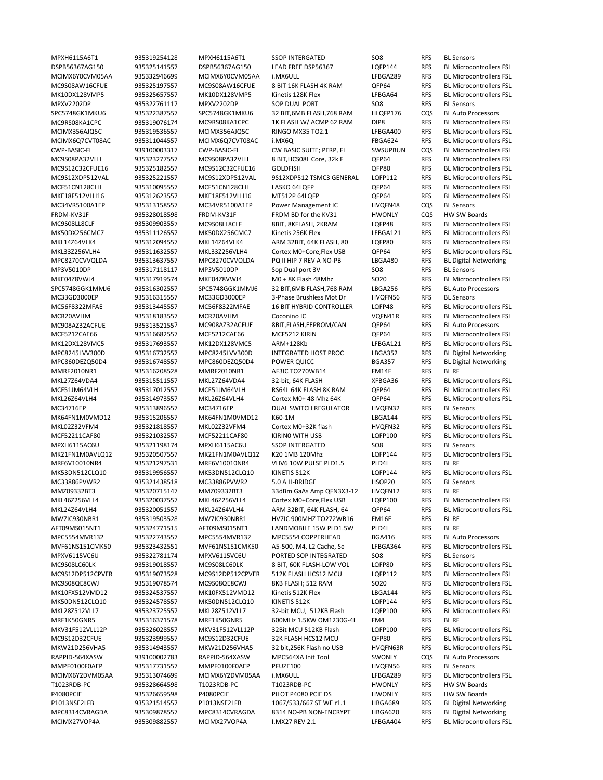MPXH6115A6T1 935319254128 MPXH6115A6T1 SSOP INTERGATED SO8 RFS BL Sensors MPXV2202DP 935322761117 MPXV2202DP SOP DUAL PORT SO8 RFS BL Sensors SPC5748GK1MKU6 935322387557 SPC5748GK1MKU6 32 BIT 6MB FLASH 768 RAM HLOFP176 COS BL Auto Processors MC34VR5100A1EP 935313158557 MC34VR5100A1EP Power Management IC HVQFN48 CQS BL Sensors FRDM-KV31F 935328018598 FRDM-KV31F FRDM BD for the KV31 HWONLY CQS HW SW Boards ARM 32BIT, 64K FLASH, 80 LQFP80 RFS MPC8270CVVQLDA 935313637557 MPC8270CVVQLDA PQ II HIP 7 REV A NO‐PB LBGA480 RFS BL Digital Networking MP3V5010DP 935317118117 MP3V5010DP Sop Dual port 3V SO8 RFS BL Sensors SPC5748GGK1MMJ6 935316302557 SPC5748GGK1MMJ6 32 BIT,6MB FLASH,768 RAM LBGA256 RFS BL Auto Processors MC33GD3000EP 935316315557 MC33GD3000EP 3‐Phase Brushless Mot Dr HVQFN56 RFS BL Sensors MC908AZ32ACFUE 935313521557 MC908AZ32ACFUE 8BIT,FLASH,EEPROM/CAN QFP64 RFS BL Auto Processors MPC8245LVV300D 935316732557 MPC8245LVV300D INTEGRATED HOST PROC LBGA352 RFS BL Digital Networking<br>MPC860DEZQ50D4 935316748557 MPC860DEZQ50D4 POWER QUICC BGA357 RFS BL Digital Networking MPC860DEZQ50D4 935316748557 MPC860DEZQ50D4 POWER QUICC BGA357 RFS BL Digital Networking MMRF2010NR1 935316208528 MMRF2010NR1 AF3IC TO270WB14 FM14F RFS BL RF MC34716EP 935313896557 MC34716EP DUAL SWITCH REGULATOR HVQFN32 RFS BL Sensors MPXH6115AC6U 935321198174 MPXH6115AC6U SSOP INTERGATED SO8 RFS BL Sensors MRF6V10010NR4 935321297531 MRF6V10010NR4 VHV6 10W PULSE PLD1.5 PLD4L RFS BL RF MC33886PVWR2 935321438518 MC33886PVWR2 5.0 A H-BRIDGE HSOP20 RFS BL Sensors MMZ09332BT3 935320715147 MMZ09332BT3 33dBm GaAs Amp QFN3X3‐12 HVQFN12 RFS BL RF MW7IC930NBR1 935319503528 MW7IC930NBR1 HV7IC 900MHZ TO272WB16 FM16F RFS BL RF AFT09MS015NT1 935324771515 AFT09MS015NT1 LANDMOBILE 15W PLD1.5W PLD4L RFS BL RF MPC5554MVR132 935322743557 MPC5554MVR132 MPC5554 COPPERHEAD BGA416 RFS BL Auto Processors MPXV6115VC6U 935322781174 MPXV6115VC6U PORTED SOP INTEGRATED SO8 RFS BL Sensors MRF1K50GNR5 935316371578 MRF1K50GNR5 600MHz 1.5KW OM1230G‐4L FM4 RFS BL RF RAPPID-564XASW 939100002783 RAPPID-564XASW MPC564XA Init Tool SWONLY CQS BL Auto Processors MMPF0100F0AEP 935317731557 MMPF0100F0AEP PFUZE100 HVQFN56 RFS BL Sensors T1023RDB‐PC 935328664598 T1023RDB‐PC T1023RDB‐PC HWONLY RFS HW SW Boards P4080PCIE 935326659598 P4080PCIE PILOT P4080 PCIE DS HWONLY RFS HW SW Boards P1013NSE2LFB 935321514557 P1013NSE2LFB 1067/533/667 ST WE r1.1 HBGA689 RFS BL Digital Networking MPC8314CVRAGDA 935309878557 MPC8314CVRAGDA 8314 NO‐PB NON‐ENCRYPT HBGA620 RFS BL Digital Networking MCIMX27VOP4A 935309882557 MCIMX27VOP4A I.MX27 REV 2.1 LFBGA404 RFS BL Microcontrollers FSL

DSPB56367AG150 935325141557 DSPB56367AG150 LEAD FREE DSP56367 LQFP144 RFS BL Microcontrollers FSL MCIMX6Y0CVM05AA 935332946699 MCIMX6Y0CVM05AA i.MX6ULL LEBGA289 RFS BL Microcontrollers FSL MC9S08AW16CFUE 935325197557 MC9S08AW16CFUE 8 BIT 16K FLASH 4K RAM QFP64 RFS BL Microcontrollers FSL MK10DX128VMP5 935325657557 MK10DX128VMP5 Kinetis 128K Flex LFBGA64 RFS BL Microcontrollers FSL MC9RS08KA1CPC 935319076174 MC9RS08KA1CPC 1K FLASH W/ ACMP 62 RAM DIP8 RFS BL Microcontrollers FSL MCIMX356AJQ5C 935319536557 MCIMX356AJQ5C RINGO MX35 TO2.1 LFBGA400 RFS BL Microcontrollers FSL MCIMX6Q7CVT08AC 935311044557 MCIMX6Q7CVT08AC i.MX6Q FBGA624 RFS BL Microcontrollers FSL CWP‐BASIC‐FL 939100003317 CWP‐BASIC‐FL CW BASIC SUITE; PERP, FL SWSUPBUN CQS BL Microcontrollers FSL MC9S08PA32VLH 935323277557 MC9S08PA32VLH 8 BIT.HCS08L Core, 32k F QFP64 RFS BL Microcontrollers FSL MC9S12C32CFUE16 935325182557 MC9S12C32CFUE16 GOLDFISH QFP80 RFS BL Microcontrollers FSL MC9S12XDP512VAL 935325221557 MC9S12XDP512VAL 9S12XDP512 TSMC3 GENERAL LQFP112 RFS BL Microcontrollers FSL MCF51CN128CLH 935310095557 MCF51CN128CLH LASKO 64LQFP QFP64 RFS BL Microcontrollers FSL MKE18F512VLH16 935312623557 MKF18F512VLH16 MT512P 64LOFP OFP64 RFS BL Microcontrollers FSL MC9S08LL8CLF 935309903557 MC9S08LL8CLF 8BIT, 8KFLASH, 2KRAM LQFP48 RFS BL Microcontrollers FSL MK50DX256CMC7 935311126557 MK50DX256CMC7 Kinetis 256K Flex LFBGA121 RFS BL Microcontrollers FSL<br>MKL14Z64VLK4 935312094557 MKL14Z64VLK4 ARM 32BIT, 64K FLASH, 80 LQFP80 RFS BL Microcontrollers FSL MKL33Z256VLH4 935311632557 MKL33Z256VLH4 Cortex M0+Core, Flex USB QFP64 RFS BL Microcontrollers FSL<br>MPC8270CVVQLDA 935313637557 MPC8270CVVQLDA PQ II HIP 7 REV A NO-PB LBGA480 RFS BL Digital Networking MKE04Z8VWJ4 935317919574 MKE04Z8VWJ4 M0 + 8K Flash 48Mhz SO20 RFS BL Microcontrollers FSL MC56F8322MFAE 935313445557 MC56F8322MFAE 16 BIT HYBRID CONTROLLER LQFP48 RFS BL Microcontrollers FSL MCR20AVHM 935318183557 MCR20AVHM Coconino IC VQFN41R RFS BL Microcontrollers FSL MCF5212CAE66 935316682557 MCF5212CAE66 MCF5212 KIRIN QFP64 RFS BL Microcontrollers FSL MK12DX128VMC5 935317693557 MK12DX128VMC5 ARM+128Kb LFBGA121 RFS BL Microcontrollers FSL MKL27Z64VDA4 935315511557 MKL27Z64VDA4 32‐bit, 64K FLASH XFBGA36 RFS BL Microcontrollers FSL MCF51JM64VLH 935317012557 MCF51JM64VLH RS64L 64K FLASH 8K RAM QFP64 RFS BL Microcontrollers FSL MKL26Z64VLH4 935314973557 MKL26Z64VLH4 Cortex M0+ 48 Mhz 64K QFP64 RFS BL Microcontrollers FSL MK64FN1M0VMD12 935315206557 MK64FN1M0VMD12 K60‐1M LBGA144 RFS BL Microcontrollers FSL MKL02Z32VFM4 935321818557 MKL02Z32VFM4 Cortex M0+32K flash HVQFN32 RFS BL Microcontrollers FSL MCF52211CAF80 935321032557 MCF52211CAF80 KIRIN0 WITH USB LQFP100 RFS BL Microcontrollers FSL MK21FN1M0AVLQ12 935320507557 MK21FN1M0AVLQ12 K20 1MB 120Mhz LQFP144 RFS BL Microcontrollers FSL MK53DN512CLQ10 935319956557 MK53DN512CLQ10 KINETIS 512K LQFP144 RFS BL Microcontrollers FSL MKL46Z256VLL4 935320037557 MKL46Z256VLL4 Cortex M0+Core,Flex USB LQFP100 RFS BL Microcontrollers FSL MKL24Z64VLH4 935320051557 MKL24Z64VLH4 ARM 32BIT, 64K FLASH, 64 QFP64 RFS BL Microcontrollers FSL MVF61NS151CMK50 935323432551 MVF61NS151CMK50 A5‐500, M4, L2 Cache, Se LFBGA364 RFS BL Microcontrollers FSL MC9S08LC60LK 935319018557 MC9S08LC60LK 8 BIT, 60K FLASH‐LOW VOL LQFP80 RFS BL Microcontrollers FSL MC9S12DP512CPVER 935319073528 MC9S12DP512CPVER 512K FLASH HCS12 MCU LQFP112 RFS BL Microcontrollers FSL MC9S08QE8CWJ 935319078574 MC9S08QE8CWJ 8KB FLASH; 512 RAM SO20 RFS BL Microcontrollers FSL MK10FX512VMD12 935324537557 MK10FX512VMD12 Kinetis 512K Flex LBGA144 RFS BL Microcontrollers FSL MK50DN512CLQ10 935324578557 MK50DN512CLQ10 KINETIS 512K LQFP144 RFS BL Microcontrollers FSL MKL28Z512VLL7 935323725557 MKL28Z512VLL7 32‐bit MCU, 512KB Flash LQFP100 RFS BL Microcontrollers FSL MKV31F512VLL12P 935326028557 MKV31F512VLL12P 32Bit MCU 512KB Flash LQFP100 RFS BL Microcontrollers FSL MC9S12D32CFUE 935323999557 MC9S12D32CFUE 32K FLASH HCS12 MCU QFP80 RFS BL Microcontrollers FSL MKW21D256VHA5 935314943557 MKW21D256VHA5 32 bit,256K Flash no USB HVQFN63R RFS BL Microcontrollers FSL MCIMX6Y2DVM05AA 935313074699 MCIMX6Y2DVM05AA i.MX6ULL LFBGA289 RFS BL Microcontrollers FSL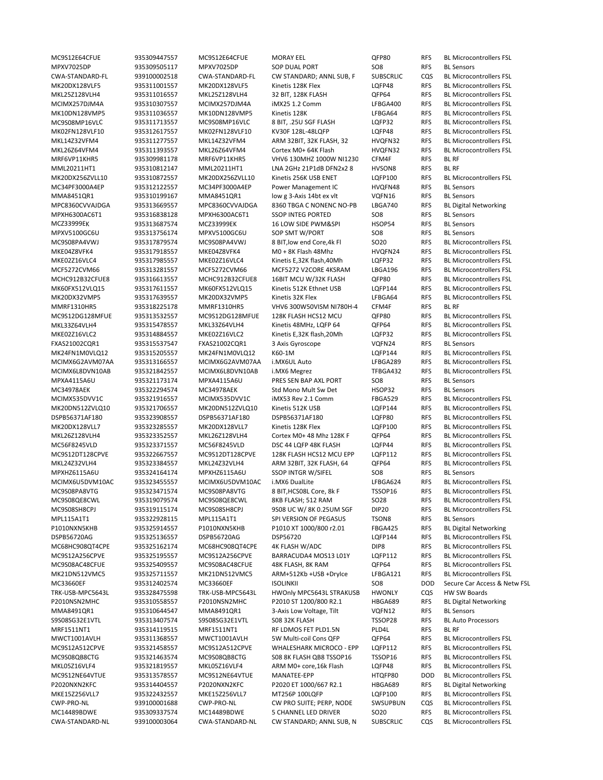MPXV7025DP 935309505117 MPXV7025DP SOP DUAL PORT SO8 RFS BL Sensors MRF6VP11KHR5 935309981178 MRF6VP11KHR5 VHV6 130MHZ 1000W NI1230 CFM4F RFS BL RF MML20211HT1 935310812147 MML20211HT1 LNA 2GHz 21P1dB DFN2x2 8 HVSON8 RFS BL RF MC34PF3000A4EP 935312122557 MC34PF3000A4EP Power Management IC HVQFN48 RFS BL Sensors MMA8451QR1 935310199167 MMA8451QR1 low g 3-Axis 14bt ex vlt VQFN16 RFS BL Sensors MPC8360CVVAJDGA 935313669557 MPC8360CVVAJDGA 8360 TBGA C NONENC NO‐PB LBGA740 RFS BL Digital Networking MPXH6300AC6T1 935316838128 MPXH6300AC6T1 SSOP INTEG PORTED SO8 RFS BL Sensors MCZ33999EK 935313687574 MCZ33999EK 16 LOW SIDE PWM&SPI HSOP54 RFS BL Sensors MPXV5100GC6U 935313756174 MPXV5100GC6U SOP SMT W/PORT SO8 RFS BL Sensors MMRF1310HR5 935318225178 MMRF1310HR5 VHV6 300W50VISM NI780H‐4 CFM4F RFS BL RF FXAS21002CQR1 935315537547 FXAS21002CQR1 3 Axis Gyroscope VQFN24 RFS BL Sensors MPXA4115A6U 935321173174 MPXA4115A6U PRES SEN BAP AXL PORT SO8 RFS BL Sensors MC34978AEK 935322294574 MC34978AEK Std Mono Mult Sw Det HSOP32 RFS BL Sensors MPXHZ6115A6U 935324164174 MPXHZ6115A6U SSOP INTGR W/SIFEL SO8 RFS BL Sensors MPL115A1T1 935322928115 MPL115A1T1 SPI VERSION OF PEGASUS TSON8 RFS BL Sensors P1010NXN5KHB 935325914557 P1010NXN5KHB P1010 XT 1000/800 r2.01 FBGA425 RFS BL Digital Networking TRK‐USB‐MPC5643L 935328475598 TRK‐USB‐MPC5643L HWOnly MPC5643L STRAKUSB HWONLY CQS HW SW Boards P2010NSN2MHC 935310558557 P2010NSN2MHC P2010 ST 1200/800 R2.1 HBGA689 RFS BL Digital Networking MMA8491QR1 935310644547 MMA8491QR1 3‐Axis Low Voltage, Tilt VQFN12 RFS BL Sensors S9S08SG32E1VTL 935313407574 S9S08SG32E1VTL S08 32K FLASH TSSOP28 RFS BL Auto Processors MRF1511NT1 935314119515 MRF1511NT1 RF LDMOS FET PLD1.5N PLD4L RFS BL RF P2020NXN2KFC 935314404557 P2020NXN2KFC P2020 ET 1000/667 R2.1 HBGA689 RFS BL Digital Networking CWA‐STANDARD‐NL 939100003064 CWA‐STANDARD‐NL CW STANDARD; ANNL SUB, N SUBSCRLIC CQS BL Microcontrollers FSL

MC9S12E64CFUE 935309447557 MC9S12E64CFUE MORAY EEL QFP80 RFS BL Microcontrollers FSL CWA‐STANDARD‐FL 939100002518 CWA‐STANDARD‐FL CW STANDARD; ANNL SUB, F SUBSCRLIC CQS BL Microcontrollers FSL MK20DX128VLF5 935311001557 MK20DX128VLF5 Kinetis 128K Flex LQFP48 RFS BL Microcontrollers FSL MKL25Z128VLH4 935311016557 MKL25Z128VLH4 32 BIT, 128K FLASH QFP64 RFS BL Microcontrollers FSL MCIMX257DJM4A 935310307557 MCIMX257DJM4A iMX25 1.2 Comm LFBGA400 RFS BL Microcontrollers FSL MK10DN128VMP5 935311036557 MK10DN128VMP5 Kinetis 128K LFBGA64 RFS BL Microcontrollers FSL MC9S08MP16VLC 935311713557 MC9S08MP16VLC 8 BIT, .25U SGF FLASH LQFP32 RFS BL Microcontrollers FSL MK02FN128VLF10 935312617557 MK02FN128VLF10 KV30F 128L-48LQFP LQFP48 RFS BL Microcontrollers FSL MKL14Z32VFM4 935311277557 MKL14Z32VFM4 ARM 32BIT, 32K FLASH, 32 HVQFN32 RFS BL Microcontrollers FSL MKL26Z64VFM4 935311393557 MKL26Z64VFM4 Cortex M0+ 64K Flash HVQFN32 RFS BL Microcontrollers FSL MK20DX256ZVLL10 935310872557 MK20DX256ZVLL10 Kinetis 256K USB ENET LQFP100 RFS BL Microcontrollers FSL MC9S08PA4VWJ 935317879574 MC9S08PA4VWJ 8 BIT,low end Core,4k Fl SO20 RFS BL Microcontrollers FSL MKE04Z8VFK4 935317918557 MKE04Z8VFK4 M0 + 8K Flash 48Mhz HVQFN24 RFS BL Microcontrollers FSL MKE02Z16VLC4 935317985557 MKE02Z16VLC4 Kinetis E,32K flash,40Mh LQFP32 RFS BL Microcontrollers FSL MCF5272CVM66 935313281557 MCF5272CVM66 MCF5272 V2CORE 4KSRAM LBGA196 RFS BL Microcontrollers FSL MCHC912B32CFUE8 935316613557 MCHC912B32CFUE8 16BIT MCU W/32K FLASH QFP80 RFS BL Microcontrollers FSL MK60FX512VLQ15 935317611557 MK60FX512VLQ15 Kinetis 512K Ethnet USB LQFP144 RFS BL Microcontrollers FSL MK20DX32VMP5 935317639557 MK20DX32VMP5 Kinetis 32K Flex LFBGA64 RFS BL Microcontrollers FSL MC9S12DG128MFUE 935313532557 MC9S12DG128MFUE 128K FLASH HCS12 MCU QFP80 RFS BL Microcontrollers FSL MKL33Z64VLH4 935315478557 MKL33Z64VLH4 Kinetis 48MHz, LQFP 64 QFP64 RFS BL Microcontrollers FSL MKE02Z16VLC2 935314884557 MKE02Z16VLC2 Kinetis E,32K flash,20Mh LQFP32 RFS BL Microcontrollers FSL MK24FN1M0VLQ12 935315205557 MK24FN1M0VLQ12 K60‐1M LQFP144 RFS BL Microcontrollers FSL 935313166557 MCIMX6G2AVM07AA i.MX6UL Auto LFBGA289 RFS BL Microcontrollers FSL MCIMX6L8DVN10AB 935321842557 MCIMX6L8DVN10AB i.MX6 Megrez TFBGA432 RFS BL Microcontrollers FSL MCIMX535DVV1C 935321916557 MCIMX535DVV1C iMX53 Rev 2.1 Comm FBGA529 RFS BL Microcontrollers FSL MK20DN512ZVLQ10 935321706557 MK20DN512ZVLQ10 Kinetis 512K USB LQFP144 RFS BL Microcontrollers FSL DSPB56371AF180 935323908557 DSPB56371AF180 DSPB56371AF180 LQFP80 RFS BL Microcontrollers FSL MK20DX128VLL7 935323285557 MK20DX128VLL7 Kinetis 128K Flex LQFP100 RFS BL Microcontrollers FSL MKL26Z128VLH4 935323352557 MKL26Z128VLH4 Cortex M0+ 48 Mhz 128K F QFP64 RFS BL Microcontrollers FSL MC56F8245VLD 935323371557 MC56F8245VLD DSC 44 LQFP 48K FLASH LQFP44 RFS BL Microcontrollers FSL MC9S12DT128CPVE 935322667557 MC9S12DT128CPVE 128K FLASH HCS12 MCU EPP LQFP112 RFS BL Microcontrollers FSL MKL24Z32VLH4 935323384557 MKL24Z32VLH4 ARM 32BIT, 32K FLASH, 64 QFP64 RFS BL Microcontrollers FSL<br>MPXHZ6115A6U 935324164174 MPXHZ6115A6U SSOP INTGR W/SIFEL SO8 RFS BL Sensors MCIMX6U5DVM10AC 935323455557 MCIMX6U5DVM10AC i.MX6 DualLite LFBGA624 RFS BL Microcontrollers FSL MC9S08PA8VTG 935323471574 MC9S08PA8VTG 8 BIT, HCS08L Core, 8k F TSSOP16 RFS BL Microcontrollers FSL MC9S08QE8CWL 935319079574 MC9S08QE8CWL 8KB FLASH; 512 RAM SO28 RFS BL Microcontrollers FSL MC9S08SH8CPJ 935319115174 MC9S08SH8CPJ 9S08 UC W/ 8K 0.25UM SGF DIP20 RFS BL Microcontrollers FSL DSPB56720AG 935325136557 DSPB56720AG DSP56720 LQFP144 RFS BL Microcontrollers FSL MC68HC908QT4CPE 935325162174 MC68HC908QT4CPE 4K FLASH W/ADC DIP8 RFS BL Microcontrollers FSL MC9S12A256CPVE 935325195557 MC9S12A256CPVE BARRACUDA4 MOS13 L01Y LQFP112 RFS BL Microcontrollers FSL MC9S08AC48CFUE 935325409557 MC9S08AC48CFUE 48K FLASH, 8K RAM QFP64 RFS BL Microcontrollers FSL MK21DN512VMC5 935325711557 MK21DN512VMC5 ARM+512Kb +USB +DryIce LFBGA121 RFS BL Microcontrollers FSL MC33660EF 935312402574 MC33660EF ISOLINKII SO8 DOD Secure Car Access & Netw FSL MWCT1001AVLH 935311368557 MWCT1001AVLH 5W Multi‐coil Cons QFP QFP64 RFS BL Microcontrollers FSL MC9S12A512CPVE 935321458557 MC9S12A512CPVE WHALESHARK MICROCO ‐ EPP LQFP112 RFS BL Microcontrollers FSL MC9S08QB8CTG 935321463574 MC9S08QB8CTG S08 8K FLASH QB8 TSSOP16 TSSOP16 RFS BL Microcontrollers FSL MKL05Z16VLF4 935321819557 MKL05Z16VLF4 ARM M0+ core,16k Flash LQFP48 RFS BL Microcontrollers FSL MC9S12NE64VTUE 935313578557 MC9S12NE64VTUE MANATEE‐EPP HTQFP80 DOD BL Microcontrollers FSL MKE15Z256VLL7 935322432557 MKE15Z256VLL7 MT256P 100LQFP LQFP100 RFS BL Microcontrollers FSL CWP‐PRO‐NL 939100001688 CWP‐PRO‐NL CW PRO SUITE; PERP, NODE SWSUPBUN CQS BL Microcontrollers FSL MC14489BDWE 935309337574 MC14489BDWE 5 CHANNEL LED DRIVER SO20 RFS BL Microcontrollers FSL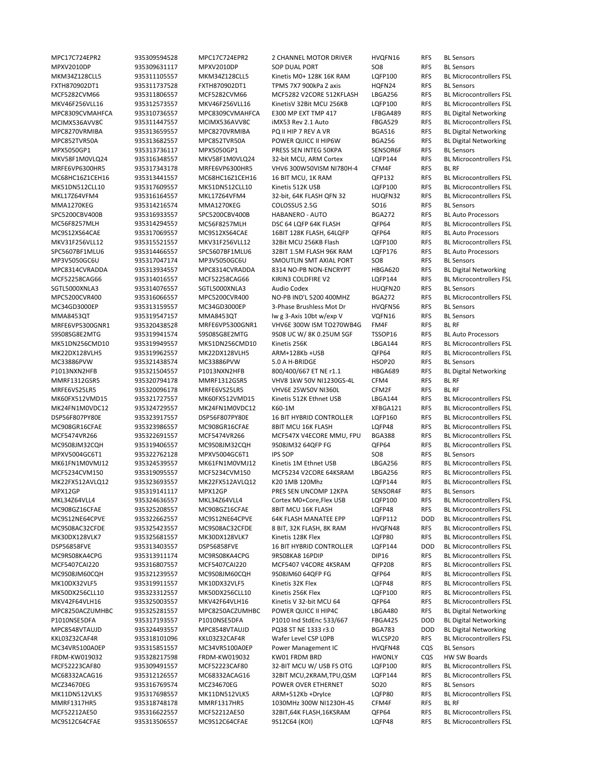MPC17C724EPR2 935309594528 MPC17C724EPR2 2 CHANNEL MOTOR DRIVER HVQFN16 RFS BL Sensors MPXV2010DP 935309631117 MPXV2010DP SOP DUAL PORT SO8 RFS BL Sensors FXTH870902DT1 935311737528 FXTH870902DT1 TPMS 7X7 900kPa Z axis HQFN24 RFS BL Sensors MPX5050GP1 935313736117 MPX5050GP1 PRESS SEN INTEG 50KPA SENSOR6F RFS BL Sensors MRFE6VP6300HR5 935317343178 MRFE6VP6300HR5 VHV6 300W50VISM NI780H‐4 CFM4F RFS BL RF MMA1270KEG 935314216574 MMA1270KEG COLOSSUS 2.5G SO16 RFS BL Sensors SPC5200CBV400B 935316933557 SPC5200CBV400B HABANERO ‐ AUTO BGA272 RFS BL Auto Processors 32Bit MCU 256KB Flash LQFP100 RFS SPC5607BF1MLU6 935314466557 SPC5607BF1MLU6 32BIT 1.5M FLASH 96K RAM LQFP176 RFS BL Auto Processors MP3V5050GC6U 935317047174 MP3V5050GC6U SMOUTLIN SMT AXIAL PORT SO8 RFS BL Sensors SGTL5000XNLA3 935314076557 SGTL5000XNLA3 Audio Codex HUQFN20 RFS BL Sensors MC34GD3000EP 935313159557 MC34GD3000EP 3‐Phase Brushless Mot Dr HVQFN56 RFS BL Sensors MMA8453QT 935319547157 MMA8453QT lw g 3-Axis 10bt w/exp V VQFN16 RFS BL Sensors MRFE6VP5300GNR1 935320438528 MRFE6VP5300GNR1 VHV6E 300W ISM TO270WB4G FM4F RFS BL RF S9S08SG8E2MTG 935319941574 S9S08SG8E2MTG 9S08 UC W/ 8K 0.25UM SGF TSSOP16 RFS BL Auto Processors MC33886PVW 935321438574 MC33886PVW 5.0 A H‐BRIDGE HSOP20 RFS MMRF1312GSR5 935320794178 MMRF1312GSR5 VHV8 1kW 50V NI1230GS‐4L CFM4 RFS BL RF MRFE6VS25LR5 935320096178 MRFE6VS25LR5 VHV6E 25W50V NI360L CFM2F RFS BL RF MPXV5004GC6T1 935322762128 MPXV5004GC6T1 IPS SOP SO8 RFS BL Sensors MPX12GP 935319141117 MPX12GP PRES SEN UNCOMP 12KPA SENSOR4F RFS BL Sensors MC34VR5100A0EP 935315851557 MC34VR5100A0EP Power Management IC HVQFN48 CQS BL Sensors MCF52223CAF80 935309491557 MCF52223CAF80 32-BIT MCU W/ USB FS OTG LOFP100 RFS MCZ34670EG 935316769574 MCZ34670EG POWER OVER ETHERNET SO20 RFS BL Sensors MMRF1317HR5 935318748178 MMRF1317HR5 1030MHz 300W NI1230H‐4S CFM4F RFS BL RF MC9S12C64CFAE 935313506557 MC9S12C64CFAE 9S12C64 (KOI) LQFP48 RFS BL Microcontrollers FSL

MKM34Z128CLL5 935311105557 MKM34Z128CLL5 Kinetis M0+ 128K 16K RAM LQFP100 RFS BL Microcontrollers FSL MCF5282CVM66 935311806557 MCF5282CVM66 MCF5282 V2CORE 512KFLASH LBGA256 RFS BL Microcontrollers FSL MKV46F256VLL16 935312573557 MKV46F256VLL16 KinetisV 32Bit MCU 256KB LQFP100 RFS BL Microcontrollers FSL MPC8309CVMAHFCA 935310736557 MPC8309CVMAHFCA E300 MP EXT TMP 417 LFBGA489 RFS BL Digital Networking MCIMX536AVV8C 935311447557 MCIMX536AVV8C iMX53 Rev 2.1 Auto FBGA529 RFS BL Microcontrollers FSL MPC8270VRMIBA 935313659557 MPC8270VRMIBA PQ II HIP 7 REV A VR BGA516 RFS BL Digital Networking MPC852TVR50A 935313682557 MPC852TVR50A POWER QUICC II HIP6W BGA256 RFS BL Digital Networking MKV58F1M0VLQ24 935316348557 MKV58F1M0VLQ24 32‐bit MCU, ARM Cortex LQFP144 RFS BL Microcontrollers FSL MC68HC16Z1CEH16 935313441557 MC68HC16Z1CEH16 16 BIT MCU, 1K RAM QFP132 RFS BL Microcontrollers FSL MK51DN512CLL10 935317609557 MK51DN512CLL10 Kinetis 512K USB LQFP100 RFS BL Microcontrollers FSL MKL17Z64VFM4 935316164557 MKL17Z64VFM4 32‐bit, 64K FLASH QFN 32 HUQFN32 RFS BL Microcontrollers FSL MC56F8257MLH 935314294557 MC56F8257MLH DSC 64 LQFP 64K FLASH QFP64 RFS BL Microcontrollers FSL MC9S12XS64CAE 935317069557 MC9S12XS64CAE 16BIT 128K FLASH, 64LQFP QFP64 RFS BL Auto Processors<br>MKV31F256VLL12 935315521557 MKV31F256VLL12 32Bit MCU 256KB Flash LQFP100 RFS BL Microcontrollers FSL MPC8314CVRADDA 935313934557 MPC8314CVRADDA 8314 NO‐PB NON‐ENCRYPT HBGA620 RFS BL Digital Networking MCF52258CAG66 935314016557 MCF52258CAG66 KIRIN3 COLDFIRE V2 LQFP144 RFS BL Microcontrollers FSL MPC5200CVR400 935316066557 MPC5200CVR400 NO‐PB IND'L 5200 400MHZ BGA272 RFS BL Microcontrollers FSL MK51DN256CMD10 935319949557 MK51DN256CMD10 Kinetis 256K LBGA144 RFS BL Microcontrollers FSL MK22DX128VLH5 935319962557 MK22DX128VLH5 ARM+128Kb +USB QFP64 RFS BL Microcontrollers FSL<br>MC33886PVW 935321438574 MC33886PVW 5.0 A H-BRIDGE HSOP20 RFS BL Sensors P1013NXN2HFB 935321504557 P1013NXN2HFB 800/400/667 ET NE r1.1 HBGA689 RFS BL Digital Networking MK60FX512VMD15 935321727557 MK60FX512VMD15 Kinetis 512K Ethnet USB LBGA144 RFS BL Microcontrollers FSL MK24FN1M0VDC12 935324729557 MK24FN1M0VDC12 K60‐1M XFBGA121 RFS BL Microcontrollers FSL DSP56F807PY80E 935323917557 DSP56F807PY80E 16 BIT HYBRID CONTROLLER LQFP160 RFS BL Microcontrollers FSL MC908GR16CFAE 935323986557 MC908GR16CFAE 8BIT MCU 16K FLASH LQFP48 RFS BL Microcontrollers FSL MCF5474VR266 935322691557 MCF5474VR266 MCF547X V4ECORE MMU, FPU BGA388 RFS BL Microcontrollers FSL MC9S08JM32CQH 935319406557 MC9S08JM32CQH 9S08JM32 64QFP FG QFP64 RFS BL Microcontrollers FSL MK61FN1M0VMJ12 935324539557 MK61FN1M0VMJ12 Kinetis 1M Ethnet USB LBGA256 RFS BL Microcontrollers FSL MCF5234CVM150 935319095557 MCF5234CVM150 MCF5234 V2CORE 64KSRAM LBGA256 RFS BL Microcontrollers FSL MK22FX512AVLQ12 935323693557 MK22FX512AVLQ12 K20 1MB 120Mhz LQFP144 RFS BL Microcontrollers FSL MKL34Z64VLL4 935324636557 MKL34Z64VLL4 Cortex M0+Core,Flex USB LQFP100 RFS BL Microcontrollers FSL MC908GZ16CFAE 935325208557 MC908GZ16CFAE 8BIT MCU 16K FLASH LQFP48 RFS BL Microcontrollers FSL MC9S12NE64CPVE 935322662557 MC9S12NE64CPVE 64K FLASH MANATEE EPP LQFP112 DOD BL Microcontrollers FSL MC9S08AC32CFDE 935325423557 MC9S08AC32CFDE 8 BIT, 32K FLASH, 8K RAM HVQFN48 RFS BL Microcontrollers FSL MK30DX128VLK7 935325681557 MK30DX128VLK7 Kinetis 128K Flex LQFP80 RFS BL Microcontrollers FSL DSP56858FVE 935313403557 DSP56858FVE 16 BIT HYBRID CONTROLLER LQFP144 DOD BL Microcontrollers FSL MC9RS08KA4CPG 935313911174 MC9RS08KA4CPG 9RS08KA8 16PDIP DIP16 RFS BL Microcontrollers FSL MCF5407CAI220 935316807557 MCF5407CAI220 MCF5407 V4CORE 4KSRAM QFP208 RFS BL Microcontrollers FSL MC9S08JM60CQH 935321239557 MC9S08JM60CQH 9S08JM60 64QFP FG QFP64 RFS BL Microcontrollers FSL MK10DX32VLF5 935319911557 MK10DX32VLF5 Kinetis 32K Flex LQFP48 RFS BL Microcontrollers FSL MK50DX256CLL10 935323312557 MK50DX256CLL10 Kinetis 256K Flex LQFP100 RFS BL Microcontrollers FSL MKV42F64VLH16 935325003557 MKV42F64VLH16 Kinetis V 32‐bit MCU 64 QFP64 RFS BL Microcontrollers FSL MPC8250ACZUMHBC 935325281557 MPC8250ACZUMHBC POWER QUICC II HIP4C LBGA480 RFS BL Digital Networking P1010NSE5DFA 935317193557 P1010NSE5DFA P1010 Ind StdEnc 533/667 FBGA425 DOD BL Digital Networking MPC8548VTAUJD 935324493557 MPC8548VTAUJD PQ38 ST NE 1333 r3.0 BGA783 DOD BL Digital Networking KKL03Z32CAF4R 935318101096 KKL03Z32CAF4R Wafer Level CSP L0PB WLCSP20 RFS BL Microcontrollers FSL FRDM-KW019032 935328217598 FRDM-KW019032 KW01 FRDM BRD HWONLY CQS HW SW Boards<br>MCF52223CAF80 935309491557 MCF52223CAF80 32-BIT MCU W/ USB FS OTG LQFP100 RFS BL Microcontrollers FSL MC68332ACAG16 935312126557 MC68332ACAG16 32BIT MCU,2KRAM,TPU,QSM LQFP144 RFS BL Microcontrollers FSL MK11DN512VLK5 935317698557 MK11DN512VLK5 ARM+512Kb +DryIce LQFP80 RFS BL Microcontrollers FSL MCF52212AE50 935316622557 MCF52212AE50 32BIT,64K FLASH,16KSRAM QFP64 RFS BL Microcontrollers FSL